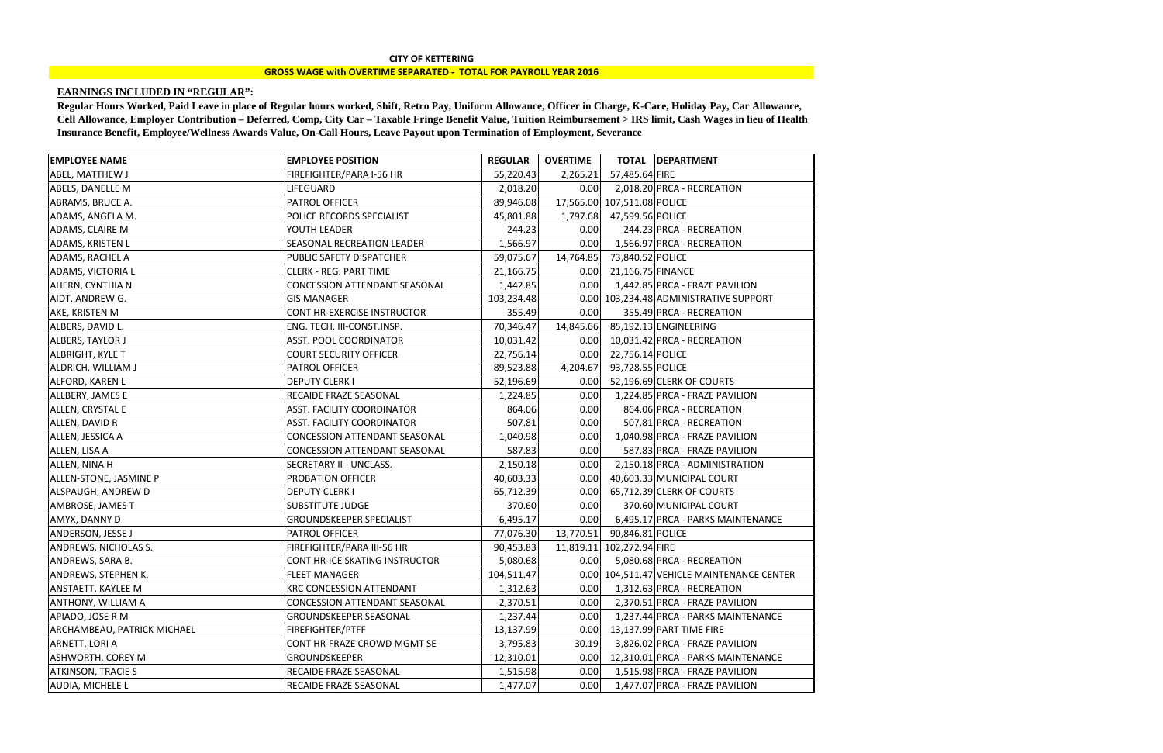## **EARNINGS INCLUDED IN "REGULAR":**

| 57,485.64 FIRE<br>FIREFIGHTER/PARA I-56 HR<br>55,220.43<br>2,265.21<br>2,018.20 PRCA - RECREATION<br>0.00<br><b>LIFEGUARD</b><br>2,018.20<br>17,565.00 107,511.08 POLICE<br><b>PATROL OFFICER</b><br>89,946.08<br>1,797.68 47,599.56 POLICE<br>POLICE RECORDS SPECIALIST<br>45,801.88<br>244.23 PRCA - RECREATION<br>YOUTH LEADER<br>244.23<br>0.00<br>1,566.97 PRCA - RECREATION<br>SEASONAL RECREATION LEADER<br>1,566.97<br>0.00<br>14,764.85<br>PUBLIC SAFETY DISPATCHER<br>73,840.52 POLICE<br>59,075.67<br><b>CLERK - REG. PART TIME</b><br>0.00 21,166.75 FINANCE<br>21,166.75<br>1,442.85<br>0.00<br>1,442.85 PRCA - FRAZE PAVILION<br><b>CONCESSION ATTENDANT SEASONAL</b><br>0.00 103,234.48 ADMINISTRATIVE SUPPORT<br><b>GIS MANAGER</b><br>103,234.48<br>CONT HR-EXERCISE INSTRUCTOR<br>355.49 PRCA - RECREATION<br>355.49<br>0.00<br>85,192.13 ENGINEERING<br>ENG. TECH. III-CONST.INSP.<br>14,845.66<br>70,346.47<br>10,031.42 PRCA - RECREATION<br>ASST. POOL COORDINATOR<br>10,031.42<br>0.00<br>22,756.14 POLICE<br><b>COURT SECURITY OFFICER</b><br>0.00<br>22,756.14<br>4,204.67<br>93,728.55 POLICE<br><b>PATROL OFFICER</b><br>89,523.88<br>52,196.69 CLERK OF COURTS<br><b>DEPUTY CLERK I</b><br>52,196.69<br>0.00<br>RECAIDE FRAZE SEASONAL<br>1,224.85 PRCA - FRAZE PAVILION<br>1,224.85<br>0.00<br>864.06 PRCA - RECREATION<br><b>ASST. FACILITY COORDINATOR</b><br>864.06<br>0.00<br><b>ASST. FACILITY COORDINATOR</b><br>507.81<br>0.00<br>507.81 PRCA - RECREATION<br>1,040.98 PRCA - FRAZE PAVILION<br>CONCESSION ATTENDANT SEASONAL<br>1,040.98<br>0.00<br>0.00<br>587.83 PRCA - FRAZE PAVILION<br><b>CONCESSION ATTENDANT SEASONAL</b><br>587.83<br>2,150.18 PRCA - ADMINISTRATION<br>SECRETARY II - UNCLASS.<br>0.00<br>2,150.18<br>40,603.33 MUNICIPAL COURT<br>PROBATION OFFICER<br>40,603.33<br>0.00<br>65,712.39 CLERK OF COURTS<br><b>DEPUTY CLERK I</b><br>65,712.39<br>0.00<br>370.60 MUNICIPAL COURT<br><b>SUBSTITUTE JUDGE</b><br>370.60<br>0.00<br>6,495.17 PRCA - PARKS MAINTENANCE<br><b>GROUNDSKEEPER SPECIALIST</b><br>0.00<br>6,495.17<br><b>PATROL OFFICER</b><br>13,770.51<br>90,846.81 POLICE<br>77,076.30<br>11,819.11 102,272.94 FIRE<br>FIREFIGHTER/PARA III-56 HR<br>90,453.83<br>5,080.68 PRCA - RECREATION<br><b>CONT HR-ICE SKATING INSTRUCTOR</b><br>0.00 <sub>l</sub><br>5,080.68<br>0.00 104,511.47 VEHICLE MAINTENANCE CENTER<br><b>FLEET MANAGER</b><br>104,511.47<br>1,312.63 PRCA - RECREATION<br>1,312.63<br><b>KRC CONCESSION ATTENDANT</b><br>0.00<br>2,370.51 PRCA - FRAZE PAVILION<br>0.00<br><b>CONCESSION ATTENDANT SEASONAL</b><br>2,370.51<br>0.00<br>1,237.44 PRCA - PARKS MAINTENANCE<br><b>GROUNDSKEEPER SEASONAL</b><br>1,237.44<br><b>FIREFIGHTER/PTFF</b><br>13,137.99 PART TIME FIRE<br>13,137.99<br>0.00<br>CONT HR-FRAZE CROWD MGMT SE<br>3,826.02 PRCA - FRAZE PAVILION<br>3,795.83<br>30.19<br><b>GROUNDSKEEPER</b><br>12,310.01<br>12,310.01 PRCA - PARKS MAINTENANCE<br>0.00<br>RECAIDE FRAZE SEASONAL<br>1,515.98<br>1,515.98 PRCA - FRAZE PAVILION<br>0.00<br>1,477.07 PRCA - FRAZE PAVILION<br><b>RECAIDE FRAZE SEASONAL</b><br>1,477.07<br>0.00 | <b>EMPLOYEE NAME</b>               | <b>EMPLOYEE POSITION</b> | <b>REGULAR</b> | <b>OVERTIME</b> | TOTAL   DEPARTMENT |
|-------------------------------------------------------------------------------------------------------------------------------------------------------------------------------------------------------------------------------------------------------------------------------------------------------------------------------------------------------------------------------------------------------------------------------------------------------------------------------------------------------------------------------------------------------------------------------------------------------------------------------------------------------------------------------------------------------------------------------------------------------------------------------------------------------------------------------------------------------------------------------------------------------------------------------------------------------------------------------------------------------------------------------------------------------------------------------------------------------------------------------------------------------------------------------------------------------------------------------------------------------------------------------------------------------------------------------------------------------------------------------------------------------------------------------------------------------------------------------------------------------------------------------------------------------------------------------------------------------------------------------------------------------------------------------------------------------------------------------------------------------------------------------------------------------------------------------------------------------------------------------------------------------------------------------------------------------------------------------------------------------------------------------------------------------------------------------------------------------------------------------------------------------------------------------------------------------------------------------------------------------------------------------------------------------------------------------------------------------------------------------------------------------------------------------------------------------------------------------------------------------------------------------------------------------------------------------------------------------------------------------------------------------------------------------------------------------------------------------------------------------------------------------------------------------------------------------------------------------------------------------------------------------------------------------------------------------------------------------------------------------------------------------------------------------------------------------------------------------------------------------------------|------------------------------------|--------------------------|----------------|-----------------|--------------------|
|                                                                                                                                                                                                                                                                                                                                                                                                                                                                                                                                                                                                                                                                                                                                                                                                                                                                                                                                                                                                                                                                                                                                                                                                                                                                                                                                                                                                                                                                                                                                                                                                                                                                                                                                                                                                                                                                                                                                                                                                                                                                                                                                                                                                                                                                                                                                                                                                                                                                                                                                                                                                                                                                                                                                                                                                                                                                                                                                                                                                                                                                                                                                           | ABEL, MATTHEW J                    |                          |                |                 |                    |
|                                                                                                                                                                                                                                                                                                                                                                                                                                                                                                                                                                                                                                                                                                                                                                                                                                                                                                                                                                                                                                                                                                                                                                                                                                                                                                                                                                                                                                                                                                                                                                                                                                                                                                                                                                                                                                                                                                                                                                                                                                                                                                                                                                                                                                                                                                                                                                                                                                                                                                                                                                                                                                                                                                                                                                                                                                                                                                                                                                                                                                                                                                                                           | ABELS, DANELLE M                   |                          |                |                 |                    |
|                                                                                                                                                                                                                                                                                                                                                                                                                                                                                                                                                                                                                                                                                                                                                                                                                                                                                                                                                                                                                                                                                                                                                                                                                                                                                                                                                                                                                                                                                                                                                                                                                                                                                                                                                                                                                                                                                                                                                                                                                                                                                                                                                                                                                                                                                                                                                                                                                                                                                                                                                                                                                                                                                                                                                                                                                                                                                                                                                                                                                                                                                                                                           | ABRAMS, BRUCE A.                   |                          |                |                 |                    |
|                                                                                                                                                                                                                                                                                                                                                                                                                                                                                                                                                                                                                                                                                                                                                                                                                                                                                                                                                                                                                                                                                                                                                                                                                                                                                                                                                                                                                                                                                                                                                                                                                                                                                                                                                                                                                                                                                                                                                                                                                                                                                                                                                                                                                                                                                                                                                                                                                                                                                                                                                                                                                                                                                                                                                                                                                                                                                                                                                                                                                                                                                                                                           | ADAMS, ANGELA M.                   |                          |                |                 |                    |
|                                                                                                                                                                                                                                                                                                                                                                                                                                                                                                                                                                                                                                                                                                                                                                                                                                                                                                                                                                                                                                                                                                                                                                                                                                                                                                                                                                                                                                                                                                                                                                                                                                                                                                                                                                                                                                                                                                                                                                                                                                                                                                                                                                                                                                                                                                                                                                                                                                                                                                                                                                                                                                                                                                                                                                                                                                                                                                                                                                                                                                                                                                                                           | ADAMS, CLAIRE M                    |                          |                |                 |                    |
|                                                                                                                                                                                                                                                                                                                                                                                                                                                                                                                                                                                                                                                                                                                                                                                                                                                                                                                                                                                                                                                                                                                                                                                                                                                                                                                                                                                                                                                                                                                                                                                                                                                                                                                                                                                                                                                                                                                                                                                                                                                                                                                                                                                                                                                                                                                                                                                                                                                                                                                                                                                                                                                                                                                                                                                                                                                                                                                                                                                                                                                                                                                                           | ADAMS, KRISTEN L                   |                          |                |                 |                    |
|                                                                                                                                                                                                                                                                                                                                                                                                                                                                                                                                                                                                                                                                                                                                                                                                                                                                                                                                                                                                                                                                                                                                                                                                                                                                                                                                                                                                                                                                                                                                                                                                                                                                                                                                                                                                                                                                                                                                                                                                                                                                                                                                                                                                                                                                                                                                                                                                                                                                                                                                                                                                                                                                                                                                                                                                                                                                                                                                                                                                                                                                                                                                           | ADAMS, RACHEL A                    |                          |                |                 |                    |
|                                                                                                                                                                                                                                                                                                                                                                                                                                                                                                                                                                                                                                                                                                                                                                                                                                                                                                                                                                                                                                                                                                                                                                                                                                                                                                                                                                                                                                                                                                                                                                                                                                                                                                                                                                                                                                                                                                                                                                                                                                                                                                                                                                                                                                                                                                                                                                                                                                                                                                                                                                                                                                                                                                                                                                                                                                                                                                                                                                                                                                                                                                                                           | <b>ADAMS, VICTORIA L</b>           |                          |                |                 |                    |
|                                                                                                                                                                                                                                                                                                                                                                                                                                                                                                                                                                                                                                                                                                                                                                                                                                                                                                                                                                                                                                                                                                                                                                                                                                                                                                                                                                                                                                                                                                                                                                                                                                                                                                                                                                                                                                                                                                                                                                                                                                                                                                                                                                                                                                                                                                                                                                                                                                                                                                                                                                                                                                                                                                                                                                                                                                                                                                                                                                                                                                                                                                                                           | AHERN, CYNTHIA N                   |                          |                |                 |                    |
|                                                                                                                                                                                                                                                                                                                                                                                                                                                                                                                                                                                                                                                                                                                                                                                                                                                                                                                                                                                                                                                                                                                                                                                                                                                                                                                                                                                                                                                                                                                                                                                                                                                                                                                                                                                                                                                                                                                                                                                                                                                                                                                                                                                                                                                                                                                                                                                                                                                                                                                                                                                                                                                                                                                                                                                                                                                                                                                                                                                                                                                                                                                                           | AIDT, ANDREW G.                    |                          |                |                 |                    |
|                                                                                                                                                                                                                                                                                                                                                                                                                                                                                                                                                                                                                                                                                                                                                                                                                                                                                                                                                                                                                                                                                                                                                                                                                                                                                                                                                                                                                                                                                                                                                                                                                                                                                                                                                                                                                                                                                                                                                                                                                                                                                                                                                                                                                                                                                                                                                                                                                                                                                                                                                                                                                                                                                                                                                                                                                                                                                                                                                                                                                                                                                                                                           | AKE, KRISTEN M                     |                          |                |                 |                    |
|                                                                                                                                                                                                                                                                                                                                                                                                                                                                                                                                                                                                                                                                                                                                                                                                                                                                                                                                                                                                                                                                                                                                                                                                                                                                                                                                                                                                                                                                                                                                                                                                                                                                                                                                                                                                                                                                                                                                                                                                                                                                                                                                                                                                                                                                                                                                                                                                                                                                                                                                                                                                                                                                                                                                                                                                                                                                                                                                                                                                                                                                                                                                           | ALBERS, DAVID L.                   |                          |                |                 |                    |
|                                                                                                                                                                                                                                                                                                                                                                                                                                                                                                                                                                                                                                                                                                                                                                                                                                                                                                                                                                                                                                                                                                                                                                                                                                                                                                                                                                                                                                                                                                                                                                                                                                                                                                                                                                                                                                                                                                                                                                                                                                                                                                                                                                                                                                                                                                                                                                                                                                                                                                                                                                                                                                                                                                                                                                                                                                                                                                                                                                                                                                                                                                                                           | ALBERS, TAYLOR J                   |                          |                |                 |                    |
|                                                                                                                                                                                                                                                                                                                                                                                                                                                                                                                                                                                                                                                                                                                                                                                                                                                                                                                                                                                                                                                                                                                                                                                                                                                                                                                                                                                                                                                                                                                                                                                                                                                                                                                                                                                                                                                                                                                                                                                                                                                                                                                                                                                                                                                                                                                                                                                                                                                                                                                                                                                                                                                                                                                                                                                                                                                                                                                                                                                                                                                                                                                                           | <b>ALBRIGHT, KYLE T</b>            |                          |                |                 |                    |
|                                                                                                                                                                                                                                                                                                                                                                                                                                                                                                                                                                                                                                                                                                                                                                                                                                                                                                                                                                                                                                                                                                                                                                                                                                                                                                                                                                                                                                                                                                                                                                                                                                                                                                                                                                                                                                                                                                                                                                                                                                                                                                                                                                                                                                                                                                                                                                                                                                                                                                                                                                                                                                                                                                                                                                                                                                                                                                                                                                                                                                                                                                                                           | ALDRICH, WILLIAM J                 |                          |                |                 |                    |
|                                                                                                                                                                                                                                                                                                                                                                                                                                                                                                                                                                                                                                                                                                                                                                                                                                                                                                                                                                                                                                                                                                                                                                                                                                                                                                                                                                                                                                                                                                                                                                                                                                                                                                                                                                                                                                                                                                                                                                                                                                                                                                                                                                                                                                                                                                                                                                                                                                                                                                                                                                                                                                                                                                                                                                                                                                                                                                                                                                                                                                                                                                                                           | ALFORD, KAREN L                    |                          |                |                 |                    |
|                                                                                                                                                                                                                                                                                                                                                                                                                                                                                                                                                                                                                                                                                                                                                                                                                                                                                                                                                                                                                                                                                                                                                                                                                                                                                                                                                                                                                                                                                                                                                                                                                                                                                                                                                                                                                                                                                                                                                                                                                                                                                                                                                                                                                                                                                                                                                                                                                                                                                                                                                                                                                                                                                                                                                                                                                                                                                                                                                                                                                                                                                                                                           | ALLBERY, JAMES E                   |                          |                |                 |                    |
|                                                                                                                                                                                                                                                                                                                                                                                                                                                                                                                                                                                                                                                                                                                                                                                                                                                                                                                                                                                                                                                                                                                                                                                                                                                                                                                                                                                                                                                                                                                                                                                                                                                                                                                                                                                                                                                                                                                                                                                                                                                                                                                                                                                                                                                                                                                                                                                                                                                                                                                                                                                                                                                                                                                                                                                                                                                                                                                                                                                                                                                                                                                                           | ALLEN, CRYSTAL E                   |                          |                |                 |                    |
|                                                                                                                                                                                                                                                                                                                                                                                                                                                                                                                                                                                                                                                                                                                                                                                                                                                                                                                                                                                                                                                                                                                                                                                                                                                                                                                                                                                                                                                                                                                                                                                                                                                                                                                                                                                                                                                                                                                                                                                                                                                                                                                                                                                                                                                                                                                                                                                                                                                                                                                                                                                                                                                                                                                                                                                                                                                                                                                                                                                                                                                                                                                                           | ALLEN, DAVID R                     |                          |                |                 |                    |
|                                                                                                                                                                                                                                                                                                                                                                                                                                                                                                                                                                                                                                                                                                                                                                                                                                                                                                                                                                                                                                                                                                                                                                                                                                                                                                                                                                                                                                                                                                                                                                                                                                                                                                                                                                                                                                                                                                                                                                                                                                                                                                                                                                                                                                                                                                                                                                                                                                                                                                                                                                                                                                                                                                                                                                                                                                                                                                                                                                                                                                                                                                                                           | ALLEN, JESSICA A                   |                          |                |                 |                    |
|                                                                                                                                                                                                                                                                                                                                                                                                                                                                                                                                                                                                                                                                                                                                                                                                                                                                                                                                                                                                                                                                                                                                                                                                                                                                                                                                                                                                                                                                                                                                                                                                                                                                                                                                                                                                                                                                                                                                                                                                                                                                                                                                                                                                                                                                                                                                                                                                                                                                                                                                                                                                                                                                                                                                                                                                                                                                                                                                                                                                                                                                                                                                           | ALLEN, LISA A                      |                          |                |                 |                    |
|                                                                                                                                                                                                                                                                                                                                                                                                                                                                                                                                                                                                                                                                                                                                                                                                                                                                                                                                                                                                                                                                                                                                                                                                                                                                                                                                                                                                                                                                                                                                                                                                                                                                                                                                                                                                                                                                                                                                                                                                                                                                                                                                                                                                                                                                                                                                                                                                                                                                                                                                                                                                                                                                                                                                                                                                                                                                                                                                                                                                                                                                                                                                           | ALLEN, NINA H                      |                          |                |                 |                    |
|                                                                                                                                                                                                                                                                                                                                                                                                                                                                                                                                                                                                                                                                                                                                                                                                                                                                                                                                                                                                                                                                                                                                                                                                                                                                                                                                                                                                                                                                                                                                                                                                                                                                                                                                                                                                                                                                                                                                                                                                                                                                                                                                                                                                                                                                                                                                                                                                                                                                                                                                                                                                                                                                                                                                                                                                                                                                                                                                                                                                                                                                                                                                           | ALLEN-STONE, JASMINE P             |                          |                |                 |                    |
|                                                                                                                                                                                                                                                                                                                                                                                                                                                                                                                                                                                                                                                                                                                                                                                                                                                                                                                                                                                                                                                                                                                                                                                                                                                                                                                                                                                                                                                                                                                                                                                                                                                                                                                                                                                                                                                                                                                                                                                                                                                                                                                                                                                                                                                                                                                                                                                                                                                                                                                                                                                                                                                                                                                                                                                                                                                                                                                                                                                                                                                                                                                                           | ALSPAUGH, ANDREW D                 |                          |                |                 |                    |
|                                                                                                                                                                                                                                                                                                                                                                                                                                                                                                                                                                                                                                                                                                                                                                                                                                                                                                                                                                                                                                                                                                                                                                                                                                                                                                                                                                                                                                                                                                                                                                                                                                                                                                                                                                                                                                                                                                                                                                                                                                                                                                                                                                                                                                                                                                                                                                                                                                                                                                                                                                                                                                                                                                                                                                                                                                                                                                                                                                                                                                                                                                                                           | AMBROSE, JAMES T                   |                          |                |                 |                    |
|                                                                                                                                                                                                                                                                                                                                                                                                                                                                                                                                                                                                                                                                                                                                                                                                                                                                                                                                                                                                                                                                                                                                                                                                                                                                                                                                                                                                                                                                                                                                                                                                                                                                                                                                                                                                                                                                                                                                                                                                                                                                                                                                                                                                                                                                                                                                                                                                                                                                                                                                                                                                                                                                                                                                                                                                                                                                                                                                                                                                                                                                                                                                           | AMYX, DANNY D                      |                          |                |                 |                    |
|                                                                                                                                                                                                                                                                                                                                                                                                                                                                                                                                                                                                                                                                                                                                                                                                                                                                                                                                                                                                                                                                                                                                                                                                                                                                                                                                                                                                                                                                                                                                                                                                                                                                                                                                                                                                                                                                                                                                                                                                                                                                                                                                                                                                                                                                                                                                                                                                                                                                                                                                                                                                                                                                                                                                                                                                                                                                                                                                                                                                                                                                                                                                           | ANDERSON, JESSE J                  |                          |                |                 |                    |
|                                                                                                                                                                                                                                                                                                                                                                                                                                                                                                                                                                                                                                                                                                                                                                                                                                                                                                                                                                                                                                                                                                                                                                                                                                                                                                                                                                                                                                                                                                                                                                                                                                                                                                                                                                                                                                                                                                                                                                                                                                                                                                                                                                                                                                                                                                                                                                                                                                                                                                                                                                                                                                                                                                                                                                                                                                                                                                                                                                                                                                                                                                                                           | ANDREWS, NICHOLAS S.               |                          |                |                 |                    |
|                                                                                                                                                                                                                                                                                                                                                                                                                                                                                                                                                                                                                                                                                                                                                                                                                                                                                                                                                                                                                                                                                                                                                                                                                                                                                                                                                                                                                                                                                                                                                                                                                                                                                                                                                                                                                                                                                                                                                                                                                                                                                                                                                                                                                                                                                                                                                                                                                                                                                                                                                                                                                                                                                                                                                                                                                                                                                                                                                                                                                                                                                                                                           | ANDREWS, SARA B.                   |                          |                |                 |                    |
|                                                                                                                                                                                                                                                                                                                                                                                                                                                                                                                                                                                                                                                                                                                                                                                                                                                                                                                                                                                                                                                                                                                                                                                                                                                                                                                                                                                                                                                                                                                                                                                                                                                                                                                                                                                                                                                                                                                                                                                                                                                                                                                                                                                                                                                                                                                                                                                                                                                                                                                                                                                                                                                                                                                                                                                                                                                                                                                                                                                                                                                                                                                                           | <b>ANDREWS, STEPHEN K.</b>         |                          |                |                 |                    |
|                                                                                                                                                                                                                                                                                                                                                                                                                                                                                                                                                                                                                                                                                                                                                                                                                                                                                                                                                                                                                                                                                                                                                                                                                                                                                                                                                                                                                                                                                                                                                                                                                                                                                                                                                                                                                                                                                                                                                                                                                                                                                                                                                                                                                                                                                                                                                                                                                                                                                                                                                                                                                                                                                                                                                                                                                                                                                                                                                                                                                                                                                                                                           | <b>ANSTAETT, KAYLEE M</b>          |                          |                |                 |                    |
|                                                                                                                                                                                                                                                                                                                                                                                                                                                                                                                                                                                                                                                                                                                                                                                                                                                                                                                                                                                                                                                                                                                                                                                                                                                                                                                                                                                                                                                                                                                                                                                                                                                                                                                                                                                                                                                                                                                                                                                                                                                                                                                                                                                                                                                                                                                                                                                                                                                                                                                                                                                                                                                                                                                                                                                                                                                                                                                                                                                                                                                                                                                                           | <b>ANTHONY, WILLIAM A</b>          |                          |                |                 |                    |
|                                                                                                                                                                                                                                                                                                                                                                                                                                                                                                                                                                                                                                                                                                                                                                                                                                                                                                                                                                                                                                                                                                                                                                                                                                                                                                                                                                                                                                                                                                                                                                                                                                                                                                                                                                                                                                                                                                                                                                                                                                                                                                                                                                                                                                                                                                                                                                                                                                                                                                                                                                                                                                                                                                                                                                                                                                                                                                                                                                                                                                                                                                                                           | APIADO, JOSE R M                   |                          |                |                 |                    |
|                                                                                                                                                                                                                                                                                                                                                                                                                                                                                                                                                                                                                                                                                                                                                                                                                                                                                                                                                                                                                                                                                                                                                                                                                                                                                                                                                                                                                                                                                                                                                                                                                                                                                                                                                                                                                                                                                                                                                                                                                                                                                                                                                                                                                                                                                                                                                                                                                                                                                                                                                                                                                                                                                                                                                                                                                                                                                                                                                                                                                                                                                                                                           | <b>ARCHAMBEAU, PATRICK MICHAEL</b> |                          |                |                 |                    |
|                                                                                                                                                                                                                                                                                                                                                                                                                                                                                                                                                                                                                                                                                                                                                                                                                                                                                                                                                                                                                                                                                                                                                                                                                                                                                                                                                                                                                                                                                                                                                                                                                                                                                                                                                                                                                                                                                                                                                                                                                                                                                                                                                                                                                                                                                                                                                                                                                                                                                                                                                                                                                                                                                                                                                                                                                                                                                                                                                                                                                                                                                                                                           | ARNETT, LORI A                     |                          |                |                 |                    |
|                                                                                                                                                                                                                                                                                                                                                                                                                                                                                                                                                                                                                                                                                                                                                                                                                                                                                                                                                                                                                                                                                                                                                                                                                                                                                                                                                                                                                                                                                                                                                                                                                                                                                                                                                                                                                                                                                                                                                                                                                                                                                                                                                                                                                                                                                                                                                                                                                                                                                                                                                                                                                                                                                                                                                                                                                                                                                                                                                                                                                                                                                                                                           | <b>ASHWORTH, COREY M</b>           |                          |                |                 |                    |
|                                                                                                                                                                                                                                                                                                                                                                                                                                                                                                                                                                                                                                                                                                                                                                                                                                                                                                                                                                                                                                                                                                                                                                                                                                                                                                                                                                                                                                                                                                                                                                                                                                                                                                                                                                                                                                                                                                                                                                                                                                                                                                                                                                                                                                                                                                                                                                                                                                                                                                                                                                                                                                                                                                                                                                                                                                                                                                                                                                                                                                                                                                                                           | <b>ATKINSON, TRACIE S</b>          |                          |                |                 |                    |
|                                                                                                                                                                                                                                                                                                                                                                                                                                                                                                                                                                                                                                                                                                                                                                                                                                                                                                                                                                                                                                                                                                                                                                                                                                                                                                                                                                                                                                                                                                                                                                                                                                                                                                                                                                                                                                                                                                                                                                                                                                                                                                                                                                                                                                                                                                                                                                                                                                                                                                                                                                                                                                                                                                                                                                                                                                                                                                                                                                                                                                                                                                                                           | <b>AUDIA, MICHELE L</b>            |                          |                |                 |                    |

## **CITY OF KETTERING GROSS WAGE with OVERTIME SEPARATED - TOTAL FOR PAYROLL YEAR 2016**

**Regular Hours Worked, Paid Leave in place of Regular hours worked, Shift, Retro Pay, Uniform Allowance, Officer in Charge, K-Care, Holiday Pay, Car Allowance, Cell Allowance, Employer Contribution – Deferred, Comp, City Car – Taxable Fringe Benefit Value, Tuition Reimbursement > IRS limit, Cash Wages in lieu of Health Insurance Benefit, Employee/Wellness Awards Value, On-Call Hours, Leave Payout upon Termination of Employment, Severance**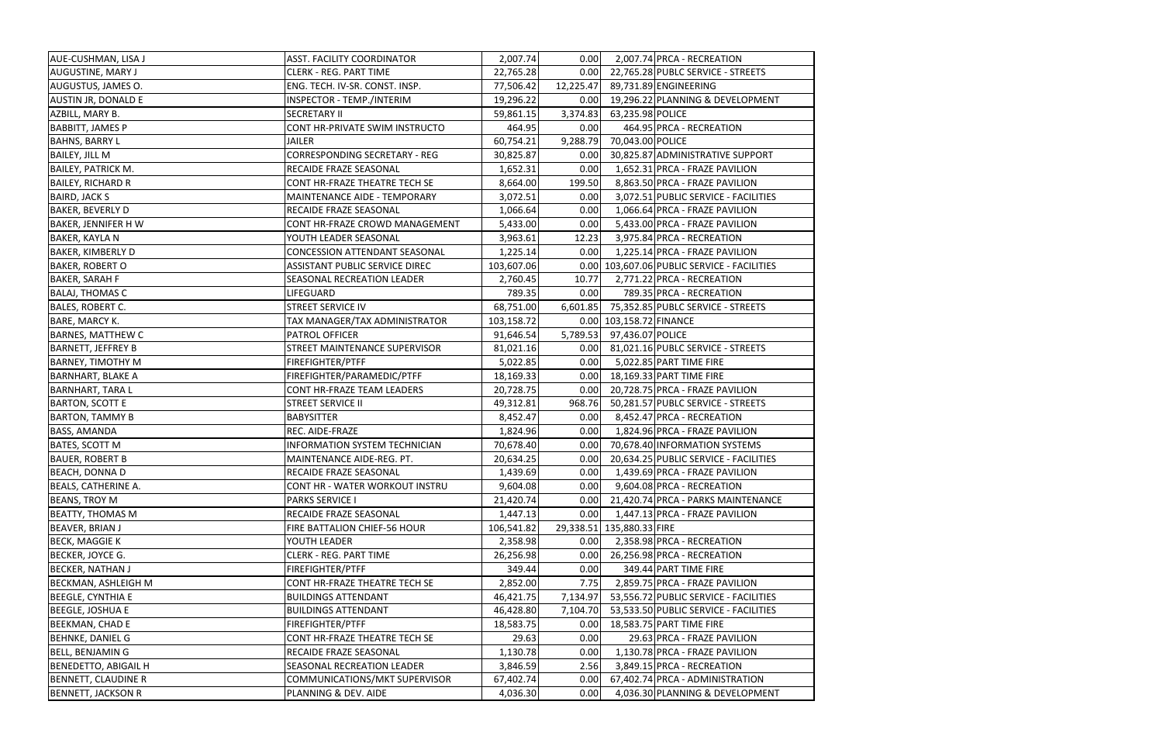| AUE-CUSHMAN, LISA J         | <b>ASST. FACILITY COORDINATOR</b>     | 2,007.74   | 0.00      | 2,007.74 PRCA - RECREATION                  |
|-----------------------------|---------------------------------------|------------|-----------|---------------------------------------------|
| <b>AUGUSTINE, MARY J</b>    | <b>CLERK - REG. PART TIME</b>         | 22,765.28  | 0.00      | 22,765.28 PUBLC SERVICE - STREETS           |
| AUGUSTUS, JAMES O.          | ENG. TECH. IV-SR. CONST. INSP.        | 77,506.42  | 12,225.47 | 89,731.89 ENGINEERING                       |
| <b>AUSTIN JR, DONALD E</b>  | INSPECTOR - TEMP./INTERIM             | 19,296.22  | 0.00      | 19,296.22 PLANNING & DEVELOPMENT            |
| AZBILL, MARY B.             | <b>SECRETARY II</b>                   | 59,861.15  | 3,374.83  | 63,235.98 POLICE                            |
| <b>BABBITT, JAMES P</b>     | CONT HR-PRIVATE SWIM INSTRUCTO        | 464.95     | 0.00      | 464.95 PRCA - RECREATION                    |
| <b>BAHNS, BARRY L</b>       | <b>JAILER</b>                         | 60,754.21  | 9,288.79  | 70,043.00 POLICE                            |
| <b>BAILEY, JILL M</b>       | <b>CORRESPONDING SECRETARY - REG</b>  | 30,825.87  | 0.00      | 30,825.87 ADMINISTRATIVE SUPPORT            |
| <b>BAILEY, PATRICK M.</b>   | RECAIDE FRAZE SEASONAL                | 1,652.31   | 0.00      | 1,652.31 PRCA - FRAZE PAVILION              |
| <b>BAILEY, RICHARD R</b>    | CONT HR-FRAZE THEATRE TECH SE         | 8,664.00   | 199.50    | 8,863.50 PRCA - FRAZE PAVILION              |
| <b>BAIRD, JACK S</b>        | MAINTENANCE AIDE - TEMPORARY          | 3,072.51   | 0.00      | 3,072.51 PUBLIC SERVICE - FACILITIES        |
| <b>BAKER, BEVERLY D</b>     | RECAIDE FRAZE SEASONAL                | 1,066.64   | 0.00      | 1,066.64 PRCA - FRAZE PAVILION              |
| <b>BAKER, JENNIFER HW</b>   | CONT HR-FRAZE CROWD MANAGEMENT        | 5,433.00   | 0.00      | 5,433.00 PRCA - FRAZE PAVILION              |
| <b>BAKER, KAYLA N</b>       | YOUTH LEADER SEASONAL                 | 3,963.61   | 12.23     | 3,975.84 PRCA - RECREATION                  |
| <b>BAKER, KIMBERLY D</b>    | <b>CONCESSION ATTENDANT SEASONAL</b>  | 1,225.14   | 0.00      | 1,225.14 PRCA - FRAZE PAVILION              |
| <b>BAKER, ROBERT O</b>      | <b>ASSISTANT PUBLIC SERVICE DIREC</b> | 103,607.06 |           | 0.00 103,607.06 PUBLIC SERVICE - FACILITIES |
| <b>BAKER, SARAH F</b>       | SEASONAL RECREATION LEADER            | 2,760.45   | 10.77     | 2,771.22 PRCA - RECREATION                  |
| <b>BALAJ, THOMAS C</b>      | LIFEGUARD                             | 789.35     | 0.00      | 789.35 PRCA - RECREATION                    |
| <b>BALES, ROBERT C.</b>     | STREET SERVICE IV                     | 68,751.00  | 6,601.85  | 75,352.85 PUBLC SERVICE - STREETS           |
| BARE, MARCY K.              | TAX MANAGER/TAX ADMINISTRATOR         | 103,158.72 |           | 0.00 103,158.72 FINANCE                     |
| <b>BARNES, MATTHEW C</b>    | PATROL OFFICER                        | 91,646.54  | 5,789.53  | 97,436.07 POLICE                            |
| <b>BARNETT, JEFFREY B</b>   | STREET MAINTENANCE SUPERVISOR         | 81,021.16  | 0.00      | 81,021.16 PUBLC SERVICE - STREETS           |
| <b>BARNEY, TIMOTHY M</b>    | FIREFIGHTER/PTFF                      | 5,022.85   | 0.00      | 5,022.85 PART TIME FIRE                     |
| <b>BARNHART, BLAKE A</b>    | FIREFIGHTER/PARAMEDIC/PTFF            | 18,169.33  | 0.00      | 18,169.33 PART TIME FIRE                    |
| <b>BARNHART, TARA L</b>     | CONT HR-FRAZE TEAM LEADERS            | 20,728.75  | 0.00      | 20,728.75 PRCA - FRAZE PAVILION             |
| <b>BARTON, SCOTT E</b>      | <b>STREET SERVICE II</b>              | 49,312.81  | 968.76    | 50,281.57 PUBLC SERVICE - STREETS           |
| <b>BARTON, TAMMY B</b>      | <b>BABYSITTER</b>                     | 8,452.47   | 0.00      | 8,452.47 PRCA - RECREATION                  |
| <b>BASS, AMANDA</b>         | REC. AIDE-FRAZE                       | 1,824.96   | 0.00      | 1,824.96 PRCA - FRAZE PAVILION              |
| <b>BATES, SCOTT M</b>       | INFORMATION SYSTEM TECHNICIAN         | 70,678.40  | 0.00      | 70,678.40 INFORMATION SYSTEMS               |
| <b>BAUER, ROBERT B</b>      | MAINTENANCE AIDE-REG. PT.             | 20,634.25  | 0.00      | 20,634.25 PUBLIC SERVICE - FACILITIES       |
| <b>BEACH, DONNA D</b>       | RECAIDE FRAZE SEASONAL                | 1,439.69   | 0.00      | 1,439.69 PRCA - FRAZE PAVILION              |
| <b>BEALS, CATHERINE A.</b>  | CONT HR - WATER WORKOUT INSTRU        | 9,604.08   | 0.00      | 9,604.08 PRCA - RECREATION                  |
| <b>BEANS, TROY M</b>        | <b>PARKS SERVICE I</b>                | 21,420.74  | 0.00      | 21,420.74 PRCA - PARKS MAINTENANCE          |
| <b>BEATTY, THOMAS M</b>     | RECAIDE FRAZE SEASONAL                | 1,447.13   | 0.00      | 1,447.13 PRCA - FRAZE PAVILION              |
| <b>BEAVER, BRIAN J</b>      | FIRE BATTALION CHIEF-56 HOUR          | 106,541.82 | 29,338.51 | 135,880.33 FIRE                             |
| <b>BECK, MAGGIE K</b>       | YOUTH LEADER                          | 2,358.98   | 0.00      | 2,358.98 PRCA - RECREATION                  |
| BECKER, JOYCE G.            | <b>CLERK - REG. PART TIME</b>         | 26,256.98  | 0.00      | 26,256.98 PRCA - RECREATION                 |
| <b>BECKER, NATHAN J</b>     | <b>FIREFIGHTER/PTFF</b>               | 349.44     | 0.00      | 349.44 PART TIME FIRE                       |
| <b>BECKMAN, ASHLEIGH M</b>  | CONT HR-FRAZE THEATRE TECH SE         | 2,852.00   | 7.75      | 2,859.75 PRCA - FRAZE PAVILION              |
| <b>BEEGLE, CYNTHIA E</b>    | <b>BUILDINGS ATTENDANT</b>            | 46,421.75  | 7,134.97  | 53,556.72 PUBLIC SERVICE - FACILITIES       |
| <b>BEEGLE, JOSHUA E</b>     | <b>BUILDINGS ATTENDANT</b>            | 46,428.80  | 7,104.70  | 53,533.50 PUBLIC SERVICE - FACILITIES       |
| <b>BEEKMAN, CHAD E</b>      | <b>FIREFIGHTER/PTFF</b>               | 18,583.75  | 0.00      | 18,583.75 PART TIME FIRE                    |
| <b>BEHNKE, DANIEL G</b>     | CONT HR-FRAZE THEATRE TECH SE         | 29.63      | 0.00      | 29.63 PRCA - FRAZE PAVILION                 |
| BELL, BENJAMIN G            | RECAIDE FRAZE SEASONAL                | 1,130.78   | 0.00      | 1,130.78 PRCA - FRAZE PAVILION              |
| <b>BENEDETTO, ABIGAIL H</b> | SEASONAL RECREATION LEADER            | 3,846.59   | 2.56      | 3,849.15 PRCA - RECREATION                  |
| <b>BENNETT, CLAUDINE R</b>  | COMMUNICATIONS/MKT SUPERVISOR         | 67,402.74  | 0.00      | 67,402.74 PRCA - ADMINISTRATION             |
| <b>BENNETT, JACKSON R</b>   | PLANNING & DEV. AIDE                  | 4,036.30   | 0.00      | 4,036.30 PLANNING & DEVELOPMENT             |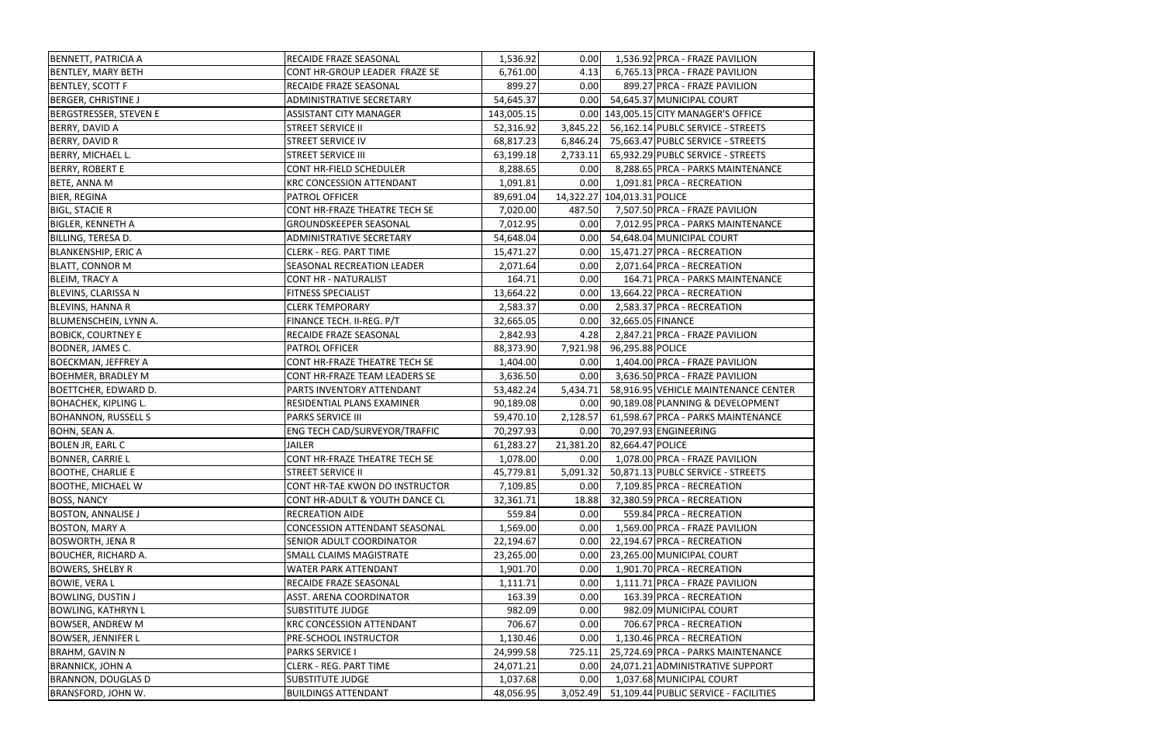| <b>BENNETT, PATRICIA A</b>    | RECAIDE FRAZE SEASONAL               | 1,536.92   | 0.00      | 1,536.92 PRCA - FRAZE PAVILION        |
|-------------------------------|--------------------------------------|------------|-----------|---------------------------------------|
| <b>BENTLEY, MARY BETH</b>     | CONT HR-GROUP LEADER FRAZE SE        | 6,761.00   | 4.13      | 6,765.13 PRCA - FRAZE PAVILION        |
| <b>BENTLEY, SCOTT F</b>       | RECAIDE FRAZE SEASONAL               | 899.27     | 0.00      | 899.27 PRCA - FRAZE PAVILION          |
| <b>BERGER, CHRISTINE J</b>    | ADMINISTRATIVE SECRETARY             | 54,645.37  | 0.00      | 54,645.37 MUNICIPAL COURT             |
| <b>BERGSTRESSER, STEVEN E</b> | <b>ASSISTANT CITY MANAGER</b>        | 143,005.15 |           | 0.00 143,005.15 CITY MANAGER'S OFFICE |
| <b>BERRY, DAVID A</b>         | <b>STREET SERVICE II</b>             | 52,316.92  | 3,845.22  | 56,162.14 PUBLC SERVICE - STREETS     |
| BERRY, DAVID R                | <b>STREET SERVICE IV</b>             | 68,817.23  | 6,846.24  | 75,663.47 PUBLC SERVICE - STREETS     |
| BERRY, MICHAEL L.             | <b>STREET SERVICE III</b>            | 63,199.18  | 2,733.11  | 65,932.29 PUBLC SERVICE - STREETS     |
| <b>BERRY, ROBERT E</b>        | CONT HR-FIELD SCHEDULER              | 8,288.65   | 0.00      | 8,288.65 PRCA - PARKS MAINTENANCE     |
| <b>BETE, ANNA M</b>           | <b>KRC CONCESSION ATTENDANT</b>      | 1,091.81   | 0.00      | 1,091.81 PRCA - RECREATION            |
| <b>BIER, REGINA</b>           | PATROL OFFICER                       | 89,691.04  |           | 14,322.27 104,013.31 POLICE           |
| <b>BIGL, STACIE R</b>         | CONT HR-FRAZE THEATRE TECH SE        | 7,020.00   | 487.50    | 7,507.50 PRCA - FRAZE PAVILION        |
| <b>BIGLER, KENNETH A</b>      | GROUNDSKEEPER SEASONAL               | 7,012.95   | 0.00      | 7,012.95 PRCA - PARKS MAINTENANCE     |
| BILLING, TERESA D.            | ADMINISTRATIVE SECRETARY             | 54,648.04  | 0.00      | 54,648.04 MUNICIPAL COURT             |
| <b>BLANKENSHIP, ERIC A</b>    | <b>CLERK - REG. PART TIME</b>        | 15,471.27  | 0.00      | 15,471.27 PRCA - RECREATION           |
| <b>BLATT, CONNOR M</b>        | SEASONAL RECREATION LEADER           | 2,071.64   | 0.00      | 2,071.64 PRCA - RECREATION            |
| <b>BLEIM, TRACY A</b>         | <b>CONT HR - NATURALIST</b>          | 164.71     | 0.00      | 164.71 PRCA - PARKS MAINTENANCE       |
| <b>BLEVINS, CLARISSA N</b>    | <b>FITNESS SPECIALIST</b>            | 13,664.22  | 0.00      | 13,664.22 PRCA - RECREATION           |
| <b>BLEVINS, HANNA R</b>       | <b>CLERK TEMPORARY</b>               | 2,583.37   | 0.00      | 2,583.37 PRCA - RECREATION            |
| BLUMENSCHEIN, LYNN A.         | FINANCE TECH. II-REG. P/T            | 32,665.05  | 0.00      | 32,665.05 FINANCE                     |
| <b>BOBICK, COURTNEY E</b>     | RECAIDE FRAZE SEASONAL               | 2,842.93   | 4.28      | 2,847.21 PRCA - FRAZE PAVILION        |
| BODNER, JAMES C.              | PATROL OFFICER                       | 88,373.90  | 7,921.98  | 96,295.88 POLICE                      |
| <b>BOECKMAN, JEFFREY A</b>    | CONT HR-FRAZE THEATRE TECH SE        | 1,404.00   | 0.00      | 1,404.00 PRCA - FRAZE PAVILION        |
| <b>BOEHMER, BRADLEY M</b>     | CONT HR-FRAZE TEAM LEADERS SE        | 3,636.50   | 0.00      | 3,636.50 PRCA - FRAZE PAVILION        |
| <b>BOETTCHER, EDWARD D.</b>   | PARTS INVENTORY ATTENDANT            | 53,482.24  | 5,434.71  | 58,916.95 VEHICLE MAINTENANCE CENTER  |
| <b>BOHACHEK, KIPLING L.</b>   | RESIDENTIAL PLANS EXAMINER           | 90,189.08  | 0.00      | 90,189.08 PLANNING & DEVELOPMENT      |
| <b>BOHANNON, RUSSELL S</b>    | <b>PARKS SERVICE III</b>             | 59,470.10  | 2,128.57  | 61,598.67 PRCA - PARKS MAINTENANCE    |
| BOHN, SEAN A.                 | ENG TECH CAD/SURVEYOR/TRAFFIC        | 70,297.93  | 0.00      | 70,297.93 ENGINEERING                 |
| <b>BOLEN JR, EARL C</b>       | <b>JAILER</b>                        | 61,283.27  | 21,381.20 | 82,664.47 POLICE                      |
| <b>BONNER, CARRIE L</b>       | CONT HR-FRAZE THEATRE TECH SE        | 1,078.00   | 0.00      | 1,078.00 PRCA - FRAZE PAVILION        |
| <b>BOOTHE, CHARLIE E</b>      | <b>STREET SERVICE II</b>             | 45,779.81  | 5,091.32  | 50,871.13 PUBLC SERVICE - STREETS     |
| <b>BOOTHE, MICHAEL W</b>      | CONT HR-TAE KWON DO INSTRUCTOR       | 7,109.85   | 0.00      | 7,109.85 PRCA - RECREATION            |
| <b>BOSS, NANCY</b>            | CONT HR-ADULT & YOUTH DANCE CL       | 32,361.71  | 18.88     | 32,380.59 PRCA - RECREATION           |
| <b>BOSTON, ANNALISE J</b>     | <b>RECREATION AIDE</b>               | 559.84     | 0.00      | 559.84 PRCA - RECREATION              |
| <b>BOSTON, MARY A</b>         | <b>CONCESSION ATTENDANT SEASONAL</b> | 1,569.00   | 0.00      | 1,569.00 PRCA - FRAZE PAVILION        |
| <b>BOSWORTH, JENA R</b>       | SENIOR ADULT COORDINATOR             | 22,194.67  | 0.00      | 22,194.67 PRCA - RECREATION           |
| <b>BOUCHER, RICHARD A.</b>    | SMALL CLAIMS MAGISTRATE              | 23,265.00  | 0.00      | 23,265.00 MUNICIPAL COURT             |
| <b>BOWERS, SHELBY R</b>       | WATER PARK ATTENDANT                 | 1,901.70   | 0.00      | 1,901.70 PRCA - RECREATION            |
| <b>BOWIE, VERA L</b>          | RECAIDE FRAZE SEASONAL               | 1,111.71   | 0.00      | 1,111.71 PRCA - FRAZE PAVILION        |
| <b>BOWLING, DUSTIN J</b>      | ASST. ARENA COORDINATOR              | 163.39     | 0.00      | 163.39 PRCA - RECREATION              |
| <b>BOWLING, KATHRYN L</b>     | <b>SUBSTITUTE JUDGE</b>              | 982.09     | 0.00      | 982.09 MUNICIPAL COURT                |
| <b>BOWSER, ANDREW M</b>       | <b>KRC CONCESSION ATTENDANT</b>      | 706.67     | 0.00      | 706.67 PRCA - RECREATION              |
| <b>BOWSER, JENNIFER L</b>     | PRE-SCHOOL INSTRUCTOR                | 1,130.46   | 0.00      | 1,130.46 PRCA - RECREATION            |
| <b>BRAHM, GAVIN N</b>         | <b>PARKS SERVICE I</b>               | 24,999.58  | 725.11    | 25,724.69 PRCA - PARKS MAINTENANCE    |
| <b>BRANNICK, JOHN A</b>       | <b>CLERK - REG. PART TIME</b>        | 24,071.21  | 0.00      | 24,071.21 ADMINISTRATIVE SUPPORT      |
| <b>BRANNON, DOUGLAS D</b>     | <b>SUBSTITUTE JUDGE</b>              | 1,037.68   | 0.00      | 1,037.68 MUNICIPAL COURT              |
| BRANSFORD, JOHN W.            | <b>BUILDINGS ATTENDANT</b>           | 48,056.95  | 3,052.49  | 51,109.44 PUBLIC SERVICE - FACILITIES |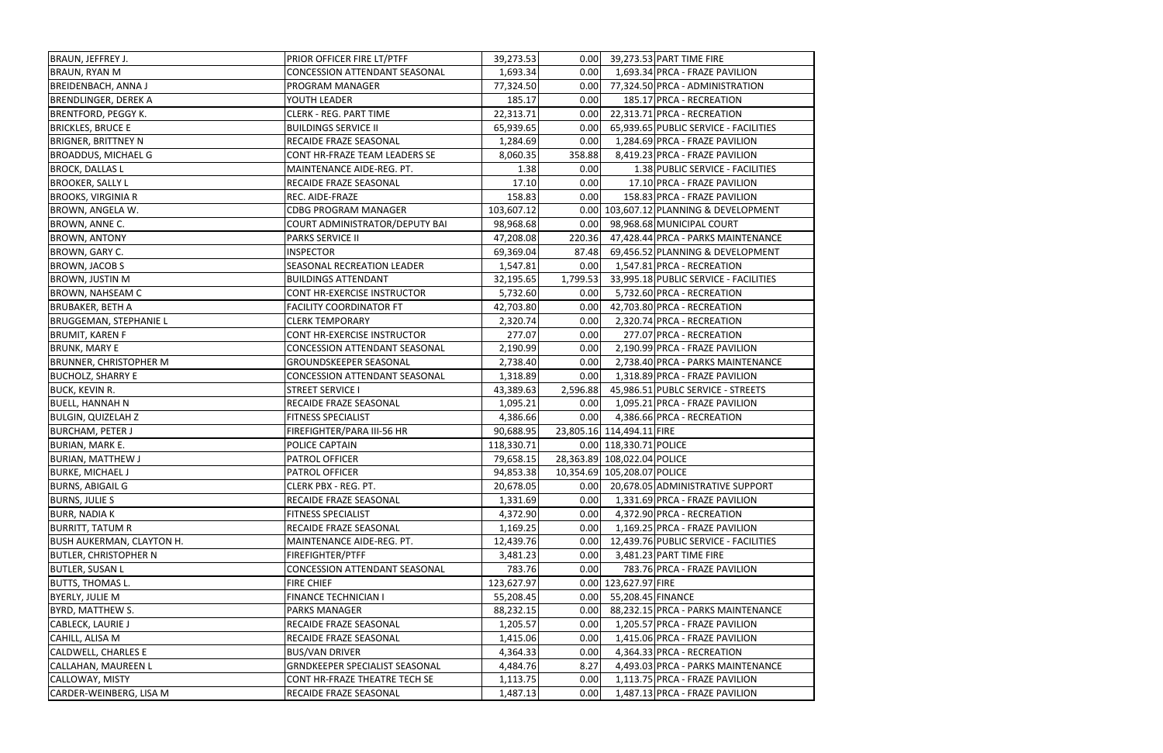| BRAUN, JEFFREY J.                | PRIOR OFFICER FIRE LT/PTFF           | 39,273.53  | 0.00     | 39,273.53 PART TIME FIRE               |
|----------------------------------|--------------------------------------|------------|----------|----------------------------------------|
| <b>BRAUN, RYAN M</b>             | <b>CONCESSION ATTENDANT SEASONAL</b> | 1,693.34   | 0.00     | 1,693.34 PRCA - FRAZE PAVILION         |
| <b>BREIDENBACH, ANNA J</b>       | PROGRAM MANAGER                      | 77,324.50  | 0.00     | 77,324.50 PRCA - ADMINISTRATION        |
| <b>BRENDLINGER, DEREK A</b>      | YOUTH LEADER                         | 185.17     | 0.00     | 185.17 PRCA - RECREATION               |
| <b>BRENTFORD, PEGGY K.</b>       | <b>CLERK - REG. PART TIME</b>        | 22,313.71  | 0.00     | 22,313.71 PRCA - RECREATION            |
| <b>BRICKLES, BRUCE E</b>         | <b>BUILDINGS SERVICE II</b>          | 65,939.65  | 0.00     | 65,939.65 PUBLIC SERVICE - FACILITIES  |
| <b>BRIGNER, BRITTNEY N</b>       | RECAIDE FRAZE SEASONAL               | 1,284.69   | 0.00     | 1,284.69 PRCA - FRAZE PAVILION         |
| <b>BROADDUS, MICHAEL G</b>       | CONT HR-FRAZE TEAM LEADERS SE        | 8,060.35   | 358.88   | 8,419.23 PRCA - FRAZE PAVILION         |
| <b>BROCK, DALLAS L</b>           | MAINTENANCE AIDE-REG. PT.            | 1.38       | 0.00     | 1.38 PUBLIC SERVICE - FACILITIES       |
| <b>BROOKER, SALLY L</b>          | RECAIDE FRAZE SEASONAL               | 17.10      | 0.00     | 17.10 PRCA - FRAZE PAVILION            |
| <b>BROOKS, VIRGINIA R</b>        | REC. AIDE-FRAZE                      | 158.83     | 0.00     | 158.83 PRCA - FRAZE PAVILION           |
| BROWN, ANGELA W.                 | <b>CDBG PROGRAM MANAGER</b>          | 103,607.12 |          | 0.00 103,607.12 PLANNING & DEVELOPMENT |
| BROWN, ANNE C.                   | COURT ADMINISTRATOR/DEPUTY BAI       | 98,968.68  | 0.00     | 98,968.68 MUNICIPAL COURT              |
| <b>BROWN, ANTONY</b>             | <b>PARKS SERVICE II</b>              | 47,208.08  | 220.36   | 47,428.44 PRCA - PARKS MAINTENANCE     |
| BROWN, GARY C.                   | <b>INSPECTOR</b>                     | 69,369.04  | 87.48    | 69,456.52 PLANNING & DEVELOPMENT       |
| <b>BROWN, JACOB S</b>            | SEASONAL RECREATION LEADER           | 1,547.81   | 0.00     | 1,547.81 PRCA - RECREATION             |
| <b>BROWN, JUSTIN M</b>           | <b>BUILDINGS ATTENDANT</b>           | 32,195.65  | 1,799.53 | 33,995.18 PUBLIC SERVICE - FACILITIES  |
| <b>BROWN, NAHSEAM C</b>          | CONT HR-EXERCISE INSTRUCTOR          | 5,732.60   | 0.00     | 5,732.60 PRCA - RECREATION             |
| <b>BRUBAKER, BETH A</b>          | <b>FACILITY COORDINATOR FT</b>       | 42,703.80  | 0.00     | 42,703.80 PRCA - RECREATION            |
| <b>BRUGGEMAN, STEPHANIE L</b>    | <b>CLERK TEMPORARY</b>               | 2,320.74   | 0.00     | 2,320.74 PRCA - RECREATION             |
| <b>BRUMIT, KAREN F</b>           | CONT HR-EXERCISE INSTRUCTOR          | 277.07     | 0.00     | 277.07 PRCA - RECREATION               |
| <b>BRUNK, MARY E</b>             | <b>CONCESSION ATTENDANT SEASONAL</b> | 2,190.99   | 0.00     | 2,190.99 PRCA - FRAZE PAVILION         |
| <b>BRUNNER, CHRISTOPHER M</b>    | GROUNDSKEEPER SEASONAL               | 2,738.40   | 0.00     | 2,738.40 PRCA - PARKS MAINTENANCE      |
| <b>BUCHOLZ, SHARRY E</b>         | CONCESSION ATTENDANT SEASONAL        | 1,318.89   | 0.00     | 1,318.89 PRCA - FRAZE PAVILION         |
| <b>BUCK, KEVIN R.</b>            | <b>STREET SERVICE I</b>              | 43,389.63  | 2,596.88 | 45,986.51 PUBLC SERVICE - STREETS      |
| <b>BUELL, HANNAH N</b>           | RECAIDE FRAZE SEASONAL               | 1,095.21   | 0.00     | 1,095.21 PRCA - FRAZE PAVILION         |
| <b>BULGIN, QUIZELAH Z</b>        | <b>FITNESS SPECIALIST</b>            | 4,386.66   | 0.00     | 4,386.66 PRCA - RECREATION             |
| <b>BURCHAM, PETER J</b>          | FIREFIGHTER/PARA III-56 HR           | 90,688.95  |          | 23,805.16 114,494.11 FIRE              |
| <b>BURIAN, MARK E.</b>           | POLICE CAPTAIN                       | 118,330.71 |          | 0.00 118,330.71 POLICE                 |
| <b>BURIAN, MATTHEW J</b>         | PATROL OFFICER                       | 79,658.15  |          | 28,363.89 108,022.04 POLICE            |
| <b>BURKE, MICHAEL J</b>          | <b>PATROL OFFICER</b>                | 94,853.38  |          | 10,354.69 105,208.07 POLICE            |
| <b>BURNS, ABIGAIL G</b>          | CLERK PBX - REG. PT.                 | 20,678.05  | 0.00     | 20,678.05 ADMINISTRATIVE SUPPORT       |
| <b>BURNS, JULIE S</b>            | RECAIDE FRAZE SEASONAL               | 1,331.69   | 0.00     | 1,331.69 PRCA - FRAZE PAVILION         |
| <b>BURR, NADIA K</b>             | <b>FITNESS SPECIALIST</b>            | 4,372.90   | 0.00     | 4,372.90 PRCA - RECREATION             |
| <b>BURRITT, TATUM R</b>          | RECAIDE FRAZE SEASONAL               | 1,169.25   | 0.00     | 1,169.25 PRCA - FRAZE PAVILION         |
| <b>BUSH AUKERMAN, CLAYTON H.</b> | MAINTENANCE AIDE-REG. PT.            | 12,439.76  | 0.00     | 12,439.76 PUBLIC SERVICE - FACILITIES  |
| <b>BUTLER, CHRISTOPHER N</b>     | FIREFIGHTER/PTFF                     | 3,481.23   | 0.00     | 3,481.23 PART TIME FIRE                |
| <b>BUTLER, SUSAN L</b>           | <b>CONCESSION ATTENDANT SEASONAL</b> | 783.76     | 0.00     | 783.76 PRCA - FRAZE PAVILION           |
| <b>BUTTS, THOMAS L.</b>          | <b>FIRE CHIEF</b>                    | 123,627.97 |          | 0.00 123,627.97 FIRE                   |
| <b>BYERLY, JULIE M</b>           | <b>FINANCE TECHNICIAN I</b>          | 55,208.45  | 0.00     | 55,208.45 FINANCE                      |
| <b>BYRD, MATTHEW S.</b>          | <b>PARKS MANAGER</b>                 | 88,232.15  | 0.00     | 88,232.15 PRCA - PARKS MAINTENANCE     |
| CABLECK, LAURIE J                | RECAIDE FRAZE SEASONAL               | 1,205.57   | 0.00     | 1,205.57 PRCA - FRAZE PAVILION         |
| CAHILL, ALISA M                  | RECAIDE FRAZE SEASONAL               | 1,415.06   | 0.00     | 1,415.06 PRCA - FRAZE PAVILION         |
| <b>CALDWELL, CHARLES E</b>       | <b>BUS/VAN DRIVER</b>                | 4,364.33   | 0.00     | 4,364.33 PRCA - RECREATION             |
| <b>CALLAHAN, MAUREEN L</b>       | GRNDKEEPER SPECIALIST SEASONAL       | 4,484.76   | 8.27     | 4,493.03 PRCA - PARKS MAINTENANCE      |
| CALLOWAY, MISTY                  | CONT HR-FRAZE THEATRE TECH SE        | 1,113.75   | 0.00     | 1,113.75 PRCA - FRAZE PAVILION         |
| CARDER-WEINBERG, LISA M          | RECAIDE FRAZE SEASONAL               | 1,487.13   | 0.00     | 1,487.13 PRCA - FRAZE PAVILION         |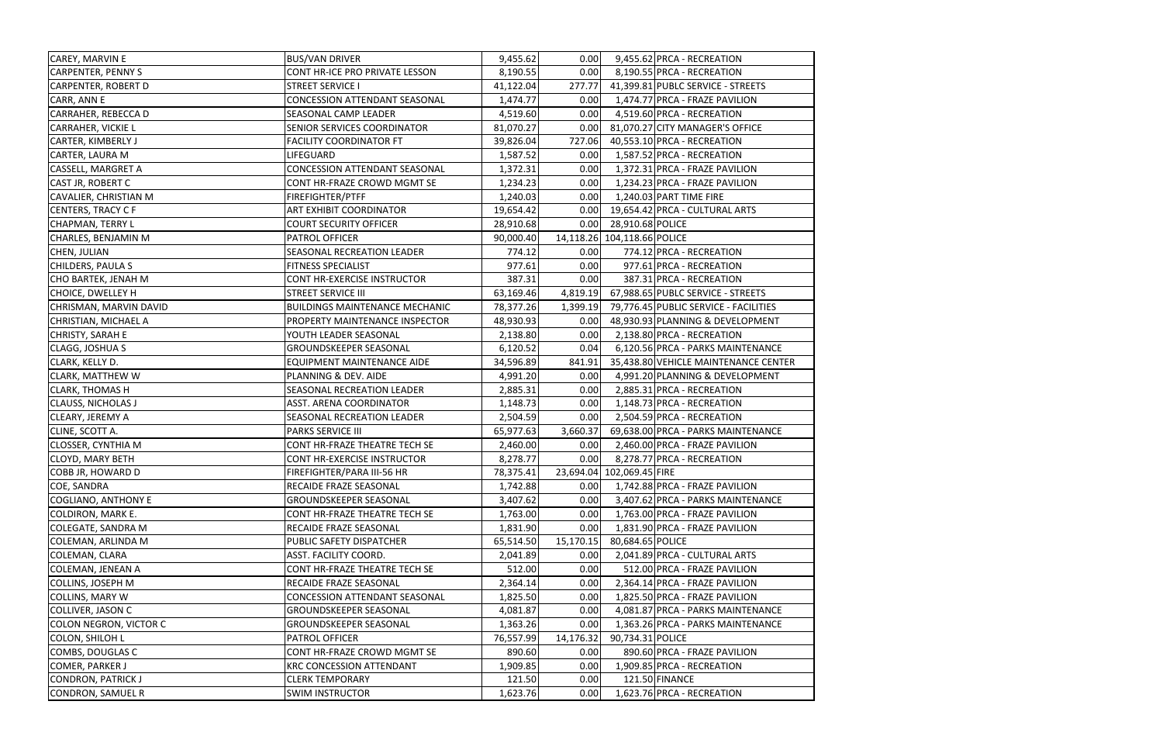| CAREY, MARVIN E            | <b>BUS/VAN DRIVER</b>                 | 9,455.62  | 0.00      | 9,455.62 PRCA - RECREATION            |
|----------------------------|---------------------------------------|-----------|-----------|---------------------------------------|
| <b>CARPENTER, PENNY S</b>  | CONT HR-ICE PRO PRIVATE LESSON        | 8,190.55  | 0.00      | 8,190.55 PRCA - RECREATION            |
| <b>CARPENTER, ROBERT D</b> | <b>STREET SERVICE I</b>               | 41,122.04 | 277.77    | 41,399.81 PUBLC SERVICE - STREETS     |
| CARR, ANN E                | <b>CONCESSION ATTENDANT SEASONAL</b>  | 1,474.77  | 0.00      | 1,474.77 PRCA - FRAZE PAVILION        |
| <b>CARRAHER, REBECCA D</b> | SEASONAL CAMP LEADER                  | 4,519.60  | 0.00      | 4,519.60 PRCA - RECREATION            |
| <b>CARRAHER, VICKIE L</b>  | SENIOR SERVICES COORDINATOR           | 81,070.27 | 0.00      | 81,070.27 CITY MANAGER'S OFFICE       |
| <b>CARTER, KIMBERLY J</b>  | <b>FACILITY COORDINATOR FT</b>        | 39,826.04 | 727.06    | 40,553.10 PRCA - RECREATION           |
| CARTER, LAURA M            | LIFEGUARD                             | 1,587.52  | 0.00      | 1,587.52 PRCA - RECREATION            |
| <b>CASSELL, MARGRET A</b>  | <b>CONCESSION ATTENDANT SEASONAL</b>  | 1,372.31  | 0.00      | 1,372.31 PRCA - FRAZE PAVILION        |
| <b>CAST JR, ROBERT C</b>   | CONT HR-FRAZE CROWD MGMT SE           | 1,234.23  | 0.00      | 1,234.23 PRCA - FRAZE PAVILION        |
| CAVALIER, CHRISTIAN M      | FIREFIGHTER/PTFF                      | 1,240.03  | 0.00      | 1,240.03 PART TIME FIRE               |
| <b>CENTERS, TRACY C F</b>  | ART EXHIBIT COORDINATOR               | 19,654.42 | 0.00      | 19,654.42 PRCA - CULTURAL ARTS        |
| <b>CHAPMAN, TERRY L</b>    | <b>COURT SECURITY OFFICER</b>         | 28,910.68 | 0.00      | 28,910.68 POLICE                      |
| CHARLES, BENJAMIN M        | PATROL OFFICER                        | 90,000.40 |           | 14,118.26 104,118.66 POLICE           |
| CHEN, JULIAN               | SEASONAL RECREATION LEADER            | 774.12    | 0.00      | 774.12 PRCA - RECREATION              |
| CHILDERS, PAULA S          | FITNESS SPECIALIST                    | 977.61    | 0.00      | 977.61 PRCA - RECREATION              |
| CHO BARTEK, JENAH M        | <b>CONT HR-EXERCISE INSTRUCTOR</b>    | 387.31    | 0.00      | 387.31 PRCA - RECREATION              |
| <b>CHOICE, DWELLEY H</b>   | <b>STREET SERVICE III</b>             | 63,169.46 | 4,819.19  | 67,988.65 PUBLC SERVICE - STREETS     |
| CHRISMAN, MARVIN DAVID     | <b>BUILDINGS MAINTENANCE MECHANIC</b> | 78,377.26 | 1,399.19  | 79,776.45 PUBLIC SERVICE - FACILITIES |
| CHRISTIAN, MICHAEL A       | PROPERTY MAINTENANCE INSPECTOR        | 48,930.93 | 0.00      | 48,930.93 PLANNING & DEVELOPMENT      |
| CHRISTY, SARAH E           | YOUTH LEADER SEASONAL                 | 2,138.80  | 0.00      | 2,138.80 PRCA - RECREATION            |
| CLAGG, JOSHUA S            | <b>GROUNDSKEEPER SEASONAL</b>         | 6,120.52  | 0.04      | 6,120.56 PRCA - PARKS MAINTENANCE     |
| CLARK, KELLY D.            | <b>EQUIPMENT MAINTENANCE AIDE</b>     | 34,596.89 | 841.91    | 35,438.80 VEHICLE MAINTENANCE CENTER  |
| <b>CLARK, MATTHEW W</b>    | PLANNING & DEV. AIDE                  | 4,991.20  | 0.00      | 4,991.20 PLANNING & DEVELOPMENT       |
| <b>CLARK, THOMAS H</b>     | SEASONAL RECREATION LEADER            | 2,885.31  | 0.00      | 2,885.31 PRCA - RECREATION            |
| <b>CLAUSS, NICHOLAS J</b>  | ASST. ARENA COORDINATOR               | 1,148.73  | 0.00      | 1,148.73 PRCA - RECREATION            |
| <b>CLEARY, JEREMY A</b>    | SEASONAL RECREATION LEADER            | 2,504.59  | 0.00      | 2,504.59 PRCA - RECREATION            |
| CLINE, SCOTT A.            | <b>PARKS SERVICE III</b>              | 65,977.63 | 3,660.37  | 69,638.00 PRCA - PARKS MAINTENANCE    |
| <b>CLOSSER, CYNTHIA M</b>  | CONT HR-FRAZE THEATRE TECH SE         | 2,460.00  | 0.00      | 2,460.00 PRCA - FRAZE PAVILION        |
| <b>CLOYD, MARY BETH</b>    | CONT HR-EXERCISE INSTRUCTOR           | 8,278.77  | 0.00      | 8,278.77 PRCA - RECREATION            |
| <b>COBB JR, HOWARD D</b>   | FIREFIGHTER/PARA III-56 HR            | 78,375.41 |           | 23,694.04 102,069.45 FIRE             |
| <b>COE, SANDRA</b>         | RECAIDE FRAZE SEASONAL                | 1,742.88  | 0.00      | 1,742.88 PRCA - FRAZE PAVILION        |
| COGLIANO, ANTHONY E        | GROUNDSKEEPER SEASONAL                | 3,407.62  | 0.00      | 3,407.62 PRCA - PARKS MAINTENANCE     |
| <b>COLDIRON, MARK E.</b>   | CONT HR-FRAZE THEATRE TECH SE         | 1,763.00  | 0.00      | 1,763.00 PRCA - FRAZE PAVILION        |
| <b>COLEGATE, SANDRA M</b>  | RECAIDE FRAZE SEASONAL                | 1,831.90  | 0.00      | 1,831.90 PRCA - FRAZE PAVILION        |
| <b>COLEMAN, ARLINDA M</b>  | PUBLIC SAFETY DISPATCHER              | 65,514.50 | 15,170.15 | 80,684.65 POLICE                      |
| COLEMAN, CLARA             | ASST. FACILITY COORD.                 | 2,041.89  | 0.00      | 2,041.89 PRCA - CULTURAL ARTS         |
| <b>COLEMAN, JENEAN A</b>   | CONT HR-FRAZE THEATRE TECH SE         | 512.00    | 0.00      | 512.00 PRCA - FRAZE PAVILION          |
| <b>COLLINS, JOSEPH M</b>   | RECAIDE FRAZE SEASONAL                | 2,364.14  | 0.00      | 2,364.14 PRCA - FRAZE PAVILION        |
| <b>COLLINS, MARY W</b>     | <b>CONCESSION ATTENDANT SEASONAL</b>  | 1,825.50  | 0.00      | 1,825.50 PRCA - FRAZE PAVILION        |
| <b>COLLIVER, JASON C</b>   | GROUNDSKEEPER SEASONAL                | 4,081.87  | 0.00      | 4,081.87 PRCA - PARKS MAINTENANCE     |
| COLON NEGRON, VICTOR C     | GROUNDSKEEPER SEASONAL                | 1,363.26  | 0.00      | 1,363.26 PRCA - PARKS MAINTENANCE     |
| <b>COLON, SHILOH L</b>     | PATROL OFFICER                        | 76,557.99 | 14,176.32 | 90,734.31 POLICE                      |
| COMBS, DOUGLAS C           | CONT HR-FRAZE CROWD MGMT SE           | 890.60    | 0.00      | 890.60 PRCA - FRAZE PAVILION          |
| COMER, PARKER J            | <b>KRC CONCESSION ATTENDANT</b>       | 1,909.85  | 0.00      | 1,909.85 PRCA - RECREATION            |
| <b>CONDRON, PATRICK J</b>  | <b>CLERK TEMPORARY</b>                | 121.50    | 0.00      | 121.50 FINANCE                        |
| <b>CONDRON, SAMUEL R</b>   | <b>SWIM INSTRUCTOR</b>                | 1,623.76  | 0.00      | 1,623.76 PRCA - RECREATION            |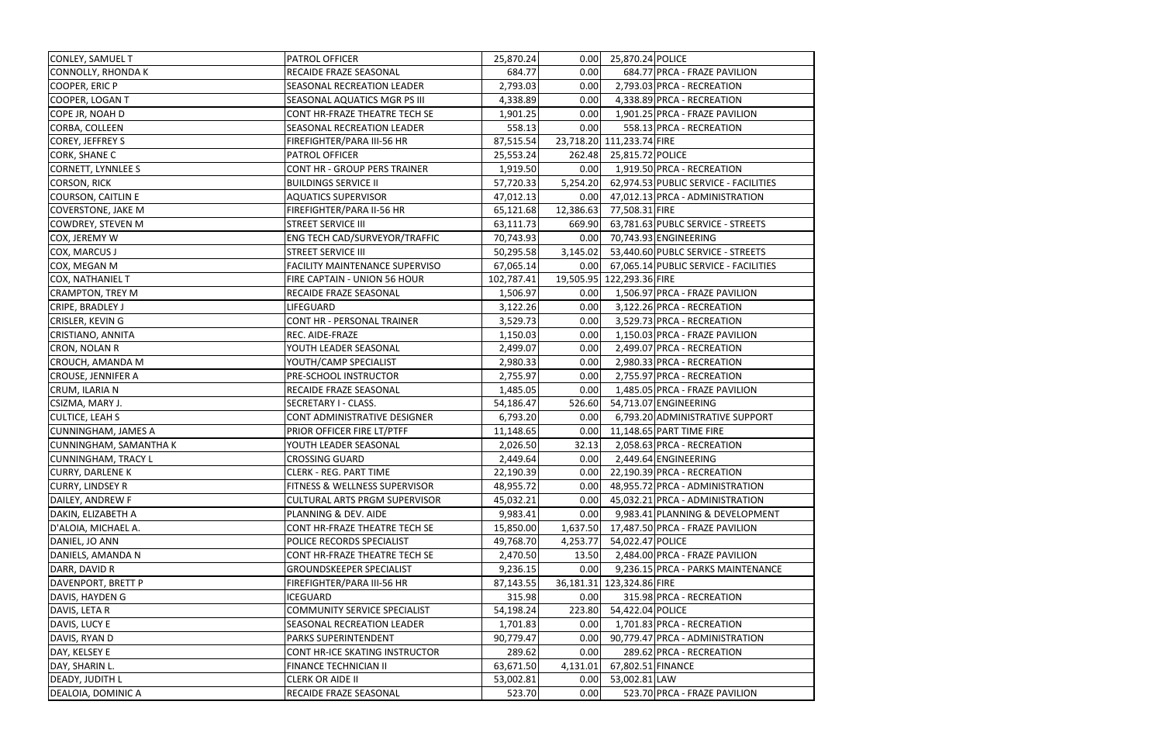| CONLEY, SAMUEL T              | PATROL OFFICER                        | 25,870.24  | 0.00      | 25,870.24 POLICE          |                                       |
|-------------------------------|---------------------------------------|------------|-----------|---------------------------|---------------------------------------|
| <b>CONNOLLY, RHONDAK</b>      | RECAIDE FRAZE SEASONAL                | 684.77     | 0.00      |                           | 684.77 PRCA - FRAZE PAVILION          |
| COOPER, ERIC P                | SEASONAL RECREATION LEADER            | 2,793.03   | 0.00      |                           | 2,793.03 PRCA - RECREATION            |
| COOPER, LOGAN T               | SEASONAL AQUATICS MGR PS III          | 4,338.89   | 0.00      |                           | 4,338.89 PRCA - RECREATION            |
| COPE JR, NOAH D               | CONT HR-FRAZE THEATRE TECH SE         | 1,901.25   | 0.00      |                           | 1,901.25 PRCA - FRAZE PAVILION        |
| CORBA, COLLEEN                | SEASONAL RECREATION LEADER            | 558.13     | 0.00      |                           | 558.13 PRCA - RECREATION              |
| COREY, JEFFREY S              | FIREFIGHTER/PARA III-56 HR            | 87,515.54  |           | 23,718.20 111,233.74 FIRE |                                       |
| <b>CORK, SHANE C</b>          | PATROL OFFICER                        | 25,553.24  | 262.48    | 25,815.72 POLICE          |                                       |
| CORNETT, LYNNLEE S            | <b>CONT HR - GROUP PERS TRAINER</b>   | 1,919.50   | 0.00      |                           | 1,919.50 PRCA - RECREATION            |
| <b>CORSON, RICK</b>           | <b>BUILDINGS SERVICE II</b>           | 57,720.33  | 5,254.20  |                           | 62,974.53 PUBLIC SERVICE - FACILITIES |
| <b>COURSON, CAITLIN E</b>     | <b>AQUATICS SUPERVISOR</b>            | 47,012.13  | 0.00      |                           | 47,012.13 PRCA - ADMINISTRATION       |
| <b>COVERSTONE, JAKE M</b>     | FIREFIGHTER/PARA II-56 HR             | 65,121.68  | 12,386.63 | 77,508.31 FIRE            |                                       |
| COWDREY, STEVEN M             | <b>STREET SERVICE III</b>             | 63,111.73  | 669.90    |                           | 63,781.63 PUBLC SERVICE - STREETS     |
| COX, JEREMY W                 | ENG TECH CAD/SURVEYOR/TRAFFIC         | 70,743.93  | 0.00      |                           | 70,743.93 ENGINEERING                 |
| COX, MARCUS J                 | <b>STREET SERVICE III</b>             | 50,295.58  | 3,145.02  |                           | 53,440.60 PUBLC SERVICE - STREETS     |
| COX, MEGAN M                  | <b>FACILITY MAINTENANCE SUPERVISO</b> | 67,065.14  | 0.00      |                           | 67,065.14 PUBLIC SERVICE - FACILITIES |
| <b>COX, NATHANIEL T</b>       | FIRE CAPTAIN - UNION 56 HOUR          | 102,787.41 |           | 19,505.95 122,293.36 FIRE |                                       |
| <b>CRAMPTON, TREY M</b>       | RECAIDE FRAZE SEASONAL                | 1,506.97   | 0.00      |                           | 1,506.97 PRCA - FRAZE PAVILION        |
| CRIPE, BRADLEY J              | LIFEGUARD                             | 3,122.26   | 0.00      |                           | 3,122.26 PRCA - RECREATION            |
| <b>CRISLER, KEVING</b>        | CONT HR - PERSONAL TRAINER            | 3,529.73   | 0.00      |                           | 3,529.73 PRCA - RECREATION            |
| CRISTIANO, ANNITA             | REC. AIDE-FRAZE                       | 1,150.03   | 0.00      |                           | 1,150.03 PRCA - FRAZE PAVILION        |
| <b>CRON, NOLAN R</b>          | YOUTH LEADER SEASONAL                 | 2,499.07   | 0.00      |                           | 2,499.07 PRCA - RECREATION            |
| <b>CROUCH, AMANDA M</b>       | YOUTH/CAMP SPECIALIST                 | 2,980.33   | 0.00      |                           | 2,980.33 PRCA - RECREATION            |
| <b>CROUSE, JENNIFER A</b>     | PRE-SCHOOL INSTRUCTOR                 | 2,755.97   | 0.00      |                           | 2,755.97 PRCA - RECREATION            |
| CRUM, ILARIA N                | RECAIDE FRAZE SEASONAL                | 1,485.05   | 0.00      |                           | 1,485.05 PRCA - FRAZE PAVILION        |
| CSIZMA, MARY J.               | SECRETARY I - CLASS.                  | 54,186.47  | 526.60    |                           | 54,713.07 ENGINEERING                 |
| <b>CULTICE, LEAH S</b>        | CONT ADMINISTRATIVE DESIGNER          | 6,793.20   | 0.00      |                           | 6,793.20 ADMINISTRATIVE SUPPORT       |
| <b>CUNNINGHAM, JAMES A</b>    | PRIOR OFFICER FIRE LT/PTFF            | 11,148.65  | 0.00      |                           | 11,148.65 PART TIME FIRE              |
| <b>CUNNINGHAM, SAMANTHA K</b> | YOUTH LEADER SEASONAL                 | 2,026.50   | 32.13     |                           | 2,058.63 PRCA - RECREATION            |
| <b>CUNNINGHAM, TRACY L</b>    | <b>CROSSING GUARD</b>                 | 2,449.64   | 0.00      |                           | 2,449.64 ENGINEERING                  |
| <b>CURRY, DARLENE K</b>       | <b>CLERK - REG. PART TIME</b>         | 22,190.39  | 0.00      |                           | 22,190.39 PRCA - RECREATION           |
| <b>CURRY, LINDSEY R</b>       | FITNESS & WELLNESS SUPERVISOR         | 48,955.72  | 0.00      |                           | 48,955.72 PRCA - ADMINISTRATION       |
| DAILEY, ANDREW F              | <b>CULTURAL ARTS PRGM SUPERVISOR</b>  | 45,032.21  | 0.00      |                           | 45,032.21 PRCA - ADMINISTRATION       |
| DAKIN, ELIZABETH A            | PLANNING & DEV. AIDE                  | 9,983.41   | 0.00      |                           | 9,983.41 PLANNING & DEVELOPMENT       |
| D'ALOIA, MICHAEL A.           | CONT HR-FRAZE THEATRE TECH SE         | 15,850.00  | 1,637.50  |                           | 17,487.50 PRCA - FRAZE PAVILION       |
| DANIEL, JO ANN                | POLICE RECORDS SPECIALIST             | 49,768.70  | 4,253.77  | 54,022.47 POLICE          |                                       |
| DANIELS, AMANDA N             | CONT HR-FRAZE THEATRE TECH SE         | 2,470.50   | 13.50     |                           | 2,484.00 PRCA - FRAZE PAVILION        |
| DARR, DAVID R                 | <b>GROUNDSKEEPER SPECIALIST</b>       | 9,236.15   | 0.00      |                           | 9,236.15 PRCA - PARKS MAINTENANCE     |
| DAVENPORT, BRETT P            | FIREFIGHTER/PARA III-56 HR            | 87,143.55  |           | 36,181.31 123,324.86 FIRE |                                       |
| DAVIS, HAYDEN G               | <b>ICEGUARD</b>                       | 315.98     | 0.00      |                           | 315.98 PRCA - RECREATION              |
| DAVIS, LETA R                 | <b>COMMUNITY SERVICE SPECIALIST</b>   | 54,198.24  | 223.80    | 54,422.04 POLICE          |                                       |
| DAVIS, LUCY E                 | SEASONAL RECREATION LEADER            | 1,701.83   | 0.00      |                           | 1,701.83 PRCA - RECREATION            |
| DAVIS, RYAN D                 | PARKS SUPERINTENDENT                  | 90,779.47  | 0.00      |                           | 90,779.47 PRCA - ADMINISTRATION       |
| DAY, KELSEY E                 | CONT HR-ICE SKATING INSTRUCTOR        | 289.62     | 0.00      |                           | 289.62 PRCA - RECREATION              |
| DAY, SHARIN L.                | FINANCE TECHNICIAN II                 | 63,671.50  | 4,131.01  | 67,802.51 FINANCE         |                                       |
| <b>DEADY, JUDITH L</b>        | <b>CLERK OR AIDE II</b>               | 53,002.81  | 0.00      | 53,002.81 LAW             |                                       |
| DEALOIA, DOMINIC A            | RECAIDE FRAZE SEASONAL                | 523.70     | 0.00      |                           | 523.70 PRCA - FRAZE PAVILION          |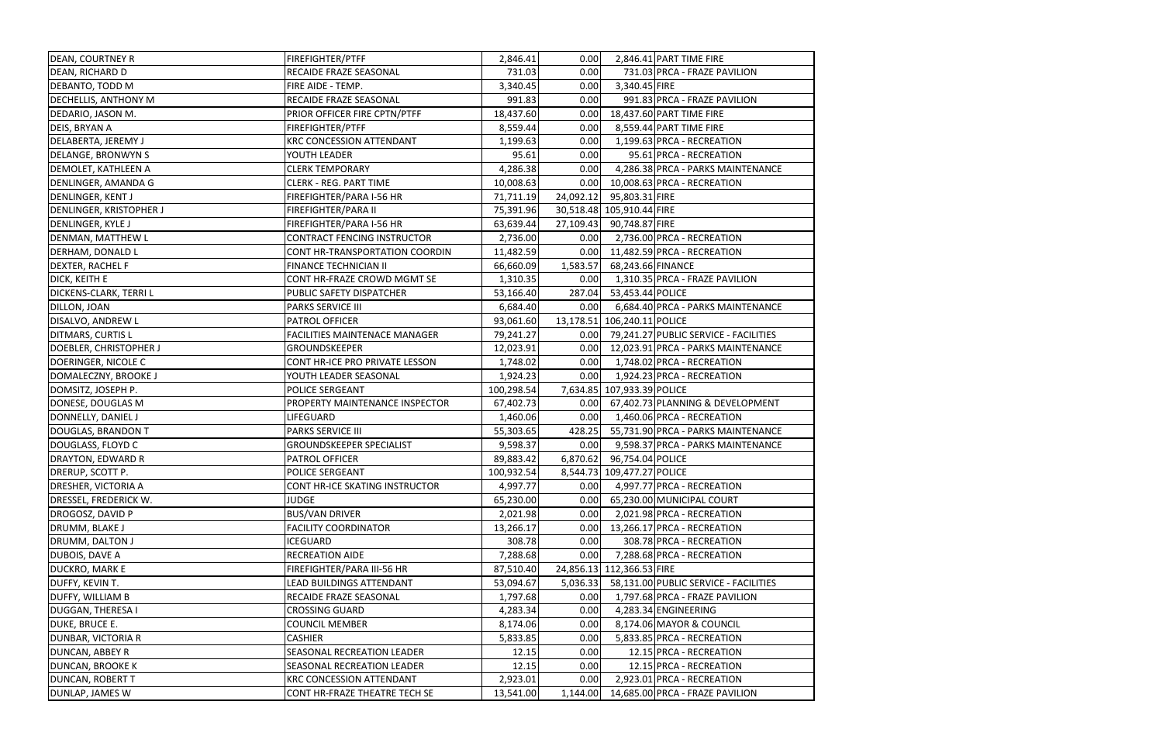| <b>DEAN, COURTNEY R</b>    | FIREFIGHTER/PTFF                     | 2,846.41   | 0.00      |                             | 2,846.41 PART TIME FIRE                    |
|----------------------------|--------------------------------------|------------|-----------|-----------------------------|--------------------------------------------|
| DEAN, RICHARD D            | RECAIDE FRAZE SEASONAL               | 731.03     | 0.00      |                             | 731.03 PRCA - FRAZE PAVILION               |
| DEBANTO, TODD M            | FIRE AIDE - TEMP.                    | 3,340.45   | 0.00      | 3,340.45 FIRE               |                                            |
| DECHELLIS, ANTHONY M       | RECAIDE FRAZE SEASONAL               | 991.83     | 0.00      |                             | 991.83 PRCA - FRAZE PAVILION               |
| DEDARIO, JASON M.          | PRIOR OFFICER FIRE CPTN/PTFF         | 18,437.60  | 0.00      |                             | 18,437.60 PART TIME FIRE                   |
| DEIS, BRYAN A              | FIREFIGHTER/PTFF                     | 8,559.44   | 0.00      |                             | 8,559.44 PART TIME FIRE                    |
| <b>DELABERTA, JEREMY J</b> | <b>KRC CONCESSION ATTENDANT</b>      | 1,199.63   | 0.00      |                             | 1,199.63 PRCA - RECREATION                 |
| <b>DELANGE, BRONWYN S</b>  | YOUTH LEADER                         | 95.61      | 0.00      |                             | 95.61 PRCA - RECREATION                    |
| DEMOLET, KATHLEEN A        | <b>CLERK TEMPORARY</b>               | 4,286.38   | 0.00      |                             | 4,286.38 PRCA - PARKS MAINTENANCE          |
| DENLINGER, AMANDA G        | <b>CLERK - REG. PART TIME</b>        | 10,008.63  | 0.00      |                             | 10,008.63 PRCA - RECREATION                |
| DENLINGER, KENT J          | FIREFIGHTER/PARA I-56 HR             | 71,711.19  |           | 24,092.12 95,803.31 FIRE    |                                            |
| DENLINGER, KRISTOPHER J    | FIREFIGHTER/PARA II                  | 75,391.96  |           | 30,518.48 105,910.44 FIRE   |                                            |
| DENLINGER, KYLE J          | FIREFIGHTER/PARA I-56 HR             | 63,639.44  | 27,109.43 | 90,748.87 FIRE              |                                            |
| DENMAN, MATTHEW L          | <b>CONTRACT FENCING INSTRUCTOR</b>   | 2,736.00   | 0.00      |                             | 2,736.00 PRCA - RECREATION                 |
| DERHAM, DONALD L           | CONT HR-TRANSPORTATION COORDIN       | 11,482.59  | 0.00      |                             | 11,482.59 PRCA - RECREATION                |
| DEXTER, RACHEL F           | FINANCE TECHNICIAN II                | 66,660.09  | 1,583.57  | 68,243.66 FINANCE           |                                            |
| DICK, KEITH E              | CONT HR-FRAZE CROWD MGMT SE          | 1,310.35   | 0.00      |                             | 1,310.35 PRCA - FRAZE PAVILION             |
| DICKENS-CLARK, TERRI L     | PUBLIC SAFETY DISPATCHER             | 53,166.40  | 287.04    | 53,453.44 POLICE            |                                            |
| DILLON, JOAN               | <b>PARKS SERVICE III</b>             | 6,684.40   | 0.00      |                             | 6,684.40 PRCA - PARKS MAINTENANCE          |
| DISALVO, ANDREW L          | PATROL OFFICER                       | 93,061.60  |           | 13,178.51 106,240.11 POLICE |                                            |
| DITMARS, CURTIS L          | <b>FACILITIES MAINTENACE MANAGER</b> | 79,241.27  |           |                             | 0.00 79,241.27 PUBLIC SERVICE - FACILITIES |
| DOEBLER, CHRISTOPHER J     | <b>GROUNDSKEEPER</b>                 | 12,023.91  | 0.00      |                             | 12,023.91 PRCA - PARKS MAINTENANCE         |
| DOERINGER, NICOLE C        | CONT HR-ICE PRO PRIVATE LESSON       | 1,748.02   | 0.00      |                             | 1,748.02 PRCA - RECREATION                 |
| DOMALECZNY, BROOKE J       | YOUTH LEADER SEASONAL                | 1,924.23   | 0.00      |                             | 1,924.23 PRCA - RECREATION                 |
| DOMSITZ, JOSEPH P.         | POLICE SERGEANT                      | 100,298.54 |           | 7,634.85 107,933.39 POLICE  |                                            |
| DONESE, DOUGLAS M          | PROPERTY MAINTENANCE INSPECTOR       | 67,402.73  |           |                             | 0.00 67,402.73 PLANNING & DEVELOPMENT      |
| DONNELLY, DANIEL J         | LIFEGUARD                            | 1,460.06   | 0.00      |                             | 1,460.06 PRCA - RECREATION                 |
| DOUGLAS, BRANDON T         | <b>PARKS SERVICE III</b>             | 55,303.65  | 428.25    |                             | 55,731.90 PRCA - PARKS MAINTENANCE         |
| DOUGLASS, FLOYD C          | <b>GROUNDSKEEPER SPECIALIST</b>      | 9,598.37   | 0.00      |                             | 9,598.37 PRCA - PARKS MAINTENANCE          |
| DRAYTON, EDWARD R          | PATROL OFFICER                       | 89,883.42  |           | 6,870.62 96,754.04 POLICE   |                                            |
| DRERUP, SCOTT P.           | <b>POLICE SERGEANT</b>               | 100,932.54 |           | 8,544.73 109,477.27 POLICE  |                                            |
| <b>DRESHER, VICTORIA A</b> | CONT HR-ICE SKATING INSTRUCTOR       | 4,997.77   | 0.00      |                             | 4,997.77 PRCA - RECREATION                 |
| DRESSEL, FREDERICK W.      | <b>JUDGE</b>                         | 65,230.00  | 0.00      |                             | 65,230.00 MUNICIPAL COURT                  |
| DROGOSZ, DAVID P           | <b>BUS/VAN DRIVER</b>                | 2,021.98   | 0.00      |                             | 2,021.98 PRCA - RECREATION                 |
| DRUMM, BLAKE J             | <b>FACILITY COORDINATOR</b>          | 13,266.17  | 0.00      |                             | 13,266.17 PRCA - RECREATION                |
| DRUMM, DALTON J            | <b>ICEGUARD</b>                      | 308.78     | 0.00      |                             | 308.78 PRCA - RECREATION                   |
| DUBOIS, DAVE A             | RECREATION AIDE                      | 7,288.68   | 0.00      |                             | 7,288.68 PRCA - RECREATION                 |
| <b>DUCKRO, MARK E</b>      | FIREFIGHTER/PARA III-56 HR           | 87,510.40  |           | 24,856.13 112,366.53 FIRE   |                                            |
| DUFFY, KEVIN T.            | <b>LEAD BUILDINGS ATTENDANT</b>      | 53,094.67  | 5,036.33  |                             | 58,131.00 PUBLIC SERVICE - FACILITIES      |
| <b>DUFFY, WILLIAM B</b>    | RECAIDE FRAZE SEASONAL               | 1,797.68   | 0.00      |                             | 1,797.68 PRCA - FRAZE PAVILION             |
| <b>DUGGAN, THERESA I</b>   | <b>CROSSING GUARD</b>                | 4,283.34   | 0.00      |                             | 4,283.34 ENGINEERING                       |
| DUKE, BRUCE E.             | <b>COUNCIL MEMBER</b>                | 8,174.06   | 0.00      |                             | 8,174.06 MAYOR & COUNCIL                   |
| <b>DUNBAR, VICTORIA R</b>  | <b>CASHIER</b>                       | 5,833.85   | 0.00      |                             | 5,833.85 PRCA - RECREATION                 |
| DUNCAN, ABBEY R            | SEASONAL RECREATION LEADER           | 12.15      | 0.00      |                             | 12.15 PRCA - RECREATION                    |
| <b>DUNCAN, BROOKE K</b>    | <b>SEASONAL RECREATION LEADER</b>    | 12.15      | 0.00      |                             | 12.15 PRCA - RECREATION                    |
| DUNCAN, ROBERT T           | <b>KRC CONCESSION ATTENDANT</b>      | 2,923.01   | 0.00      |                             | 2,923.01 PRCA - RECREATION                 |
| DUNLAP, JAMES W            | CONT HR-FRAZE THEATRE TECH SE        | 13,541.00  | 1,144.00  |                             | 14,685.00 PRCA - FRAZE PAVILION            |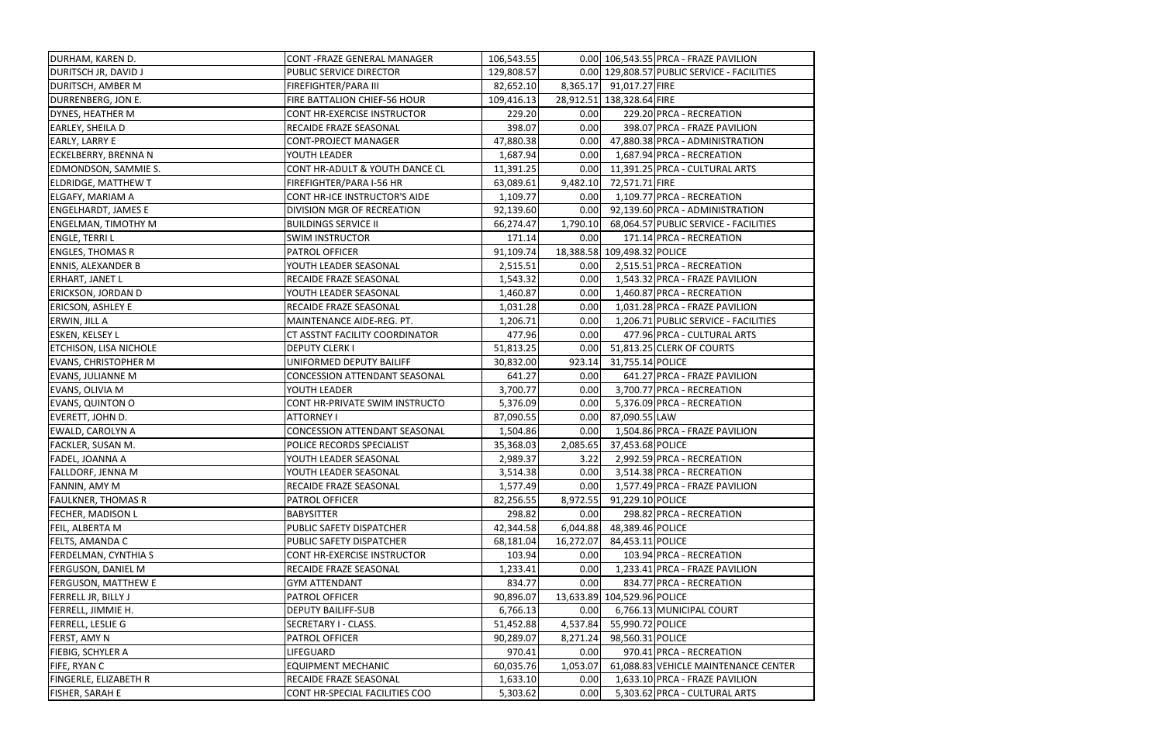| DURHAM, KAREN D.              | CONT - FRAZE GENERAL MANAGER         | 106,543.55 |           |                             | 0.00 106,543.55 PRCA - FRAZE PAVILION       |
|-------------------------------|--------------------------------------|------------|-----------|-----------------------------|---------------------------------------------|
| <b>DURITSCH JR, DAVID J</b>   | PUBLIC SERVICE DIRECTOR              | 129,808.57 |           |                             | 0.00 129,808.57 PUBLIC SERVICE - FACILITIES |
| <b>DURITSCH, AMBER M</b>      | FIREFIGHTER/PARA III                 | 82,652.10  |           | 8,365.17 91,017.27 FIRE     |                                             |
| DURRENBERG, JON E.            | FIRE BATTALION CHIEF-56 HOUR         | 109,416.13 |           | 28,912.51 138,328.64 FIRE   |                                             |
| DYNES, HEATHER M              | <b>CONT HR-EXERCISE INSTRUCTOR</b>   | 229.20     | 0.00      |                             | 229.20 PRCA - RECREATION                    |
| <b>EARLEY, SHEILA D</b>       | RECAIDE FRAZE SEASONAL               | 398.07     | 0.00      |                             | 398.07 PRCA - FRAZE PAVILION                |
| <b>EARLY, LARRY E</b>         | <b>CONT-PROJECT MANAGER</b>          | 47,880.38  | 0.00      |                             | 47,880.38 PRCA - ADMINISTRATION             |
| <b>ECKELBERRY, BRENNA N</b>   | YOUTH LEADER                         | 1,687.94   | 0.00      |                             | 1,687.94 PRCA - RECREATION                  |
| EDMONDSON, SAMMIE S.          | CONT HR-ADULT & YOUTH DANCE CL       | 11,391.25  | 0.00      |                             | 11,391.25 PRCA - CULTURAL ARTS              |
| <b>ELDRIDGE, MATTHEW T</b>    | FIREFIGHTER/PARA I-56 HR             | 63,089.61  | 9,482.10  | 72,571.71 FIRE              |                                             |
| <b>ELGAFY, MARIAM A</b>       | CONT HR-ICE INSTRUCTOR'S AIDE        | 1,109.77   | 0.00      |                             | 1,109.77 PRCA - RECREATION                  |
| <b>ENGELHARDT, JAMES E</b>    | DIVISION MGR OF RECREATION           | 92,139.60  |           |                             | 0.00 92,139.60 PRCA - ADMINISTRATION        |
| <b>ENGELMAN, TIMOTHY M</b>    | <b>BUILDINGS SERVICE II</b>          | 66,274.47  | 1,790.10  |                             | 68,064.57 PUBLIC SERVICE - FACILITIES       |
| <b>ENGLE, TERRIL</b>          | <b>SWIM INSTRUCTOR</b>               | 171.14     | 0.00      |                             | 171.14 PRCA - RECREATION                    |
| <b>ENGLES, THOMAS R</b>       | PATROL OFFICER                       | 91,109.74  |           | 18,388.58 109,498.32 POLICE |                                             |
| <b>ENNIS, ALEXANDER B</b>     | YOUTH LEADER SEASONAL                | 2,515.51   | 0.00      |                             | 2,515.51 PRCA - RECREATION                  |
| <b>ERHART, JANET L</b>        | RECAIDE FRAZE SEASONAL               | 1,543.32   | 0.00      |                             | 1,543.32 PRCA - FRAZE PAVILION              |
| <b>ERICKSON, JORDAN D</b>     | YOUTH LEADER SEASONAL                | 1,460.87   | 0.00      |                             | 1,460.87 PRCA - RECREATION                  |
| <b>ERICSON, ASHLEY E</b>      | RECAIDE FRAZE SEASONAL               | 1,031.28   | 0.00      |                             | 1,031.28 PRCA - FRAZE PAVILION              |
| <b>ERWIN, JILL A</b>          | MAINTENANCE AIDE-REG. PT.            | 1,206.71   | 0.00      |                             | 1,206.71 PUBLIC SERVICE - FACILITIES        |
| <b>ESKEN, KELSEY L</b>        | CT ASSTNT FACILITY COORDINATOR       | 477.96     | 0.00      |                             | 477.96 PRCA - CULTURAL ARTS                 |
| <b>ETCHISON, LISA NICHOLE</b> | <b>DEPUTY CLERK I</b>                | 51,813.25  | 0.00      |                             | 51,813.25 CLERK OF COURTS                   |
| <b>EVANS, CHRISTOPHER M</b>   | UNIFORMED DEPUTY BAILIFF             | 30,832.00  | 923.14    | 31,755.14 POLICE            |                                             |
| <b>EVANS, JULIANNE M</b>      | <b>CONCESSION ATTENDANT SEASONAL</b> | 641.27     | 0.00      |                             | 641.27 PRCA - FRAZE PAVILION                |
| EVANS, OLIVIA M               | YOUTH LEADER                         | 3,700.77   | 0.00      |                             | 3,700.77 PRCA - RECREATION                  |
| <b>EVANS, QUINTON O</b>       | CONT HR-PRIVATE SWIM INSTRUCTO       | 5,376.09   | 0.00      |                             | 5,376.09 PRCA - RECREATION                  |
| EVERETT, JOHN D.              | <b>ATTORNEY I</b>                    | 87,090.55  | 0.00      | 87,090.55 LAW               |                                             |
| <b>EWALD, CAROLYN A</b>       | CONCESSION ATTENDANT SEASONAL        | 1,504.86   | 0.00      |                             | 1,504.86 PRCA - FRAZE PAVILION              |
| <b>FACKLER, SUSAN M.</b>      | POLICE RECORDS SPECIALIST            | 35,368.03  | 2,085.65  | 37,453.68 POLICE            |                                             |
| <b>FADEL, JOANNA A</b>        | YOUTH LEADER SEASONAL                | 2,989.37   | 3.22      |                             | 2,992.59 PRCA - RECREATION                  |
| <b>FALLDORF, JENNA M</b>      | YOUTH LEADER SEASONAL                | 3,514.38   | 0.00      |                             | 3,514.38 PRCA - RECREATION                  |
| FANNIN, AMY M                 | RECAIDE FRAZE SEASONAL               | 1,577.49   | 0.00      |                             | 1,577.49 PRCA - FRAZE PAVILION              |
| <b>FAULKNER, THOMAS R</b>     | PATROL OFFICER                       | 82,256.55  | 8,972.55  | 91,229.10 POLICE            |                                             |
| <b>FECHER, MADISON L</b>      | <b>BABYSITTER</b>                    | 298.82     | 0.00      |                             | 298.82 PRCA - RECREATION                    |
| FEIL, ALBERTA M               | PUBLIC SAFETY DISPATCHER             | 42,344.58  | 6,044.88  | 48,389.46 POLICE            |                                             |
| <b>FELTS, AMANDA C</b>        | PUBLIC SAFETY DISPATCHER             | 68,181.04  | 16,272.07 | 84,453.11 POLICE            |                                             |
| <b>FERDELMAN, CYNTHIA S</b>   | CONT HR-EXERCISE INSTRUCTOR          | 103.94     | 0.00      |                             | 103.94 PRCA - RECREATION                    |
| <b>FERGUSON, DANIEL M</b>     | RECAIDE FRAZE SEASONAL               | 1,233.41   | 0.00      |                             | 1,233.41 PRCA - FRAZE PAVILION              |
| <b>FERGUSON, MATTHEW E</b>    | <b>GYM ATTENDANT</b>                 | 834.77     | 0.00      |                             | 834.77 PRCA - RECREATION                    |
| <b>FERRELL JR, BILLY J</b>    | PATROL OFFICER                       | 90,896.07  |           | 13,633.89 104,529.96 POLICE |                                             |
| <b>FERRELL, JIMMIE H.</b>     | <b>DEPUTY BAILIFF-SUB</b>            | 6,766.13   | 0.00      |                             | 6,766.13 MUNICIPAL COURT                    |
| <b>FERRELL, LESLIE G</b>      | SECRETARY I - CLASS.                 | 51,452.88  | 4,537.84  | 55,990.72 POLICE            |                                             |
| FERST, AMY N                  | PATROL OFFICER                       | 90,289.07  | 8,271.24  | 98,560.31 POLICE            |                                             |
| FIEBIG, SCHYLER A             | LIFEGUARD                            | 970.41     | 0.00      |                             | 970.41 PRCA - RECREATION                    |
| FIFE, RYAN C                  | <b>EQUIPMENT MECHANIC</b>            | 60,035.76  | 1,053.07  |                             | 61,088.83 VEHICLE MAINTENANCE CENTER        |
| <b>FINGERLE, ELIZABETH R</b>  | RECAIDE FRAZE SEASONAL               | 1,633.10   | 0.00      |                             | 1,633.10 PRCA - FRAZE PAVILION              |
| FISHER, SARAH E               | CONT HR-SPECIAL FACILITIES COO       | 5,303.62   | 0.00      |                             | 5,303.62 PRCA - CULTURAL ARTS               |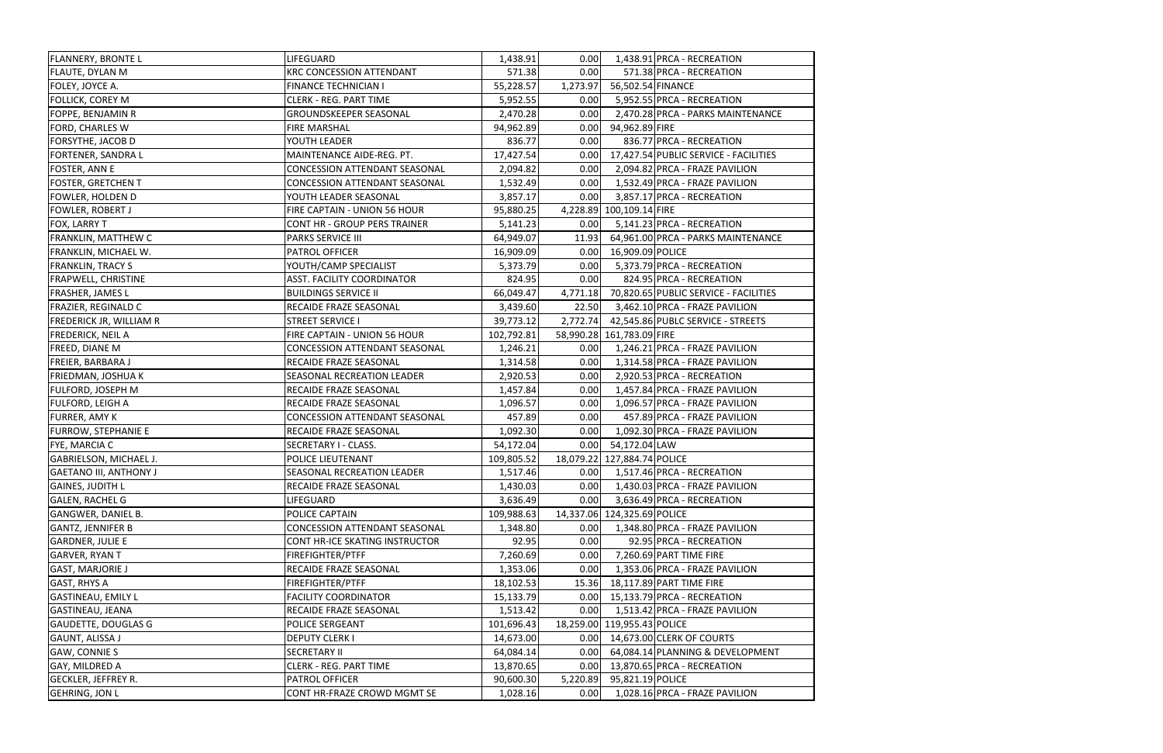| <b>FLANNERY, BRONTE L</b>      | LIFEGUARD                            | 1,438.91   | 0.00     |                             | 1,438.91 PRCA - RECREATION                 |
|--------------------------------|--------------------------------------|------------|----------|-----------------------------|--------------------------------------------|
| <b>FLAUTE, DYLAN M</b>         | <b>KRC CONCESSION ATTENDANT</b>      | 571.38     | 0.00     |                             | 571.38 PRCA - RECREATION                   |
| FOLEY, JOYCE A.                | <b>FINANCE TECHNICIAN I</b>          | 55,228.57  | 1,273.97 | 56,502.54 FINANCE           |                                            |
| <b>FOLLICK, COREY M</b>        | <b>CLERK - REG. PART TIME</b>        | 5,952.55   | 0.00     |                             | 5,952.55 PRCA - RECREATION                 |
| FOPPE, BENJAMIN R              | <b>GROUNDSKEEPER SEASONAL</b>        | 2,470.28   | 0.00     |                             | 2,470.28 PRCA - PARKS MAINTENANCE          |
| FORD, CHARLES W                | FIRE MARSHAL                         | 94,962.89  | 0.00     | 94,962.89 FIRE              |                                            |
| <b>FORSYTHE, JACOB D</b>       | YOUTH LEADER                         | 836.77     | 0.00     |                             | 836.77 PRCA - RECREATION                   |
| FORTENER, SANDRA L             | MAINTENANCE AIDE-REG. PT.            | 17,427.54  | 0.00     |                             | 17,427.54 PUBLIC SERVICE - FACILITIES      |
| <b>FOSTER, ANN E</b>           | <b>CONCESSION ATTENDANT SEASONAL</b> | 2,094.82   | 0.00     |                             | 2,094.82 PRCA - FRAZE PAVILION             |
| <b>FOSTER, GRETCHEN T</b>      | CONCESSION ATTENDANT SEASONAL        | 1,532.49   | 0.00     |                             | 1,532.49 PRCA - FRAZE PAVILION             |
| <b>FOWLER, HOLDEN D</b>        | YOUTH LEADER SEASONAL                | 3,857.17   | 0.00     |                             | 3,857.17 PRCA - RECREATION                 |
| <b>FOWLER, ROBERT J</b>        | FIRE CAPTAIN - UNION 56 HOUR         | 95,880.25  |          | 4,228.89 100,109.14 FIRE    |                                            |
| FOX, LARRY T                   | CONT HR - GROUP PERS TRAINER         | 5,141.23   | 0.00     |                             | 5,141.23 PRCA - RECREATION                 |
| <b>FRANKLIN, MATTHEW C</b>     | <b>PARKS SERVICE III</b>             | 64,949.07  | 11.93    |                             | 64,961.00 PRCA - PARKS MAINTENANCE         |
| FRANKLIN, MICHAEL W.           | PATROL OFFICER                       | 16,909.09  | 0.00     | 16,909.09 POLICE            |                                            |
| <b>FRANKLIN, TRACY S</b>       | YOUTH/CAMP SPECIALIST                | 5,373.79   | 0.00     |                             | 5,373.79 PRCA - RECREATION                 |
| <b>FRAPWELL, CHRISTINE</b>     | <b>ASST. FACILITY COORDINATOR</b>    | 824.95     | 0.00     |                             | 824.95 PRCA - RECREATION                   |
| <b>FRASHER, JAMES L</b>        | <b>BUILDINGS SERVICE II</b>          | 66,049.47  | 4,771.18 |                             | 70,820.65 PUBLIC SERVICE - FACILITIES      |
| <b>FRAZIER, REGINALD C</b>     | RECAIDE FRAZE SEASONAL               | 3,439.60   | 22.50    |                             | 3,462.10 PRCA - FRAZE PAVILION             |
| <b>FREDERICK JR, WILLIAM R</b> | <b>STREET SERVICE I</b>              | 39,773.12  |          |                             | 2,772.74 42,545.86 PUBLC SERVICE - STREETS |
| <b>FREDERICK, NEIL A</b>       | FIRE CAPTAIN - UNION 56 HOUR         | 102,792.81 |          | 58,990.28 161,783.09 FIRE   |                                            |
| <b>FREED, DIANE M</b>          | <b>CONCESSION ATTENDANT SEASONAL</b> | 1,246.21   | 0.00     |                             | 1,246.21 PRCA - FRAZE PAVILION             |
| FREIER, BARBARA J              | RECAIDE FRAZE SEASONAL               | 1,314.58   | 0.00     |                             | 1,314.58 PRCA - FRAZE PAVILION             |
| FRIEDMAN, JOSHUA K             | SEASONAL RECREATION LEADER           | 2,920.53   | 0.00     |                             | 2,920.53 PRCA - RECREATION                 |
| <b>FULFORD, JOSEPH M</b>       | RECAIDE FRAZE SEASONAL               | 1,457.84   | 0.00     |                             | 1,457.84 PRCA - FRAZE PAVILION             |
| <b>FULFORD, LEIGH A</b>        | RECAIDE FRAZE SEASONAL               | 1,096.57   | 0.00     |                             | 1,096.57 PRCA - FRAZE PAVILION             |
| <b>FURRER, AMY K</b>           | <b>CONCESSION ATTENDANT SEASONAL</b> | 457.89     | 0.00     |                             | 457.89 PRCA - FRAZE PAVILION               |
| <b>FURROW, STEPHANIE E</b>     | RECAIDE FRAZE SEASONAL               | 1,092.30   | 0.00     |                             | 1,092.30 PRCA - FRAZE PAVILION             |
| FYE, MARCIA C                  | SECRETARY I - CLASS.                 | 54,172.04  | 0.00     | 54,172.04 LAW               |                                            |
| GABRIELSON, MICHAEL J.         | POLICE LIEUTENANT                    | 109,805.52 |          | 18,079.22 127,884.74 POLICE |                                            |
| <b>GAETANO III, ANTHONY J</b>  | <b>SEASONAL RECREATION LEADER</b>    | 1,517.46   |          |                             | $0.00$   1,517.46 PRCA - RECREATION        |
| <b>GAINES, JUDITH L</b>        | RECAIDE FRAZE SEASONAL               | 1,430.03   | 0.00     |                             | 1,430.03 PRCA - FRAZE PAVILION             |
| <b>GALEN, RACHEL G</b>         | LIFEGUARD                            | 3,636.49   | 0.00     |                             | 3,636.49 PRCA - RECREATION                 |
| <b>GANGWER, DANIEL B.</b>      | POLICE CAPTAIN                       | 109,988.63 |          | 14,337.06 124,325.69 POLICE |                                            |
| <b>GANTZ, JENNIFER B</b>       | <b>CONCESSION ATTENDANT SEASONAL</b> | 1,348.80   | 0.00     |                             | 1,348.80 PRCA - FRAZE PAVILION             |
| <b>GARDNER, JULIE E</b>        | CONT HR-ICE SKATING INSTRUCTOR       | 92.95      | 0.00     |                             | 92.95 PRCA - RECREATION                    |
| <b>GARVER, RYAN T</b>          | <b>FIREFIGHTER/PTFF</b>              | 7,260.69   | 0.00     |                             | 7,260.69 PART TIME FIRE                    |
| <b>GAST, MARJORIE J</b>        | RECAIDE FRAZE SEASONAL               | 1,353.06   | 0.00     |                             | 1,353.06 PRCA - FRAZE PAVILION             |
| <b>GAST, RHYS A</b>            | <b>FIREFIGHTER/PTFF</b>              | 18,102.53  | 15.36    |                             | 18,117.89 PART TIME FIRE                   |
| <b>GASTINEAU, EMILY L</b>      | <b>FACILITY COORDINATOR</b>          | 15,133.79  | 0.00     |                             | 15,133.79 PRCA - RECREATION                |
| <b>GASTINEAU, JEANA</b>        | RECAIDE FRAZE SEASONAL               | 1,513.42   | 0.00     |                             | 1,513.42 PRCA - FRAZE PAVILION             |
| <b>GAUDETTE, DOUGLAS G</b>     | POLICE SERGEANT                      | 101,696.43 |          | 18,259.00 119,955.43 POLICE |                                            |
| <b>GAUNT, ALISSA J</b>         | <b>DEPUTY CLERK I</b>                | 14,673.00  |          |                             | 0.00 14,673.00 CLERK OF COURTS             |
| <b>GAW, CONNIE S</b>           | <b>SECRETARY II</b>                  | 64,084.14  | 0.00     |                             | 64,084.14 PLANNING & DEVELOPMENT           |
| <b>GAY, MILDRED A</b>          | <b>CLERK - REG. PART TIME</b>        | 13,870.65  | 0.00     |                             | 13,870.65 PRCA - RECREATION                |
| <b>GECKLER, JEFFREY R.</b>     | PATROL OFFICER                       | 90,600.30  | 5,220.89 | 95,821.19 POLICE            |                                            |
| <b>GEHRING, JON L</b>          | CONT HR-FRAZE CROWD MGMT SE          | 1,028.16   | 0.00     |                             | 1,028.16 PRCA - FRAZE PAVILION             |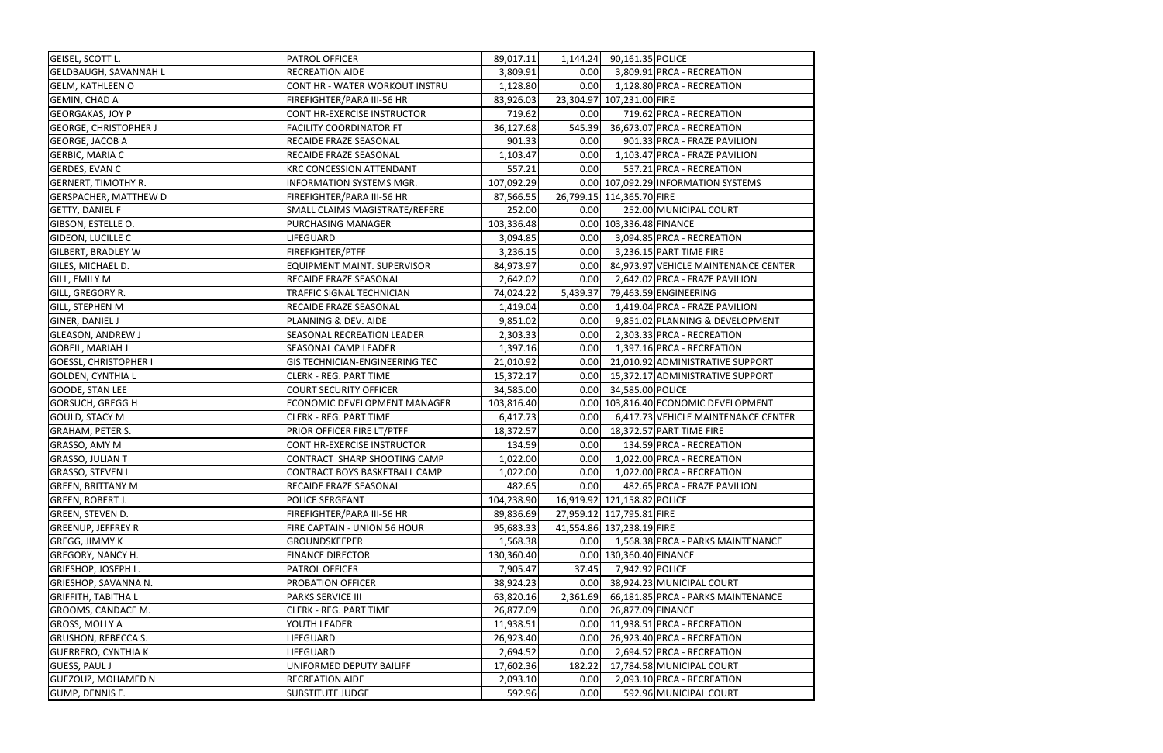| <b>GEISEL, SCOTT L.</b>      | PATROL OFFICER                        | 89,017.11  | 1,144.24 | 90,161.35 POLICE            |                                      |
|------------------------------|---------------------------------------|------------|----------|-----------------------------|--------------------------------------|
| <b>GELDBAUGH, SAVANNAH L</b> | RECREATION AIDE                       | 3,809.91   | 0.00     |                             | 3,809.91 PRCA - RECREATION           |
| <b>GELM, KATHLEEN O</b>      | CONT HR - WATER WORKOUT INSTRU        | 1,128.80   | 0.00     |                             | 1,128.80 PRCA - RECREATION           |
| <b>GEMIN, CHAD A</b>         | FIREFIGHTER/PARA III-56 HR            | 83,926.03  |          | 23,304.97 107,231.00 FIRE   |                                      |
| <b>GEORGAKAS, JOY P</b>      | CONT HR-EXERCISE INSTRUCTOR           | 719.62     | 0.00     |                             | 719.62 PRCA - RECREATION             |
| <b>GEORGE, CHRISTOPHER J</b> | <b>FACILITY COORDINATOR FT</b>        | 36,127.68  | 545.39   |                             | 36,673.07 PRCA - RECREATION          |
| <b>GEORGE, JACOB A</b>       | RECAIDE FRAZE SEASONAL                | 901.33     | 0.00     |                             | 901.33 PRCA - FRAZE PAVILION         |
| GERBIC, MARIA C              | RECAIDE FRAZE SEASONAL                | 1,103.47   | 0.00     |                             | 1,103.47 PRCA - FRAZE PAVILION       |
| <b>GERDES, EVAN C</b>        | <b>KRC CONCESSION ATTENDANT</b>       | 557.21     | 0.00     |                             | 557.21 PRCA - RECREATION             |
| <b>GERNERT, TIMOTHY R.</b>   | <b>INFORMATION SYSTEMS MGR.</b>       | 107,092.29 |          |                             | 0.00 107,092.29 INFORMATION SYSTEMS  |
| <b>GERSPACHER, MATTHEW D</b> | FIREFIGHTER/PARA III-56 HR            | 87,566.55  |          | 26,799.15 114,365.70 FIRE   |                                      |
| <b>GETTY, DANIEL F</b>       | SMALL CLAIMS MAGISTRATE/REFERE        | 252.00     | 0.00     |                             | 252.00 MUNICIPAL COURT               |
| GIBSON, ESTELLE O.           | PURCHASING MANAGER                    | 103,336.48 |          | 0.00 103,336.48 FINANCE     |                                      |
| GIDEON, LUCILLE C            | LIFEGUARD                             | 3,094.85   | 0.00     |                             | 3,094.85 PRCA - RECREATION           |
| <b>GILBERT, BRADLEY W</b>    | FIREFIGHTER/PTFF                      | 3,236.15   | 0.00     |                             | 3,236.15 PART TIME FIRE              |
| GILES, MICHAEL D.            | EQUIPMENT MAINT. SUPERVISOR           | 84,973.97  | 0.00     |                             | 84,973.97 VEHICLE MAINTENANCE CENTER |
| GILL, EMILY M                | RECAIDE FRAZE SEASONAL                | 2,642.02   | 0.00     |                             | 2,642.02 PRCA - FRAZE PAVILION       |
| GILL, GREGORY R.             | TRAFFIC SIGNAL TECHNICIAN             | 74,024.22  | 5,439.37 |                             | 79,463.59 ENGINEERING                |
| <b>GILL, STEPHEN M</b>       | RECAIDE FRAZE SEASONAL                | 1,419.04   | 0.00     |                             | 1,419.04 PRCA - FRAZE PAVILION       |
| GINER, DANIEL J              | PLANNING & DEV. AIDE                  | 9,851.02   | 0.00     |                             | 9,851.02 PLANNING & DEVELOPMENT      |
| <b>GLEASON, ANDREW J</b>     | SEASONAL RECREATION LEADER            | 2,303.33   | 0.00     |                             | 2,303.33 PRCA - RECREATION           |
| <b>GOBEIL, MARIAH J</b>      | SEASONAL CAMP LEADER                  | 1,397.16   | 0.00     |                             | 1,397.16 PRCA - RECREATION           |
| <b>GOESSL, CHRISTOPHER I</b> | <b>GIS TECHNICIAN-ENGINEERING TEC</b> | 21,010.92  | 0.00     |                             | 21,010.92 ADMINISTRATIVE SUPPORT     |
| <b>GOLDEN, CYNTHIA L</b>     | <b>CLERK - REG. PART TIME</b>         | 15,372.17  | 0.00     |                             | 15,372.17 ADMINISTRATIVE SUPPORT     |
| <b>GOODE, STAN LEE</b>       | <b>COURT SECURITY OFFICER</b>         | 34,585.00  |          | 0.00 34,585.00 POLICE       |                                      |
| <b>GORSUCH, GREGG H</b>      | ECONOMIC DEVELOPMENT MANAGER          | 103,816.40 |          |                             | 0.00 103,816.40 ECONOMIC DEVELOPMENT |
| <b>GOULD, STACY M</b>        | <b>CLERK - REG. PART TIME</b>         | 6,417.73   | 0.00     |                             | 6,417.73 VEHICLE MAINTENANCE CENTER  |
| <b>GRAHAM, PETER S.</b>      | PRIOR OFFICER FIRE LT/PTFF            | 18,372.57  | 0.00     |                             | 18,372.57 PART TIME FIRE             |
| GRASSO, AMY M                | <b>CONT HR-EXERCISE INSTRUCTOR</b>    | 134.59     | 0.00     |                             | 134.59 PRCA - RECREATION             |
| <b>GRASSO, JULIAN T</b>      | CONTRACT SHARP SHOOTING CAMP          | 1,022.00   | 0.00     |                             | 1,022.00 PRCA - RECREATION           |
| <b>GRASSO, STEVEN I</b>      | CONTRACT BOYS BASKETBALL CAMP         | 1,022.00   | 0.00     |                             | 1,022.00 PRCA - RECREATION           |
| <b>GREEN, BRITTANY M</b>     | RECAIDE FRAZE SEASONAL                | 482.65     | 0.00     |                             | 482.65 PRCA - FRAZE PAVILION         |
| GREEN, ROBERT J.             | POLICE SERGEANT                       | 104,238.90 |          | 16,919.92 121,158.82 POLICE |                                      |
| <b>GREEN, STEVEN D.</b>      | FIREFIGHTER/PARA III-56 HR            | 89,836.69  |          | 27,959.12 117,795.81 FIRE   |                                      |
| <b>GREENUP, JEFFREY R</b>    | FIRE CAPTAIN - UNION 56 HOUR          | 95,683.33  |          | 41,554.86 137,238.19 FIRE   |                                      |
| GREGG, JIMMY K               | GROUNDSKEEPER                         | 1,568.38   | 0.00     |                             | 1,568.38 PRCA - PARKS MAINTENANCE    |
| <b>GREGORY, NANCY H.</b>     | <b>FINANCE DIRECTOR</b>               | 130,360.40 |          | 0.00 130,360.40 FINANCE     |                                      |
| <b>GRIESHOP, JOSEPH L.</b>   | <b>PATROL OFFICER</b>                 | 7,905.47   | 37.45    | 7,942.92 POLICE             |                                      |
| GRIESHOP, SAVANNA N.         | PROBATION OFFICER                     | 38,924.23  | 0.00     |                             | 38,924.23 MUNICIPAL COURT            |
| <b>GRIFFITH, TABITHA L</b>   | <b>PARKS SERVICE III</b>              | 63,820.16  | 2,361.69 |                             | 66,181.85 PRCA - PARKS MAINTENANCE   |
| GROOMS, CANDACE M.           | <b>CLERK - REG. PART TIME</b>         | 26,877.09  | 0.00     | 26,877.09 FINANCE           |                                      |
| <b>GROSS, MOLLY A</b>        | YOUTH LEADER                          | 11,938.51  | 0.00     |                             | 11,938.51 PRCA - RECREATION          |
| <b>GRUSHON, REBECCA S.</b>   | LIFEGUARD                             | 26,923.40  | 0.00     |                             | 26,923.40 PRCA - RECREATION          |
| <b>GUERRERO, CYNTHIA K</b>   | LIFEGUARD                             | 2,694.52   | 0.00     |                             | 2,694.52 PRCA - RECREATION           |
| <b>GUESS, PAUL J</b>         | UNIFORMED DEPUTY BAILIFF              | 17,602.36  | 182.22   |                             | 17,784.58 MUNICIPAL COURT            |
| <b>GUEZOUZ, MOHAMED N</b>    | <b>RECREATION AIDE</b>                | 2,093.10   | 0.00     |                             | 2,093.10 PRCA - RECREATION           |
| GUMP, DENNIS E.              | <b>SUBSTITUTE JUDGE</b>               | 592.96     | 0.00     |                             | 592.96 MUNICIPAL COURT               |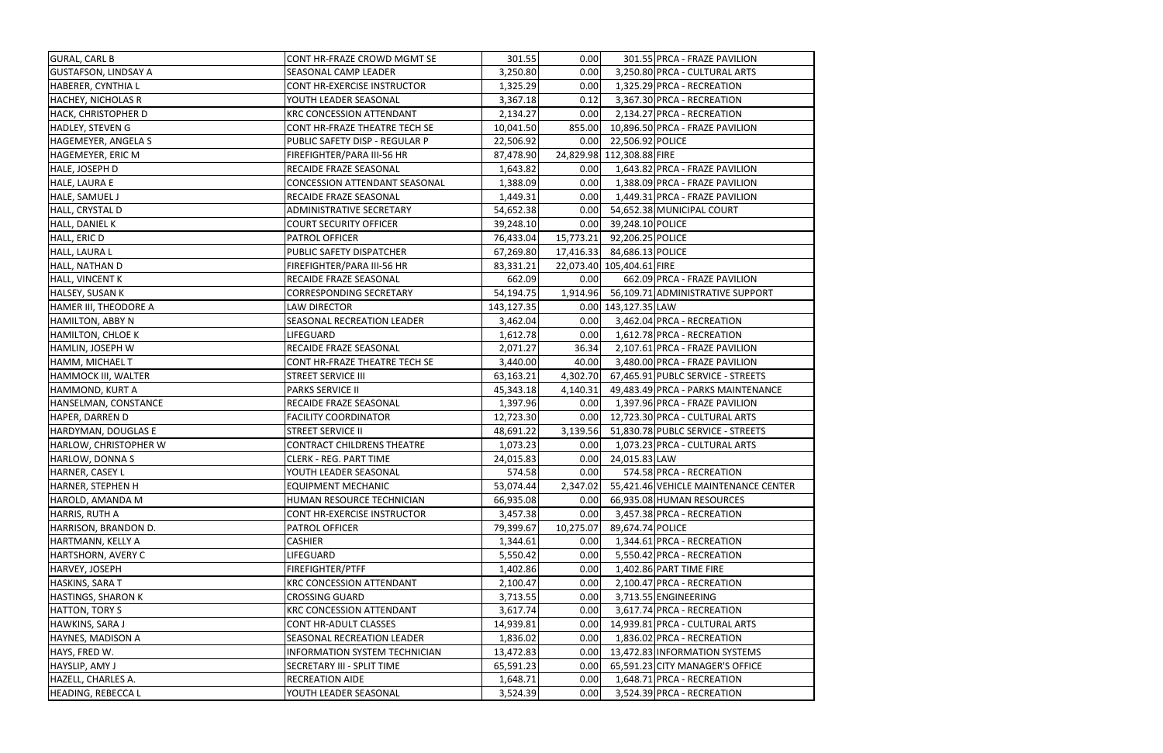| <b>GURAL, CARL B</b>        | CONT HR-FRAZE CROWD MGMT SE          | 301.55     | 0.00      |                            | 301.55 PRCA - FRAZE PAVILION              |
|-----------------------------|--------------------------------------|------------|-----------|----------------------------|-------------------------------------------|
| <b>GUSTAFSON, LINDSAY A</b> | SEASONAL CAMP LEADER                 | 3,250.80   | 0.00      |                            | 3,250.80 PRCA - CULTURAL ARTS             |
| HABERER, CYNTHIA L          | CONT HR-EXERCISE INSTRUCTOR          | 1,325.29   | 0.00      |                            | 1,325.29 PRCA - RECREATION                |
| <b>HACHEY, NICHOLAS R</b>   | YOUTH LEADER SEASONAL                | 3,367.18   | 0.12      |                            | 3,367.30 PRCA - RECREATION                |
| <b>HACK, CHRISTOPHER D</b>  | <b>KRC CONCESSION ATTENDANT</b>      | 2,134.27   | 0.00      |                            | 2,134.27 PRCA - RECREATION                |
| HADLEY, STEVEN G            | CONT HR-FRAZE THEATRE TECH SE        | 10,041.50  |           |                            | 855.00 10,896.50 PRCA - FRAZE PAVILION    |
| HAGEMEYER, ANGELA S         | PUBLIC SAFETY DISP - REGULAR P       | 22,506.92  |           | 0.00 22,506.92 POLICE      |                                           |
| HAGEMEYER, ERIC M           | FIREFIGHTER/PARA III-56 HR           | 87,478.90  |           | 24,829.98 112,308.88 FIRE  |                                           |
| HALE, JOSEPH D              | RECAIDE FRAZE SEASONAL               | 1,643.82   | 0.00      |                            | 1,643.82 PRCA - FRAZE PAVILION            |
| HALE, LAURA E               | CONCESSION ATTENDANT SEASONAL        | 1,388.09   | 0.00      |                            | 1,388.09 PRCA - FRAZE PAVILION            |
| HALE, SAMUEL J              | RECAIDE FRAZE SEASONAL               | 1,449.31   | 0.00      |                            | 1,449.31 PRCA - FRAZE PAVILION            |
| HALL, CRYSTAL D             | ADMINISTRATIVE SECRETARY             | 54,652.38  | 0.00      |                            | 54,652.38 MUNICIPAL COURT                 |
| HALL, DANIEL K              | <b>COURT SECURITY OFFICER</b>        | 39,248.10  | 0.00      | 39,248.10 POLICE           |                                           |
| HALL, ERIC D                | PATROL OFFICER                       | 76,433.04  | 15,773.21 | 92,206.25 POLICE           |                                           |
| HALL, LAURA L               | PUBLIC SAFETY DISPATCHER             | 67,269.80  |           | 17,416.33 84,686.13 POLICE |                                           |
| HALL, NATHAN D              | FIREFIGHTER/PARA III-56 HR           | 83,331.21  |           | 22,073.40 105,404.61 FIRE  |                                           |
| HALL, VINCENT K             | RECAIDE FRAZE SEASONAL               | 662.09     | 0.00      |                            | 662.09 PRCA - FRAZE PAVILION              |
| HALSEY, SUSAN K             | <b>CORRESPONDING SECRETARY</b>       | 54,194.75  |           |                            | 1,914.96 56,109.71 ADMINISTRATIVE SUPPORT |
| HAMER III, THEODORE A       | <b>LAW DIRECTOR</b>                  | 143,127.35 |           | 0.00 143,127.35 LAW        |                                           |
| <b>HAMILTON, ABBY N</b>     | SEASONAL RECREATION LEADER           | 3,462.04   | 0.00      |                            | 3,462.04 PRCA - RECREATION                |
| <b>HAMILTON, CHLOE K</b>    | <b>LIFEGUARD</b>                     | 1,612.78   | 0.00      |                            | 1,612.78 PRCA - RECREATION                |
| HAMLIN, JOSEPH W            | RECAIDE FRAZE SEASONAL               | 2,071.27   | 36.34     |                            | 2,107.61 PRCA - FRAZE PAVILION            |
| HAMM, MICHAEL T             | CONT HR-FRAZE THEATRE TECH SE        | 3,440.00   | 40.00     |                            | 3,480.00 PRCA - FRAZE PAVILION            |
| <b>HAMMOCK III, WALTER</b>  | <b>STREET SERVICE III</b>            | 63,163.21  | 4,302.70  |                            | 67,465.91 PUBLC SERVICE - STREETS         |
| HAMMOND, KURT A             | <b>PARKS SERVICE II</b>              | 45,343.18  | 4,140.31  |                            | 49,483.49 PRCA - PARKS MAINTENANCE        |
| HANSELMAN, CONSTANCE        | RECAIDE FRAZE SEASONAL               | 1,397.96   | 0.00      |                            | 1,397.96 PRCA - FRAZE PAVILION            |
| HAPER, DARREN D             | <b>FACILITY COORDINATOR</b>          | 12,723.30  | 0.00      |                            | 12,723.30 PRCA - CULTURAL ARTS            |
| HARDYMAN, DOUGLAS E         | <b>STREET SERVICE II</b>             | 48,691.22  | 3,139.56  |                            | 51,830.78 PUBLC SERVICE - STREETS         |
| HARLOW, CHRISTOPHER W       | <b>CONTRACT CHILDRENS THEATRE</b>    | 1,073.23   | 0.00      |                            | 1,073.23 PRCA - CULTURAL ARTS             |
| <b>HARLOW, DONNA S</b>      | <b>CLERK - REG. PART TIME</b>        | 24,015.83  | 0.00      | 24,015.83 LAW              |                                           |
| HARNER, CASEY L             | YOUTH LEADER SEASONAL                | 574.58     | 0.00      |                            | 574.58 PRCA - RECREATION                  |
| HARNER, STEPHEN H           | <b>EQUIPMENT MECHANIC</b>            | 53,074.44  | 2,347.02  |                            | 55,421.46 VEHICLE MAINTENANCE CENTER      |
| HAROLD, AMANDA M            | HUMAN RESOURCE TECHNICIAN            | 66,935.08  | 0.00      |                            | 66,935.08 HUMAN RESOURCES                 |
| HARRIS, RUTH A              | CONT HR-EXERCISE INSTRUCTOR          | 3,457.38   | 0.00      |                            | 3,457.38 PRCA - RECREATION                |
| HARRISON, BRANDON D.        | PATROL OFFICER                       | 79,399.67  | 10,275.07 | 89,674.74 POLICE           |                                           |
| HARTMANN, KELLY A           | <b>CASHIER</b>                       | 1,344.61   | 0.00      |                            | 1,344.61 PRCA - RECREATION                |
| HARTSHORN, AVERY C          | LIFEGUARD                            | 5,550.42   | 0.00      |                            | 5,550.42 PRCA - RECREATION                |
| HARVEY, JOSEPH              | FIREFIGHTER/PTFF                     | 1,402.86   | 0.00      |                            | 1,402.86 PART TIME FIRE                   |
| HASKINS, SARA T             | <b>KRC CONCESSION ATTENDANT</b>      | 2,100.47   | 0.00      |                            | 2,100.47 PRCA - RECREATION                |
| <b>HASTINGS, SHARON K</b>   | <b>CROSSING GUARD</b>                | 3,713.55   | 0.00      |                            | 3,713.55 ENGINEERING                      |
| HATTON, TORY S              | <b>KRC CONCESSION ATTENDANT</b>      | 3,617.74   | 0.00      |                            | 3,617.74 PRCA - RECREATION                |
| HAWKINS, SARA J             | CONT HR-ADULT CLASSES                | 14,939.81  | 0.00      |                            | 14,939.81 PRCA - CULTURAL ARTS            |
| HAYNES, MADISON A           | SEASONAL RECREATION LEADER           | 1,836.02   | 0.00      |                            | 1,836.02 PRCA - RECREATION                |
| HAYS, FRED W.               | <b>INFORMATION SYSTEM TECHNICIAN</b> | 13,472.83  | 0.00      |                            | 13,472.83 INFORMATION SYSTEMS             |
| HAYSLIP, AMY J              | SECRETARY III - SPLIT TIME           | 65,591.23  | 0.00      |                            | 65,591.23 CITY MANAGER'S OFFICE           |
| HAZELL, CHARLES A.          | <b>RECREATION AIDE</b>               | 1,648.71   | 0.00      |                            | 1,648.71 PRCA - RECREATION                |
| <b>HEADING, REBECCA L</b>   | YOUTH LEADER SEASONAL                | 3,524.39   | 0.00      |                            | 3,524.39 PRCA - RECREATION                |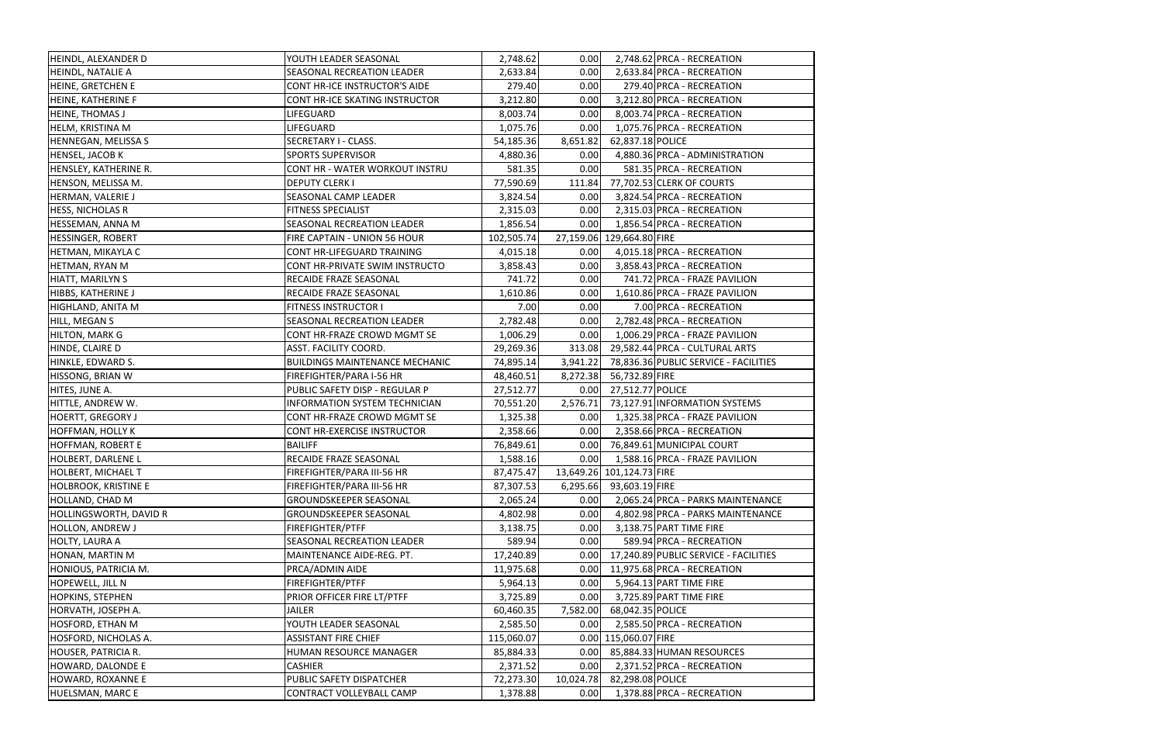| HEINDL, ALEXANDER D         | YOUTH LEADER SEASONAL                 | 2,748.62   | 0.00      |                           | 2,748.62 PRCA - RECREATION            |
|-----------------------------|---------------------------------------|------------|-----------|---------------------------|---------------------------------------|
| HEINDL, NATALIE A           | SEASONAL RECREATION LEADER            | 2,633.84   | 0.00      |                           | 2,633.84 PRCA - RECREATION            |
| HEINE, GRETCHEN E           | CONT HR-ICE INSTRUCTOR'S AIDE         | 279.40     | 0.00      |                           | 279.40 PRCA - RECREATION              |
| HEINE, KATHERINE F          | CONT HR-ICE SKATING INSTRUCTOR        | 3,212.80   | 0.00      |                           | 3,212.80 PRCA - RECREATION            |
| <b>HEINE, THOMAS J</b>      | LIFEGUARD                             | 8,003.74   | 0.00      |                           | 8,003.74 PRCA - RECREATION            |
| HELM, KRISTINA M            | LIFEGUARD                             | 1,075.76   | 0.00      |                           | 1,075.76 PRCA - RECREATION            |
| HENNEGAN, MELISSA S         | <b>SECRETARY I - CLASS.</b>           | 54,185.36  | 8,651.82  | 62,837.18 POLICE          |                                       |
| <b>HENSEL, JACOB K</b>      | <b>SPORTS SUPERVISOR</b>              | 4,880.36   | 0.00      |                           | 4,880.36 PRCA - ADMINISTRATION        |
| HENSLEY, KATHERINE R.       | CONT HR - WATER WORKOUT INSTRU        | 581.35     | 0.00      |                           | 581.35 PRCA - RECREATION              |
| HENSON, MELISSA M.          | <b>DEPUTY CLERK I</b>                 | 77,590.69  | 111.84    |                           | 77,702.53 CLERK OF COURTS             |
| HERMAN, VALERIE J           | SEASONAL CAMP LEADER                  | 3,824.54   | 0.00      |                           | 3,824.54 PRCA - RECREATION            |
| <b>HESS, NICHOLAS R</b>     | FITNESS SPECIALIST                    | 2,315.03   | 0.00      |                           | 2,315.03 PRCA - RECREATION            |
| HESSEMAN, ANNA M            | SEASONAL RECREATION LEADER            | 1,856.54   | 0.00      |                           | 1,856.54 PRCA - RECREATION            |
| <b>HESSINGER, ROBERT</b>    | FIRE CAPTAIN - UNION 56 HOUR          | 102,505.74 |           | 27,159.06 129,664.80 FIRE |                                       |
| HETMAN, MIKAYLA C           | CONT HR-LIFEGUARD TRAINING            | 4,015.18   | 0.00      |                           | 4,015.18 PRCA - RECREATION            |
| HETMAN, RYAN M              | CONT HR-PRIVATE SWIM INSTRUCTO        | 3,858.43   | 0.00      |                           | 3,858.43 PRCA - RECREATION            |
| <b>HIATT, MARILYN S</b>     | RECAIDE FRAZE SEASONAL                | 741.72     | 0.00      |                           | 741.72 PRCA - FRAZE PAVILION          |
| HIBBS, KATHERINE J          | RECAIDE FRAZE SEASONAL                | 1,610.86   | 0.00      |                           | 1,610.86 PRCA - FRAZE PAVILION        |
| HIGHLAND, ANITA M           | FITNESS INSTRUCTOR I                  | 7.00       | 0.00      |                           | 7.00 PRCA - RECREATION                |
| HILL, MEGAN S               | <b>SEASONAL RECREATION LEADER</b>     | 2,782.48   | 0.00      |                           | 2,782.48 PRCA - RECREATION            |
| HILTON, MARK G              | CONT HR-FRAZE CROWD MGMT SE           | 1,006.29   | 0.00      |                           | 1,006.29 PRCA - FRAZE PAVILION        |
| HINDE, CLAIRE D             | ASST. FACILITY COORD.                 | 29,269.36  | 313.08    |                           | 29,582.44 PRCA - CULTURAL ARTS        |
| HINKLE, EDWARD S.           | <b>BUILDINGS MAINTENANCE MECHANIC</b> | 74,895.14  | 3,941.22  |                           | 78,836.36 PUBLIC SERVICE - FACILITIES |
| HISSONG, BRIAN W            | FIREFIGHTER/PARA I-56 HR              | 48,460.51  | 8,272.38  | 56,732.89 FIRE            |                                       |
| HITES, JUNE A.              | PUBLIC SAFETY DISP - REGULAR P        | 27,512.77  | 0.00      | 27,512.77 POLICE          |                                       |
| HITTLE, ANDREW W.           | INFORMATION SYSTEM TECHNICIAN         | 70,551.20  | 2,576.71  |                           | 73,127.91 INFORMATION SYSTEMS         |
| <b>HOERTT, GREGORY J</b>    | CONT HR-FRAZE CROWD MGMT SE           | 1,325.38   | 0.00      |                           | 1,325.38 PRCA - FRAZE PAVILION        |
| <b>HOFFMAN, HOLLY K</b>     | CONT HR-EXERCISE INSTRUCTOR           | 2,358.66   | 0.00      |                           | 2,358.66 PRCA - RECREATION            |
| <b>HOFFMAN, ROBERT E</b>    | <b>BAILIFF</b>                        | 76,849.61  |           |                           | 0.00 76,849.61 MUNICIPAL COURT        |
| HOLBERT, DARLENE L          | RECAIDE FRAZE SEASONAL                | 1,588.16   | 0.00      |                           | 1,588.16 PRCA - FRAZE PAVILION        |
| <b>HOLBERT, MICHAEL T</b>   | FIREFIGHTER/PARA III-56 HR            | 87,475.47  |           | 13,649.26 101,124.73 FIRE |                                       |
| <b>HOLBROOK, KRISTINE E</b> | FIREFIGHTER/PARA III-56 HR            | 87,307.53  | 6,295.66  | 93,603.19 FIRE            |                                       |
| HOLLAND, CHAD M             | GROUNDSKEEPER SEASONAL                | 2,065.24   | 0.00      |                           | 2,065.24 PRCA - PARKS MAINTENANCE     |
| HOLLINGSWORTH, DAVID R      | <b>GROUNDSKEEPER SEASONAL</b>         | 4,802.98   | 0.00      |                           | 4,802.98 PRCA - PARKS MAINTENANCE     |
| <b>HOLLON, ANDREW J</b>     | FIREFIGHTER/PTFF                      | 3,138.75   | 0.00      |                           | 3,138.75 PART TIME FIRE               |
| <b>HOLTY, LAURA A</b>       | SEASONAL RECREATION LEADER            | 589.94     | 0.00      |                           | 589.94 PRCA - RECREATION              |
| HONAN, MARTIN M             | MAINTENANCE AIDE-REG. PT.             | 17,240.89  | 0.00      |                           | 17,240.89 PUBLIC SERVICE - FACILITIES |
| HONIOUS, PATRICIA M.        | PRCA/ADMIN AIDE                       | 11,975.68  | 0.00      |                           | 11,975.68 PRCA - RECREATION           |
| HOPEWELL, JILL N            | FIREFIGHTER/PTFF                      | 5,964.13   | 0.00      |                           | 5,964.13 PART TIME FIRE               |
| <b>HOPKINS, STEPHEN</b>     | PRIOR OFFICER FIRE LT/PTFF            | 3,725.89   | 0.00      |                           | 3,725.89 PART TIME FIRE               |
| HORVATH, JOSEPH A.          | <b>JAILER</b>                         | 60,460.35  | 7,582.00  | 68,042.35 POLICE          |                                       |
| <b>HOSFORD, ETHAN M</b>     | YOUTH LEADER SEASONAL                 | 2,585.50   | 0.00      |                           | 2,585.50 PRCA - RECREATION            |
| HOSFORD, NICHOLAS A.        | <b>ASSISTANT FIRE CHIEF</b>           | 115,060.07 |           | 0.00 115,060.07 FIRE      |                                       |
| HOUSER, PATRICIA R.         | HUMAN RESOURCE MANAGER                | 85,884.33  | 0.00      |                           | 85,884.33 HUMAN RESOURCES             |
| HOWARD, DALONDE E           | <b>CASHIER</b>                        | 2,371.52   | 0.00      |                           | 2,371.52 PRCA - RECREATION            |
| HOWARD, ROXANNE E           | PUBLIC SAFETY DISPATCHER              | 72,273.30  | 10,024.78 | 82,298.08 POLICE          |                                       |
| HUELSMAN, MARC E            | CONTRACT VOLLEYBALL CAMP              | 1,378.88   | 0.00      |                           | 1,378.88 PRCA - RECREATION            |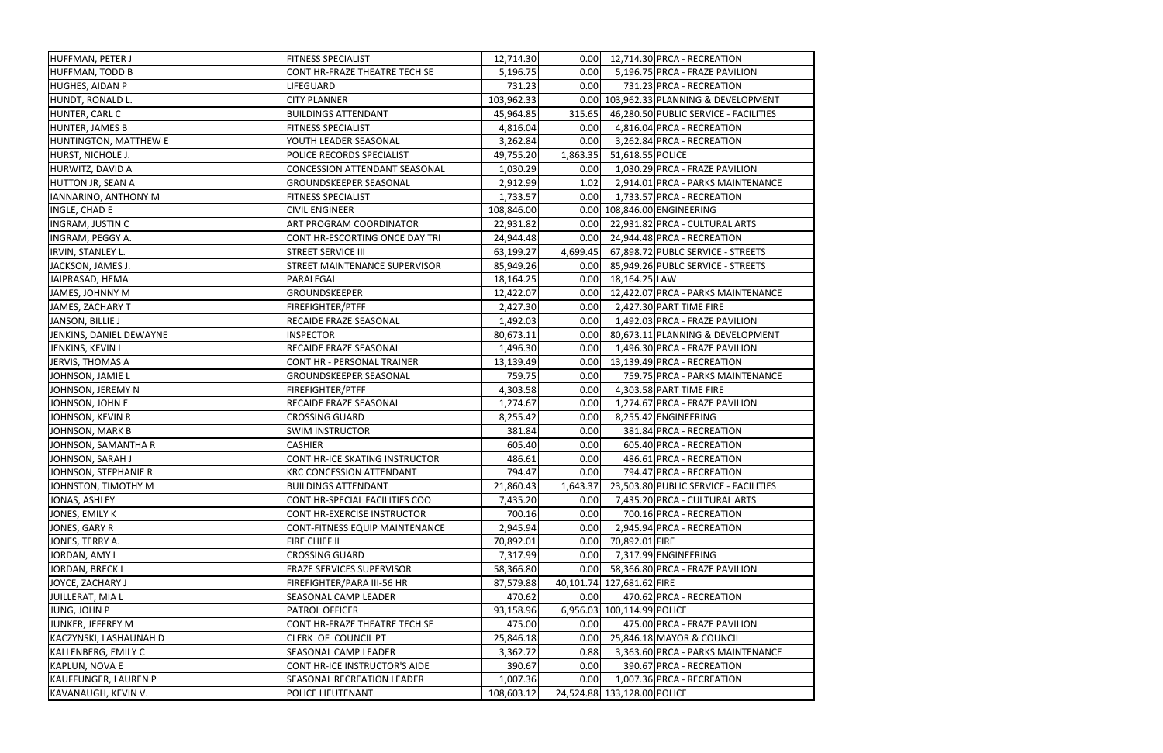| HUFFMAN, PETER J            | <b>FITNESS SPECIALIST</b>             | 12,714.30  | 0.00     | 12,714.30 PRCA - RECREATION            |
|-----------------------------|---------------------------------------|------------|----------|----------------------------------------|
| <b>HUFFMAN, TODD B</b>      | CONT HR-FRAZE THEATRE TECH SE         | 5,196.75   | 0.00     | 5,196.75 PRCA - FRAZE PAVILION         |
| HUGHES, AIDAN P             | LIFEGUARD                             | 731.23     | 0.00     | 731.23 PRCA - RECREATION               |
| HUNDT, RONALD L.            | <b>CITY PLANNER</b>                   | 103,962.33 |          | 0.00 103,962.33 PLANNING & DEVELOPMENT |
| HUNTER, CARL C              | <b>BUILDINGS ATTENDANT</b>            | 45,964.85  | 315.65   | 46,280.50 PUBLIC SERVICE - FACILITIES  |
| HUNTER, JAMES B             | <b>FITNESS SPECIALIST</b>             | 4,816.04   | 0.00     | 4,816.04 PRCA - RECREATION             |
| HUNTINGTON, MATTHEW E       | YOUTH LEADER SEASONAL                 | 3,262.84   | 0.00     | 3,262.84 PRCA - RECREATION             |
| HURST, NICHOLE J.           | POLICE RECORDS SPECIALIST             | 49,755.20  | 1,863.35 | 51,618.55 POLICE                       |
| HURWITZ, DAVID A            | <b>CONCESSION ATTENDANT SEASONAL</b>  | 1,030.29   | 0.00     | 1,030.29 PRCA - FRAZE PAVILION         |
| <b>HUTTON JR, SEAN A</b>    | <b>GROUNDSKEEPER SEASONAL</b>         | 2,912.99   | 1.02     | 2,914.01 PRCA - PARKS MAINTENANCE      |
| IANNARINO, ANTHONY M        | <b>FITNESS SPECIALIST</b>             | 1,733.57   | 0.00     | 1,733.57 PRCA - RECREATION             |
| INGLE, CHAD E               | <b>CIVIL ENGINEER</b>                 | 108,846.00 |          | 0.00 108,846.00 ENGINEERING            |
| <b>INGRAM, JUSTIN C</b>     | ART PROGRAM COORDINATOR               | 22,931.82  | 0.00     | 22,931.82 PRCA - CULTURAL ARTS         |
| INGRAM, PEGGY A.            | CONT HR-ESCORTING ONCE DAY TRI        | 24,944.48  | 0.00     | 24,944.48 PRCA - RECREATION            |
| IRVIN, STANLEY L.           | <b>STREET SERVICE III</b>             | 63,199.27  | 4,699.45 | 67,898.72 PUBLC SERVICE - STREETS      |
| JACKSON, JAMES J.           | STREET MAINTENANCE SUPERVISOR         | 85,949.26  | 0.00     | 85,949.26 PUBLC SERVICE - STREETS      |
| JAIPRASAD, HEMA             | PARALEGAL                             | 18,164.25  | 0.00     | 18,164.25 LAW                          |
| JAMES, JOHNNY M             | <b>GROUNDSKEEPER</b>                  | 12,422.07  | 0.00     | 12,422.07 PRCA - PARKS MAINTENANCE     |
| JAMES, ZACHARY T            | <b>FIREFIGHTER/PTFF</b>               | 2,427.30   | 0.00     | 2,427.30 PART TIME FIRE                |
| JANSON, BILLIE J            | RECAIDE FRAZE SEASONAL                | 1,492.03   | 0.00     | 1,492.03 PRCA - FRAZE PAVILION         |
| JENKINS, DANIEL DEWAYNE     | <b>INSPECTOR</b>                      | 80,673.11  | 0.00     | 80,673.11 PLANNING & DEVELOPMENT       |
| JENKINS, KEVIN L            | RECAIDE FRAZE SEASONAL                | 1,496.30   | 0.00     | 1,496.30 PRCA - FRAZE PAVILION         |
| JERVIS, THOMAS A            | CONT HR - PERSONAL TRAINER            | 13,139.49  | 0.00     | 13,139.49 PRCA - RECREATION            |
| JOHNSON, JAMIE L            | <b>GROUNDSKEEPER SEASONAL</b>         | 759.75     | 0.00     | 759.75 PRCA - PARKS MAINTENANCE        |
| JOHNSON, JEREMY N           | FIREFIGHTER/PTFF                      | 4,303.58   | 0.00     | 4,303.58 PART TIME FIRE                |
| JOHNSON, JOHN E             | RECAIDE FRAZE SEASONAL                | 1,274.67   | 0.00     | 1,274.67 PRCA - FRAZE PAVILION         |
| JOHNSON, KEVIN R            | <b>CROSSING GUARD</b>                 | 8,255.42   | 0.00     | 8,255.42 ENGINEERING                   |
| JOHNSON, MARK B             | <b>SWIM INSTRUCTOR</b>                | 381.84     | 0.00     | 381.84 PRCA - RECREATION               |
| JOHNSON, SAMANTHA R         | <b>CASHIER</b>                        | 605.40     | 0.00     | 605.40 PRCA - RECREATION               |
| JOHNSON, SARAH J            | CONT HR-ICE SKATING INSTRUCTOR        | 486.61     | 0.00     | 486.61 PRCA - RECREATION               |
| JOHNSON, STEPHANIE R        | <b>KRC CONCESSION ATTENDANT</b>       | 794.47     | 0.00     | 794.47 PRCA - RECREATION               |
| JOHNSTON, TIMOTHY M         | <b>BUILDINGS ATTENDANT</b>            | 21,860.43  | 1,643.37 | 23,503.80 PUBLIC SERVICE - FACILITIES  |
| JONAS, ASHLEY               | CONT HR-SPECIAL FACILITIES COO        | 7,435.20   | 0.00     | 7,435.20 PRCA - CULTURAL ARTS          |
| JONES, EMILY K              | CONT HR-EXERCISE INSTRUCTOR           | 700.16     | 0.00     | 700.16 PRCA - RECREATION               |
| JONES, GARY R               | <b>CONT-FITNESS EQUIP MAINTENANCE</b> | 2,945.94   | 0.00     | 2,945.94 PRCA - RECREATION             |
| JONES, TERRY A.             | FIRE CHIEF II                         | 70,892.01  | 0.00     | 70,892.01 FIRE                         |
| JORDAN, AMY L               | <b>CROSSING GUARD</b>                 | 7,317.99   | 0.00     | 7,317.99 ENGINEERING                   |
| JORDAN, BRECK L             | <b>FRAZE SERVICES SUPERVISOR</b>      | 58,366.80  | 0.00     | 58,366.80 PRCA - FRAZE PAVILION        |
| JOYCE, ZACHARY J            | FIREFIGHTER/PARA III-56 HR            | 87,579.88  |          | 40,101.74 127,681.62 FIRE              |
| JUILLERAT, MIA L            | <b>SEASONAL CAMP LEADER</b>           | 470.62     | 0.00     | 470.62 PRCA - RECREATION               |
| JUNG, JOHN P                | PATROL OFFICER                        | 93,158.96  |          | 6,956.03 100,114.99 POLICE             |
| JUNKER, JEFFREY M           | CONT HR-FRAZE THEATRE TECH SE         | 475.00     | 0.00     | 475.00 PRCA - FRAZE PAVILION           |
| KACZYNSKI, LASHAUNAH D      | CLERK OF COUNCIL PT                   | 25,846.18  | 0.00     | 25,846.18 MAYOR & COUNCIL              |
| KALLENBERG, EMILY C         | SEASONAL CAMP LEADER                  | 3,362.72   | 0.88     | 3,363.60 PRCA - PARKS MAINTENANCE      |
| <b>KAPLUN, NOVA E</b>       | CONT HR-ICE INSTRUCTOR'S AIDE         | 390.67     | 0.00     | 390.67 PRCA - RECREATION               |
| <b>KAUFFUNGER, LAUREN P</b> | SEASONAL RECREATION LEADER            | 1,007.36   | 0.00     | 1,007.36 PRCA - RECREATION             |
| KAVANAUGH, KEVIN V.         | POLICE LIEUTENANT                     | 108,603.12 |          | 24,524.88 133,128.00 POLICE            |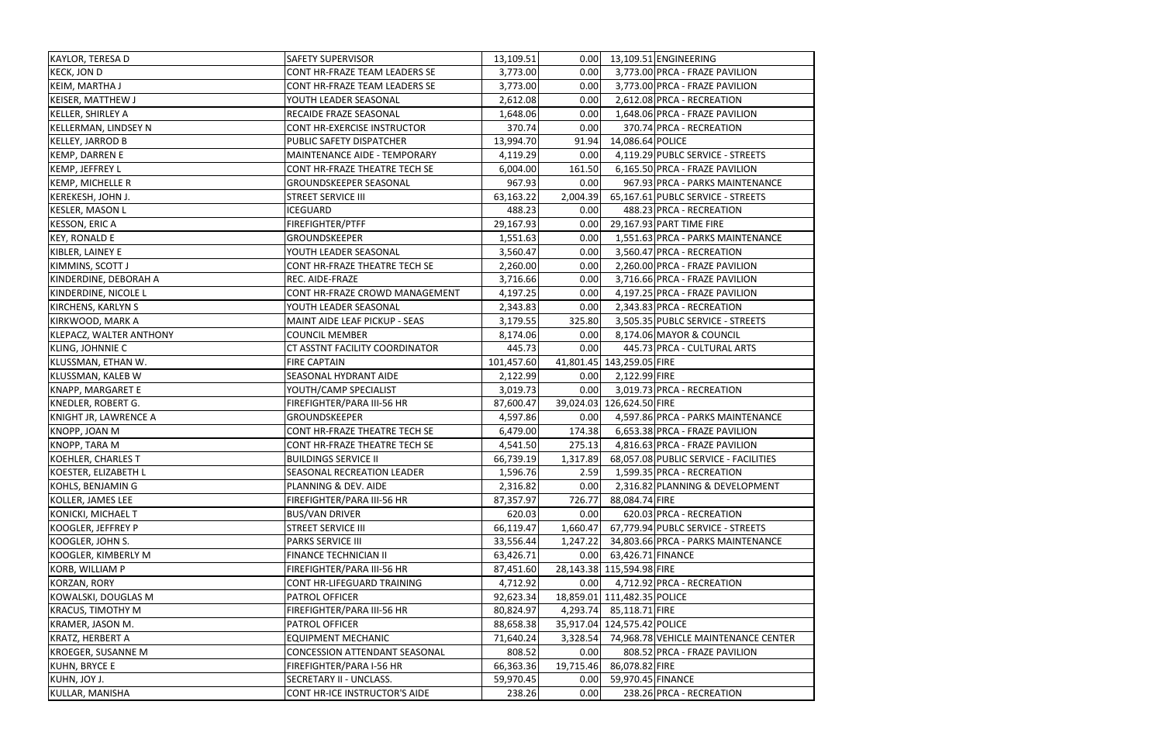| <b>KAYLOR, TERESA D</b>        | <b>SAFETY SUPERVISOR</b>          | 13,109.51  | 0.00      | 13,109.51 ENGINEERING                 |
|--------------------------------|-----------------------------------|------------|-----------|---------------------------------------|
| <b>KECK, JON D</b>             | CONT HR-FRAZE TEAM LEADERS SE     | 3,773.00   | 0.00      | 3,773.00 PRCA - FRAZE PAVILION        |
| KEIM, MARTHA J                 | CONT HR-FRAZE TEAM LEADERS SE     | 3,773.00   | 0.00      | 3,773.00 PRCA - FRAZE PAVILION        |
| <b>KEISER, MATTHEW J</b>       | YOUTH LEADER SEASONAL             | 2,612.08   | 0.00      | 2,612.08 PRCA - RECREATION            |
| KELLER, SHIRLEY A              | RECAIDE FRAZE SEASONAL            | 1,648.06   | 0.00      | 1,648.06 PRCA - FRAZE PAVILION        |
| <b>KELLERMAN, LINDSEY N</b>    | CONT HR-EXERCISE INSTRUCTOR       | 370.74     | 0.00      | 370.74 PRCA - RECREATION              |
| <b>KELLEY, JARROD B</b>        | PUBLIC SAFETY DISPATCHER          | 13,994.70  | 91.94     | 14,086.64 POLICE                      |
| <b>KEMP, DARREN E</b>          | MAINTENANCE AIDE - TEMPORARY      | 4,119.29   | 0.00      | 4,119.29 PUBLC SERVICE - STREETS      |
| KEMP, JEFFREY L                | CONT HR-FRAZE THEATRE TECH SE     | 6,004.00   | 161.50    | 6,165.50 PRCA - FRAZE PAVILION        |
| <b>KEMP, MICHELLE R</b>        | <b>GROUNDSKEEPER SEASONAL</b>     | 967.93     | 0.00      | 967.93 PRCA - PARKS MAINTENANCE       |
| KEREKESH, JOHN J.              | <b>STREET SERVICE III</b>         | 63,163.22  | 2,004.39  | 65,167.61 PUBLC SERVICE - STREETS     |
| <b>KESLER, MASON L</b>         | <b>ICEGUARD</b>                   | 488.23     | 0.00      | 488.23 PRCA - RECREATION              |
| <b>KESSON, ERIC A</b>          | FIREFIGHTER/PTFF                  | 29,167.93  | 0.00      | 29,167.93 PART TIME FIRE              |
| <b>KEY, RONALD E</b>           | GROUNDSKEEPER                     | 1,551.63   | 0.00      | 1,551.63 PRCA - PARKS MAINTENANCE     |
| KIBLER, LAINEY E               | YOUTH LEADER SEASONAL             | 3,560.47   | 0.00      | 3,560.47 PRCA - RECREATION            |
| KIMMINS, SCOTT J               | CONT HR-FRAZE THEATRE TECH SE     | 2,260.00   | 0.00      | 2,260.00 PRCA - FRAZE PAVILION        |
| KINDERDINE, DEBORAH A          | REC. AIDE-FRAZE                   | 3,716.66   | 0.00      | 3,716.66 PRCA - FRAZE PAVILION        |
| KINDERDINE, NICOLE L           | CONT HR-FRAZE CROWD MANAGEMENT    | 4,197.25   | 0.00      | 4,197.25 PRCA - FRAZE PAVILION        |
| <b>KIRCHENS, KARLYN S</b>      | YOUTH LEADER SEASONAL             | 2,343.83   | 0.00      | 2,343.83 PRCA - RECREATION            |
| KIRKWOOD, MARK A               | MAINT AIDE LEAF PICKUP - SEAS     | 3,179.55   | 325.80    | 3,505.35 PUBLC SERVICE - STREETS      |
| <b>KLEPACZ, WALTER ANTHONY</b> | <b>COUNCIL MEMBER</b>             | 8,174.06   | 0.00      | 8,174.06 MAYOR & COUNCIL              |
| <b>KLING, JOHNNIE C</b>        | CT ASSTNT FACILITY COORDINATOR    | 445.73     | 0.00      | 445.73 PRCA - CULTURAL ARTS           |
| KLUSSMAN, ETHAN W.             | <b>FIRE CAPTAIN</b>               | 101,457.60 |           | 41,801.45 143,259.05 FIRE             |
| KLUSSMAN, KALEB W              | SEASONAL HYDRANT AIDE             | 2,122.99   | 0.00      | 2,122.99 FIRE                         |
| KNAPP, MARGARET E              | YOUTH/CAMP SPECIALIST             | 3,019.73   | 0.00      | 3,019.73 PRCA - RECREATION            |
| KNEDLER, ROBERT G.             | FIREFIGHTER/PARA III-56 HR        | 87,600.47  |           | 39,024.03 126,624.50 FIRE             |
| KNIGHT JR, LAWRENCE A          | GROUNDSKEEPER                     | 4,597.86   | 0.00      | 4,597.86 PRCA - PARKS MAINTENANCE     |
| KNOPP, JOAN M                  | CONT HR-FRAZE THEATRE TECH SE     | 6,479.00   | 174.38    | 6,653.38 PRCA - FRAZE PAVILION        |
| KNOPP, TARA M                  | CONT HR-FRAZE THEATRE TECH SE     | 4,541.50   | 275.13    | 4,816.63 PRCA - FRAZE PAVILION        |
| KOEHLER, CHARLES T             | <b>BUILDINGS SERVICE II</b>       | 66,739.19  | 1,317.89  | 68,057.08 PUBLIC SERVICE - FACILITIES |
| KOESTER, ELIZABETH L           | <b>SEASONAL RECREATION LEADER</b> | 1,596.76   | 2.59      | 1,599.35 PRCA - RECREATION            |
| KOHLS, BENJAMIN G              | PLANNING & DEV. AIDE              | 2,316.82   | 0.00      | 2,316.82 PLANNING & DEVELOPMENT       |
| KOLLER, JAMES LEE              | FIREFIGHTER/PARA III-56 HR        | 87,357.97  | 726.77    | 88,084.74 FIRE                        |
| KONICKI, MICHAEL T             | <b>BUS/VAN DRIVER</b>             | 620.03     | 0.00      | 620.03 PRCA - RECREATION              |
| KOOGLER, JEFFREY P             | <b>STREET SERVICE III</b>         | 66,119.47  | 1,660.47  | 67,779.94 PUBLC SERVICE - STREETS     |
| KOOGLER, JOHN S.               | <b>PARKS SERVICE III</b>          | 33,556.44  | 1,247.22  | 34,803.66 PRCA - PARKS MAINTENANCE    |
| KOOGLER, KIMBERLY M            | FINANCE TECHNICIAN II             | 63,426.71  | 0.00      | 63,426.71 FINANCE                     |
| <b>KORB, WILLIAM P</b>         | FIREFIGHTER/PARA III-56 HR        | 87,451.60  |           | 28,143.38 115,594.98 FIRE             |
| <b>KORZAN, RORY</b>            | CONT HR-LIFEGUARD TRAINING        | 4,712.92   | 0.00      | 4,712.92 PRCA - RECREATION            |
| KOWALSKI, DOUGLAS M            | PATROL OFFICER                    | 92,623.34  |           | 18,859.01 111,482.35 POLICE           |
| <b>KRACUS, TIMOTHY M</b>       | FIREFIGHTER/PARA III-56 HR        | 80,824.97  | 4,293.74  | 85,118.71 FIRE                        |
| KRAMER, JASON M.               | <b>PATROL OFFICER</b>             | 88,658.38  |           | 35,917.04 124,575.42 POLICE           |
| <b>KRATZ, HERBERT A</b>        | <b>EQUIPMENT MECHANIC</b>         | 71,640.24  | 3,328.54  | 74,968.78 VEHICLE MAINTENANCE CENTER  |
| <b>KROEGER, SUSANNE M</b>      | CONCESSION ATTENDANT SEASONAL     | 808.52     | 0.00      | 808.52 PRCA - FRAZE PAVILION          |
| <b>KUHN, BRYCE E</b>           | FIREFIGHTER/PARA I-56 HR          | 66,363.36  | 19,715.46 | 86,078.82 FIRE                        |
| KUHN, JOY J.                   | SECRETARY II - UNCLASS.           | 59,970.45  | 0.00      | 59,970.45 FINANCE                     |
| KULLAR, MANISHA                | CONT HR-ICE INSTRUCTOR'S AIDE     | 238.26     | 0.00      | 238.26 PRCA - RECREATION              |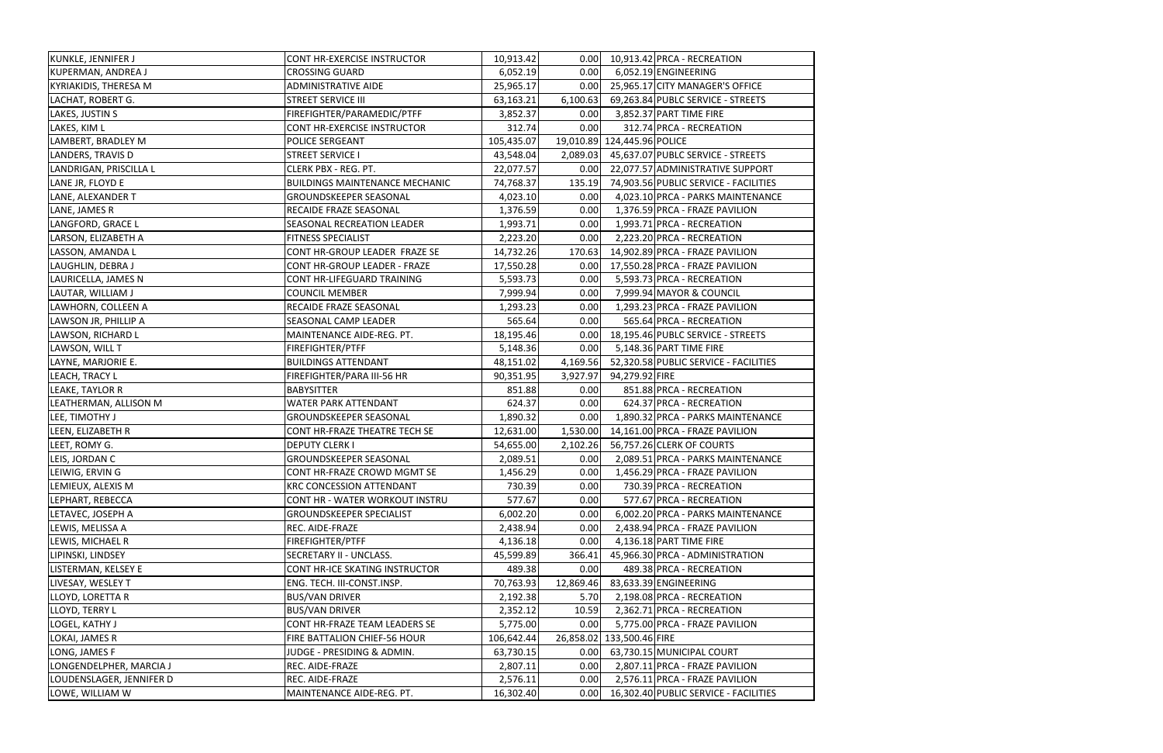| KUNKLE, JENNIFER J           | <b>CONT HR-EXERCISE INSTRUCTOR</b>    | 10,913.42  | 0.00      | 10,913.42 PRCA - RECREATION           |
|------------------------------|---------------------------------------|------------|-----------|---------------------------------------|
| KUPERMAN, ANDREA J           | <b>CROSSING GUARD</b>                 | 6,052.19   | 0.00      | 6,052.19 ENGINEERING                  |
| <b>KYRIAKIDIS, THERESA M</b> | <b>ADMINISTRATIVE AIDE</b>            | 25,965.17  | 0.00      | 25,965.17 CITY MANAGER'S OFFICE       |
| LACHAT, ROBERT G.            | <b>STREET SERVICE III</b>             | 63,163.21  | 6,100.63  | 69,263.84 PUBLC SERVICE - STREETS     |
| LAKES, JUSTIN S              | FIREFIGHTER/PARAMEDIC/PTFF            | 3,852.37   | 0.00      | 3,852.37 PART TIME FIRE               |
| LAKES, KIM L                 | CONT HR-EXERCISE INSTRUCTOR           | 312.74     | 0.00      | 312.74 PRCA - RECREATION              |
| LAMBERT, BRADLEY M           | POLICE SERGEANT                       | 105,435.07 |           | 19,010.89 124,445.96 POLICE           |
| LANDERS, TRAVIS D            | <b>STREET SERVICE I</b>               | 43,548.04  | 2,089.03  | 45,637.07 PUBLC SERVICE - STREETS     |
| LANDRIGAN, PRISCILLA L       | CLERK PBX - REG. PT.                  | 22,077.57  | 0.00      | 22,077.57 ADMINISTRATIVE SUPPORT      |
| LANE JR, FLOYD E             | <b>BUILDINGS MAINTENANCE MECHANIC</b> | 74,768.37  | 135.19    | 74,903.56 PUBLIC SERVICE - FACILITIES |
| LANE, ALEXANDER T            | <b>GROUNDSKEEPER SEASONAL</b>         | 4,023.10   | 0.00      | 4,023.10 PRCA - PARKS MAINTENANCE     |
| LANE, JAMES R                | RECAIDE FRAZE SEASONAL                | 1,376.59   | 0.00      | 1,376.59 PRCA - FRAZE PAVILION        |
| LANGFORD, GRACE L            | SEASONAL RECREATION LEADER            | 1,993.71   | 0.00      | 1,993.71 PRCA - RECREATION            |
| LARSON, ELIZABETH A          | <b>FITNESS SPECIALIST</b>             | 2,223.20   | 0.00      | 2,223.20 PRCA - RECREATION            |
| LASSON, AMANDA L             | CONT HR-GROUP LEADER FRAZE SE         | 14,732.26  | 170.63    | 14,902.89 PRCA - FRAZE PAVILION       |
| LAUGHLIN, DEBRA J            | CONT HR-GROUP LEADER - FRAZE          | 17,550.28  | 0.00      | 17,550.28 PRCA - FRAZE PAVILION       |
| LAURICELLA, JAMES N          | CONT HR-LIFEGUARD TRAINING            | 5,593.73   | 0.00      | 5,593.73 PRCA - RECREATION            |
| LAUTAR, WILLIAM J            | <b>COUNCIL MEMBER</b>                 | 7,999.94   | 0.00      | 7,999.94 MAYOR & COUNCIL              |
| LAWHORN, COLLEEN A           | RECAIDE FRAZE SEASONAL                | 1,293.23   | 0.00      | 1,293.23 PRCA - FRAZE PAVILION        |
| LAWSON JR, PHILLIP A         | SEASONAL CAMP LEADER                  | 565.64     | 0.00      | 565.64 PRCA - RECREATION              |
| LAWSON, RICHARD L            | MAINTENANCE AIDE-REG. PT.             | 18,195.46  | 0.00      | 18,195.46 PUBLC SERVICE - STREETS     |
| LAWSON, WILL T               | <b>FIREFIGHTER/PTFF</b>               | 5,148.36   | 0.00      | 5,148.36 PART TIME FIRE               |
| LAYNE, MARJORIE E.           | <b>BUILDINGS ATTENDANT</b>            | 48,151.02  | 4,169.56  | 52,320.58 PUBLIC SERVICE - FACILITIES |
| LEACH, TRACY L               | FIREFIGHTER/PARA III-56 HR            | 90,351.95  | 3,927.97  | 94,279.92 FIRE                        |
| <b>LEAKE, TAYLOR R</b>       | <b>BABYSITTER</b>                     | 851.88     | 0.00      | 851.88 PRCA - RECREATION              |
| LEATHERMAN, ALLISON M        | <b>WATER PARK ATTENDANT</b>           | 624.37     | 0.00      | 624.37 PRCA - RECREATION              |
| LEE, TIMOTHY J               | <b>GROUNDSKEEPER SEASONAL</b>         | 1,890.32   | 0.00      | 1,890.32 PRCA - PARKS MAINTENANCE     |
| LEEN, ELIZABETH R            | CONT HR-FRAZE THEATRE TECH SE         | 12,631.00  | 1,530.00  | 14,161.00 PRCA - FRAZE PAVILION       |
| LEET, ROMY G.                | <b>DEPUTY CLERK I</b>                 | 54,655.00  | 2,102.26  | 56,757.26 CLERK OF COURTS             |
| LEIS, JORDAN C               | <b>GROUNDSKEEPER SEASONAL</b>         | 2,089.51   | 0.00      | 2,089.51 PRCA - PARKS MAINTENANCE     |
| LEIWIG, ERVIN G              | CONT HR-FRAZE CROWD MGMT SE           | 1,456.29   | 0.00      | 1,456.29 PRCA - FRAZE PAVILION        |
| LEMIEUX, ALEXIS M            | <b>KRC CONCESSION ATTENDANT</b>       | 730.39     | 0.00      | 730.39 PRCA - RECREATION              |
| LEPHART, REBECCA             | CONT HR - WATER WORKOUT INSTRU        | 577.67     | 0.00      | 577.67 PRCA - RECREATION              |
| LETAVEC, JOSEPH A            | <b>GROUNDSKEEPER SPECIALIST</b>       | 6,002.20   | 0.00      | 6,002.20 PRCA - PARKS MAINTENANCE     |
| LEWIS, MELISSA A             | REC. AIDE-FRAZE                       | 2,438.94   | 0.00      | 2,438.94 PRCA - FRAZE PAVILION        |
| LEWIS, MICHAEL R             | <b>FIREFIGHTER/PTFF</b>               | 4,136.18   | 0.00      | 4,136.18 PART TIME FIRE               |
| LIPINSKI, LINDSEY            | SECRETARY II - UNCLASS.               | 45,599.89  | 366.41    | 45,966.30 PRCA - ADMINISTRATION       |
| LISTERMAN, KELSEY E          | CONT HR-ICE SKATING INSTRUCTOR        | 489.38     | 0.00      | 489.38 PRCA - RECREATION              |
| LIVESAY, WESLEY T            | ENG. TECH. III-CONST.INSP.            | 70,763.93  | 12,869.46 | 83,633.39 ENGINEERING                 |
| LLOYD, LORETTA R             | <b>BUS/VAN DRIVER</b>                 | 2,192.38   | 5.70      | 2,198.08 PRCA - RECREATION            |
| LLOYD, TERRY L               | <b>BUS/VAN DRIVER</b>                 | 2,352.12   | 10.59     | 2,362.71 PRCA - RECREATION            |
| LOGEL, KATHY J               | CONT HR-FRAZE TEAM LEADERS SE         | 5,775.00   | 0.00      | 5,775.00 PRCA - FRAZE PAVILION        |
| LOKAI, JAMES R               | FIRE BATTALION CHIEF-56 HOUR          | 106,642.44 |           | 26,858.02 133,500.46 FIRE             |
| LONG, JAMES F                | JUDGE - PRESIDING & ADMIN.            | 63,730.15  | 0.00      | 63,730.15 MUNICIPAL COURT             |
| LONGENDELPHER, MARCIA J      | REC. AIDE-FRAZE                       | 2,807.11   | 0.00      | 2,807.11 PRCA - FRAZE PAVILION        |
| LOUDENSLAGER, JENNIFER D     | REC. AIDE-FRAZE                       | 2,576.11   | 0.00      | 2,576.11 PRCA - FRAZE PAVILION        |
| LOWE, WILLIAM W              | MAINTENANCE AIDE-REG. PT.             | 16,302.40  | 0.00      | 16,302.40 PUBLIC SERVICE - FACILITIES |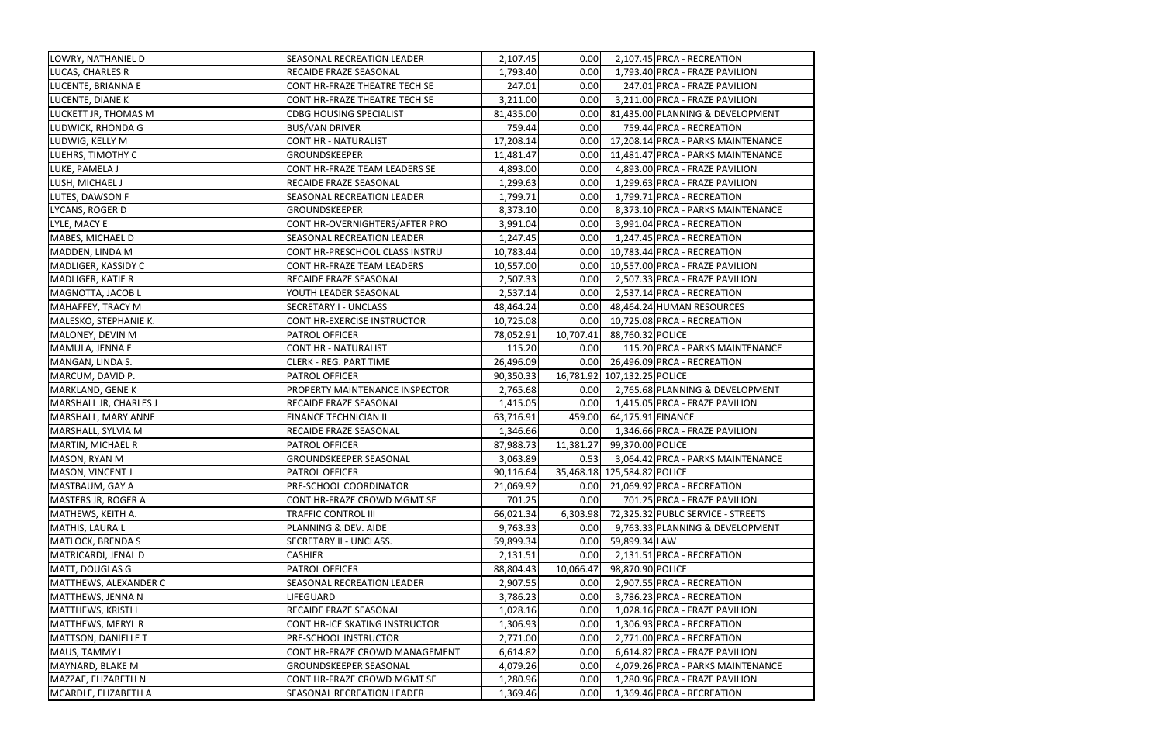| LOWRY, NATHANIEL D         | SEASONAL RECREATION LEADER     | 2,107.45  | 0.00      | 2,107.45 PRCA - RECREATION         |
|----------------------------|--------------------------------|-----------|-----------|------------------------------------|
| LUCAS, CHARLES R           | RECAIDE FRAZE SEASONAL         | 1,793.40  | 0.00      | 1,793.40 PRCA - FRAZE PAVILION     |
| LUCENTE, BRIANNA E         | CONT HR-FRAZE THEATRE TECH SE  | 247.01    | 0.00      | 247.01 PRCA - FRAZE PAVILION       |
| LUCENTE, DIANE K           | CONT HR-FRAZE THEATRE TECH SE  | 3,211.00  | 0.00      | 3,211.00 PRCA - FRAZE PAVILION     |
| LUCKETT JR, THOMAS M       | <b>CDBG HOUSING SPECIALIST</b> | 81,435.00 | 0.00      | 81,435.00 PLANNING & DEVELOPMENT   |
| <b>LUDWICK, RHONDA G</b>   | <b>BUS/VAN DRIVER</b>          | 759.44    | 0.00      | 759.44 PRCA - RECREATION           |
| LUDWIG, KELLY M            | <b>CONT HR - NATURALIST</b>    | 17,208.14 | 0.00      | 17,208.14 PRCA - PARKS MAINTENANCE |
| LUEHRS, TIMOTHY C          | GROUNDSKEEPER                  | 11,481.47 | 0.00      | 11,481.47 PRCA - PARKS MAINTENANCE |
| LUKE, PAMELA J             | CONT HR-FRAZE TEAM LEADERS SE  | 4,893.00  | 0.00      | 4,893.00 PRCA - FRAZE PAVILION     |
| LUSH, MICHAEL J            | RECAIDE FRAZE SEASONAL         | 1,299.63  | 0.00      | 1,299.63 PRCA - FRAZE PAVILION     |
| LUTES, DAWSON F            | SEASONAL RECREATION LEADER     | 1,799.71  | 0.00      | 1,799.71 PRCA - RECREATION         |
| LYCANS, ROGER D            | <b>GROUNDSKEEPER</b>           | 8,373.10  | 0.00      | 8,373.10 PRCA - PARKS MAINTENANCE  |
| LYLE, MACY E               | CONT HR-OVERNIGHTERS/AFTER PRO | 3,991.04  | 0.00      | 3,991.04 PRCA - RECREATION         |
| MABES, MICHAEL D           | SEASONAL RECREATION LEADER     | 1,247.45  | 0.00      | 1,247.45 PRCA - RECREATION         |
| MADDEN, LINDA M            | CONT HR-PRESCHOOL CLASS INSTRU | 10,783.44 | 0.00      | 10,783.44 PRCA - RECREATION        |
| MADLIGER, KASSIDY C        | CONT HR-FRAZE TEAM LEADERS     | 10,557.00 | 0.00      | 10,557.00 PRCA - FRAZE PAVILION    |
| MADLIGER, KATIE R          | RECAIDE FRAZE SEASONAL         | 2,507.33  | 0.00      | 2,507.33 PRCA - FRAZE PAVILION     |
| MAGNOTTA, JACOB L          | YOUTH LEADER SEASONAL          | 2,537.14  | 0.00      | 2,537.14 PRCA - RECREATION         |
| MAHAFFEY, TRACY M          | SECRETARY I - UNCLASS          | 48,464.24 | 0.00      | 48,464.24 HUMAN RESOURCES          |
| MALESKO, STEPHANIE K.      | CONT HR-EXERCISE INSTRUCTOR    | 10,725.08 | 0.00      | 10,725.08 PRCA - RECREATION        |
| MALONEY, DEVIN M           | PATROL OFFICER                 | 78,052.91 | 10,707.41 | 88,760.32 POLICE                   |
| MAMULA, JENNA E            | <b>CONT HR - NATURALIST</b>    | 115.20    | 0.00      | 115.20 PRCA - PARKS MAINTENANCE    |
| MANGAN, LINDA S.           | <b>CLERK - REG. PART TIME</b>  | 26,496.09 | 0.00      | 26,496.09 PRCA - RECREATION        |
| MARCUM, DAVID P.           | <b>PATROL OFFICER</b>          | 90,350.33 |           | 16,781.92 107,132.25 POLICE        |
| MARKLAND, GENE K           | PROPERTY MAINTENANCE INSPECTOR | 2,765.68  | 0.00      | 2,765.68 PLANNING & DEVELOPMENT    |
| MARSHALL JR, CHARLES J     | RECAIDE FRAZE SEASONAL         | 1,415.05  | 0.00      | 1,415.05 PRCA - FRAZE PAVILION     |
| MARSHALL, MARY ANNE        | FINANCE TECHNICIAN II          | 63,716.91 | 459.00    | 64,175.91 FINANCE                  |
| MARSHALL, SYLVIA M         | RECAIDE FRAZE SEASONAL         | 1,346.66  | 0.00      | 1,346.66 PRCA - FRAZE PAVILION     |
| MARTIN, MICHAEL R          | PATROL OFFICER                 | 87,988.73 | 11,381.27 | 99,370.00 POLICE                   |
| MASON, RYAN M              | <b>GROUNDSKEEPER SEASONAL</b>  | 3,063.89  | 0.53      | 3,064.42 PRCA - PARKS MAINTENANCE  |
| MASON, VINCENT J           | <b>PATROL OFFICER</b>          | 90,116.64 |           | 35,468.18 125,584.82 POLICE        |
| MASTBAUM, GAY A            | PRE-SCHOOL COORDINATOR         | 21,069.92 | 0.00      | 21,069.92 PRCA - RECREATION        |
| MASTERS JR, ROGER A        | CONT HR-FRAZE CROWD MGMT SE    | 701.25    | 0.00      | 701.25 PRCA - FRAZE PAVILION       |
| MATHEWS, KEITH A.          | TRAFFIC CONTROL III            | 66,021.34 | 6,303.98  | 72,325.32 PUBLC SERVICE - STREETS  |
| MATHIS, LAURA L            | PLANNING & DEV. AIDE           | 9,763.33  | 0.00      | 9,763.33 PLANNING & DEVELOPMENT    |
| <b>MATLOCK, BRENDA S</b>   | SECRETARY II - UNCLASS.        | 59,899.34 | 0.00      | 59,899.34 LAW                      |
| MATRICARDI, JENAL D        | <b>CASHIER</b>                 | 2,131.51  | 0.00      | 2,131.51 PRCA - RECREATION         |
| MATT, DOUGLAS G            | PATROL OFFICER                 | 88,804.43 | 10,066.47 | 98,870.90 POLICE                   |
| MATTHEWS, ALEXANDER C      | SEASONAL RECREATION LEADER     | 2,907.55  | 0.00      | 2,907.55 PRCA - RECREATION         |
| MATTHEWS, JENNA N          | LIFEGUARD                      | 3,786.23  | 0.00      | 3,786.23 PRCA - RECREATION         |
| MATTHEWS, KRISTI L         | RECAIDE FRAZE SEASONAL         | 1,028.16  | 0.00      | 1,028.16 PRCA - FRAZE PAVILION     |
| MATTHEWS, MERYL R          | CONT HR-ICE SKATING INSTRUCTOR | 1,306.93  | 0.00      | 1,306.93 PRCA - RECREATION         |
| <b>MATTSON, DANIELLE T</b> | PRE-SCHOOL INSTRUCTOR          | 2,771.00  | 0.00      | 2,771.00 PRCA - RECREATION         |
| MAUS, TAMMY L              | CONT HR-FRAZE CROWD MANAGEMENT | 6,614.82  | 0.00      | 6,614.82 PRCA - FRAZE PAVILION     |
| MAYNARD, BLAKE M           | GROUNDSKEEPER SEASONAL         | 4,079.26  | 0.00      | 4,079.26 PRCA - PARKS MAINTENANCE  |
| MAZZAE, ELIZABETH N        | CONT HR-FRAZE CROWD MGMT SE    | 1,280.96  | 0.00      | 1,280.96 PRCA - FRAZE PAVILION     |
| MCARDLE, ELIZABETH A       | SEASONAL RECREATION LEADER     | 1,369.46  | 0.00      | 1,369.46 PRCA - RECREATION         |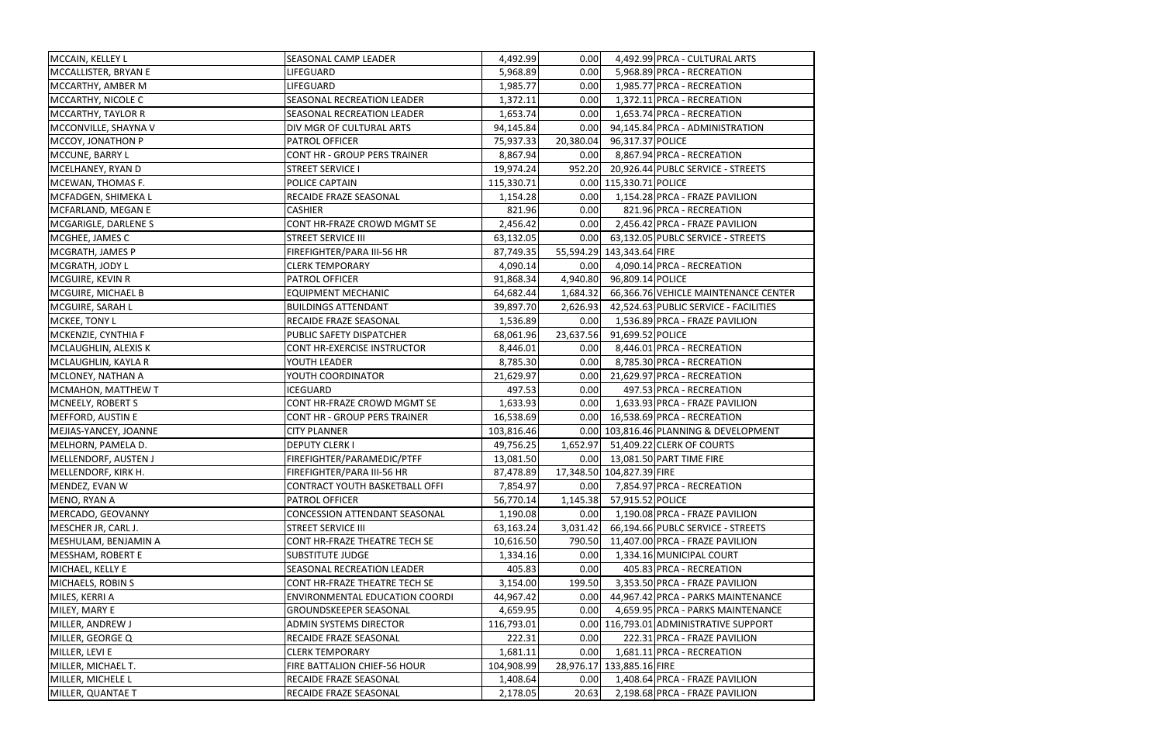| MCCAIN, KELLEY L      | SEASONAL CAMP LEADER                 | 4,492.99   | 0.00      |                            | 4,492.99 PRCA - CULTURAL ARTS                  |
|-----------------------|--------------------------------------|------------|-----------|----------------------------|------------------------------------------------|
| MCCALLISTER, BRYAN E  | LIFEGUARD                            | 5,968.89   | 0.00      |                            | 5,968.89 PRCA - RECREATION                     |
| MCCARTHY, AMBER M     | LIFEGUARD                            | 1,985.77   | 0.00      |                            | 1,985.77 PRCA - RECREATION                     |
| MCCARTHY, NICOLE C    | SEASONAL RECREATION LEADER           | 1,372.11   | 0.00      |                            | 1,372.11 PRCA - RECREATION                     |
| MCCARTHY, TAYLOR R    | SEASONAL RECREATION LEADER           | 1,653.74   | 0.00      |                            | 1,653.74 PRCA - RECREATION                     |
| MCCONVILLE, SHAYNA V  | DIV MGR OF CULTURAL ARTS             | 94,145.84  | 0.00      |                            | 94,145.84 PRCA - ADMINISTRATION                |
| MCCOY, JONATHON P     | PATROL OFFICER                       | 75,937.33  | 20,380.04 | 96,317.37 POLICE           |                                                |
| MCCUNE, BARRY L       | <b>CONT HR - GROUP PERS TRAINER</b>  | 8,867.94   | 0.00      |                            | 8,867.94 PRCA - RECREATION                     |
| MCELHANEY, RYAN D     | <b>STREET SERVICE I</b>              | 19,974.24  | 952.20    |                            | 20,926.44 PUBLC SERVICE - STREETS              |
| MCEWAN, THOMAS F.     | POLICE CAPTAIN                       | 115,330.71 |           | 0.00 115,330.71 POLICE     |                                                |
| MCFADGEN, SHIMEKA L   | RECAIDE FRAZE SEASONAL               | 1,154.28   | 0.00      |                            | 1,154.28 PRCA - FRAZE PAVILION                 |
| MCFARLAND, MEGAN E    | <b>CASHIER</b>                       | 821.96     | 0.00      |                            | 821.96 PRCA - RECREATION                       |
| MCGARIGLE, DARLENE S  | CONT HR-FRAZE CROWD MGMT SE          | 2,456.42   | 0.00      |                            | 2,456.42 PRCA - FRAZE PAVILION                 |
| MCGHEE, JAMES C       | <b>STREET SERVICE III</b>            | 63,132.05  |           |                            | 0.00 63,132.05 PUBLC SERVICE - STREETS         |
| MCGRATH, JAMES P      | FIREFIGHTER/PARA III-56 HR           | 87,749.35  |           | 55,594.29 143,343.64 FIRE  |                                                |
| MCGRATH, JODY L       | <b>CLERK TEMPORARY</b>               | 4,090.14   | 0.00      |                            | 4,090.14 PRCA - RECREATION                     |
| MCGUIRE, KEVIN R      | PATROL OFFICER                       | 91,868.34  |           | 4,940.80 96,809.14 POLICE  |                                                |
| MCGUIRE, MICHAEL B    | <b>EQUIPMENT MECHANIC</b>            | 64,682.44  | 1,684.32  |                            | 66,366.76 VEHICLE MAINTENANCE CENTER           |
| MCGUIRE, SARAH L      | <b>BUILDINGS ATTENDANT</b>           | 39,897.70  |           |                            | 2,626.93 42,524.63 PUBLIC SERVICE - FACILITIES |
| MCKEE, TONY L         | RECAIDE FRAZE SEASONAL               | 1,536.89   | 0.00      |                            | 1,536.89 PRCA - FRAZE PAVILION                 |
| MCKENZIE, CYNTHIA F   | PUBLIC SAFETY DISPATCHER             | 68,061.96  |           | 23,637.56 91,699.52 POLICE |                                                |
| MCLAUGHLIN, ALEXIS K  | CONT HR-EXERCISE INSTRUCTOR          | 8,446.01   | 0.00      |                            | 8,446.01 PRCA - RECREATION                     |
| MCLAUGHLIN, KAYLA R   | YOUTH LEADER                         | 8,785.30   | 0.00      |                            | 8,785.30 PRCA - RECREATION                     |
| MCLONEY, NATHAN A     | YOUTH COORDINATOR                    | 21,629.97  | 0.00      |                            | 21,629.97 PRCA - RECREATION                    |
| MCMAHON, MATTHEW T    | <b>ICEGUARD</b>                      | 497.53     | 0.00      |                            | 497.53 PRCA - RECREATION                       |
| MCNEELY, ROBERT S     | CONT HR-FRAZE CROWD MGMT SE          | 1,633.93   | 0.00      |                            | 1,633.93 PRCA - FRAZE PAVILION                 |
| MEFFORD, AUSTIN E     | CONT HR - GROUP PERS TRAINER         | 16,538.69  | 0.00      |                            | 16,538.69 PRCA - RECREATION                    |
| MEJIAS-YANCEY, JOANNE | <b>CITY PLANNER</b>                  | 103,816.46 |           |                            | 0.00 103,816.46 PLANNING & DEVELOPMENT         |
| MELHORN, PAMELA D.    | <b>DEPUTY CLERK I</b>                | 49,756.25  |           |                            | 1,652.97 51,409.22 CLERK OF COURTS             |
| MELLENDORF, AUSTEN J  | FIREFIGHTER/PARAMEDIC/PTFF           | 13,081.50  |           |                            | 0.00 13,081.50 PART TIME FIRE                  |
| MELLENDORF, KIRK H.   | FIREFIGHTER/PARA III-56 HR           | 87,478.89  |           | 17,348.50 104,827.39 FIRE  |                                                |
| MENDEZ, EVAN W        | CONTRACT YOUTH BASKETBALL OFFI       | 7,854.97   | 0.00      |                            | 7,854.97 PRCA - RECREATION                     |
| MENO, RYAN A          | PATROL OFFICER                       | 56,770.14  | 1,145.38  | 57,915.52 POLICE           |                                                |
| MERCADO, GEOVANNY     | <b>CONCESSION ATTENDANT SEASONAL</b> | 1,190.08   | 0.00      |                            | 1,190.08 PRCA - FRAZE PAVILION                 |
| MESCHER JR, CARL J.   | <b>STREET SERVICE III</b>            | 63,163.24  | 3,031.42  |                            | 66,194.66 PUBLC SERVICE - STREETS              |
| MESHULAM, BENJAMIN A  | CONT HR-FRAZE THEATRE TECH SE        | 10,616.50  | 790.50    |                            | 11,407.00 PRCA - FRAZE PAVILION                |
| MESSHAM, ROBERT E     | <b>SUBSTITUTE JUDGE</b>              | 1,334.16   | 0.00      |                            | 1,334.16 MUNICIPAL COURT                       |
| MICHAEL, KELLY E      | SEASONAL RECREATION LEADER           | 405.83     | 0.00      |                            | 405.83 PRCA - RECREATION                       |
| MICHAELS, ROBIN S     | CONT HR-FRAZE THEATRE TECH SE        | 3,154.00   | 199.50    |                            | 3,353.50 PRCA - FRAZE PAVILION                 |
| MILES, KERRI A        | ENVIRONMENTAL EDUCATION COORDI       | 44,967.42  | 0.00      |                            | 44,967.42 PRCA - PARKS MAINTENANCE             |
| MILEY, MARY E         | GROUNDSKEEPER SEASONAL               | 4,659.95   | 0.00      |                            | 4,659.95 PRCA - PARKS MAINTENANCE              |
| MILLER, ANDREW J      | ADMIN SYSTEMS DIRECTOR               | 116,793.01 |           |                            | 0.00 116,793.01 ADMINISTRATIVE SUPPORT         |
| MILLER, GEORGE Q      | RECAIDE FRAZE SEASONAL               | 222.31     | 0.00      |                            | 222.31 PRCA - FRAZE PAVILION                   |
| MILLER, LEVI E        | <b>CLERK TEMPORARY</b>               | 1,681.11   | 0.00      |                            | 1,681.11 PRCA - RECREATION                     |
| MILLER, MICHAEL T.    | FIRE BATTALION CHIEF-56 HOUR         | 104,908.99 |           | 28,976.17 133,885.16 FIRE  |                                                |
| MILLER, MICHELE L     | RECAIDE FRAZE SEASONAL               | 1,408.64   | 0.00      |                            | 1,408.64 PRCA - FRAZE PAVILION                 |
| MILLER, QUANTAE T     | RECAIDE FRAZE SEASONAL               | 2,178.05   | 20.63     |                            | 2,198.68 PRCA - FRAZE PAVILION                 |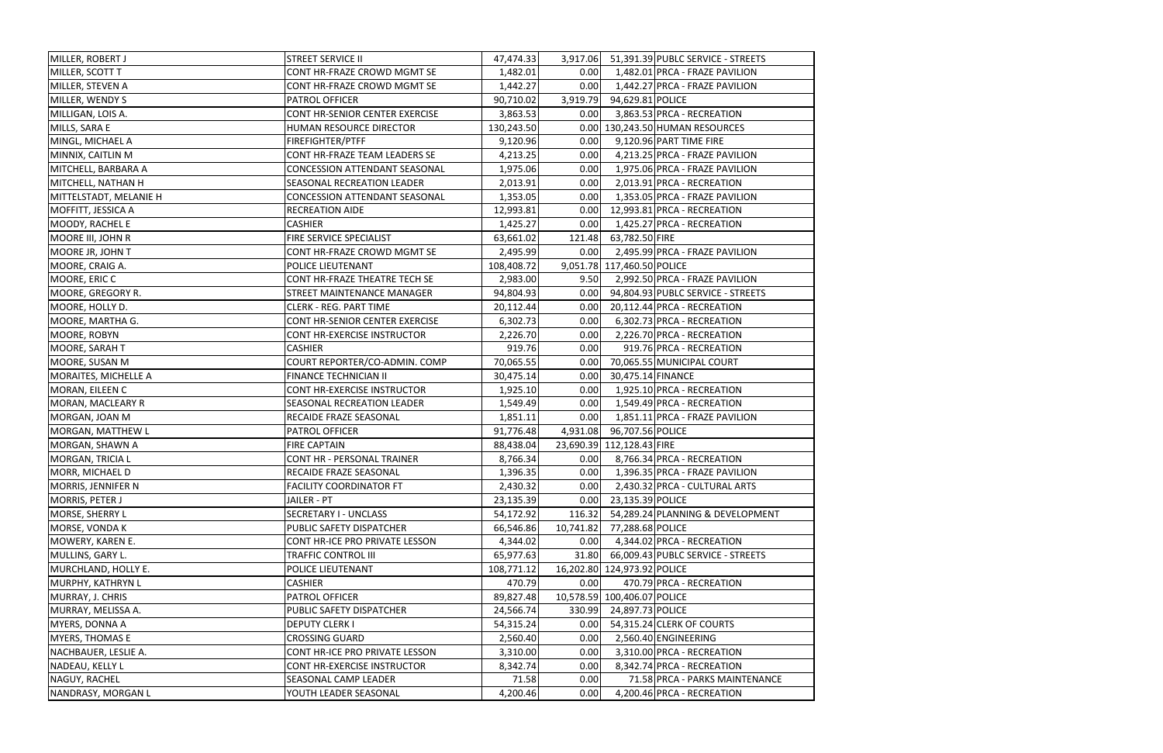| MILLER, ROBERT J       | <b>STREET SERVICE II</b>             | 47,474.33  |           |                             | 3,917.06 51,391.39 PUBLC SERVICE - STREETS |
|------------------------|--------------------------------------|------------|-----------|-----------------------------|--------------------------------------------|
| MILLER, SCOTT T        | CONT HR-FRAZE CROWD MGMT SE          | 1,482.01   | 0.00      |                             | 1,482.01 PRCA - FRAZE PAVILION             |
| MILLER, STEVEN A       | CONT HR-FRAZE CROWD MGMT SE          | 1,442.27   | 0.00      |                             | 1,442.27 PRCA - FRAZE PAVILION             |
| MILLER, WENDY S        | PATROL OFFICER                       | 90,710.02  | 3,919.79  | 94,629.81 POLICE            |                                            |
| MILLIGAN, LOIS A.      | CONT HR-SENIOR CENTER EXERCISE       | 3,863.53   | 0.00      |                             | 3,863.53 PRCA - RECREATION                 |
| MILLS, SARA E          | HUMAN RESOURCE DIRECTOR              | 130,243.50 |           |                             | 0.00 130,243.50 HUMAN RESOURCES            |
| MINGL, MICHAEL A       | FIREFIGHTER/PTFF                     | 9,120.96   | 0.00      |                             | 9,120.96 PART TIME FIRE                    |
| MINNIX, CAITLIN M      | CONT HR-FRAZE TEAM LEADERS SE        | 4,213.25   | 0.00      |                             | 4,213.25 PRCA - FRAZE PAVILION             |
| MITCHELL, BARBARA A    | CONCESSION ATTENDANT SEASONAL        | 1,975.06   | 0.00      |                             | 1,975.06 PRCA - FRAZE PAVILION             |
| MITCHELL, NATHAN H     | SEASONAL RECREATION LEADER           | 2,013.91   | 0.00      |                             | 2,013.91 PRCA - RECREATION                 |
| MITTELSTADT, MELANIE H | <b>CONCESSION ATTENDANT SEASONAL</b> | 1,353.05   | 0.00      |                             | 1,353.05 PRCA - FRAZE PAVILION             |
| MOFFITT, JESSICA A     | <b>RECREATION AIDE</b>               | 12,993.81  | 0.00      |                             | 12,993.81 PRCA - RECREATION                |
| MOODY, RACHEL E        | <b>CASHIER</b>                       | 1,425.27   | 0.00      |                             | 1,425.27 PRCA - RECREATION                 |
| MOORE III, JOHN R      | FIRE SERVICE SPECIALIST              | 63,661.02  | 121.48    | 63,782.50 FIRE              |                                            |
| MOORE JR, JOHN T       | CONT HR-FRAZE CROWD MGMT SE          | 2,495.99   | 0.00      |                             | 2,495.99 PRCA - FRAZE PAVILION             |
| MOORE, CRAIG A.        | POLICE LIEUTENANT                    | 108,408.72 |           | 9,051.78 117,460.50 POLICE  |                                            |
| MOORE, ERIC C          | CONT HR-FRAZE THEATRE TECH SE        | 2,983.00   | 9.50      |                             | 2,992.50 PRCA - FRAZE PAVILION             |
| MOORE, GREGORY R.      | STREET MAINTENANCE MANAGER           | 94,804.93  | 0.00      |                             | 94,804.93 PUBLC SERVICE - STREETS          |
| MOORE, HOLLY D.        | <b>CLERK - REG. PART TIME</b>        | 20,112.44  | 0.00      |                             | 20,112.44 PRCA - RECREATION                |
| MOORE, MARTHA G.       | CONT HR-SENIOR CENTER EXERCISE       | 6,302.73   | 0.00      |                             | 6,302.73 PRCA - RECREATION                 |
| MOORE, ROBYN           | CONT HR-EXERCISE INSTRUCTOR          | 2,226.70   | 0.00      |                             | 2,226.70 PRCA - RECREATION                 |
| MOORE, SARAH T         | <b>CASHIER</b>                       | 919.76     | 0.00      |                             | 919.76 PRCA - RECREATION                   |
| MOORE, SUSAN M         | COURT REPORTER/CO-ADMIN. COMP        | 70,065.55  | 0.00      |                             | 70,065.55 MUNICIPAL COURT                  |
| MORAITES, MICHELLE A   | FINANCE TECHNICIAN II                | 30,475.14  | 0.00      | 30,475.14 FINANCE           |                                            |
| MORAN, EILEEN C        | CONT HR-EXERCISE INSTRUCTOR          | 1,925.10   | 0.00      |                             | 1,925.10 PRCA - RECREATION                 |
| MORAN, MACLEARY R      | SEASONAL RECREATION LEADER           | 1,549.49   | 0.00      |                             | 1,549.49 PRCA - RECREATION                 |
| MORGAN, JOAN M         | RECAIDE FRAZE SEASONAL               | 1,851.11   | 0.00      |                             | 1,851.11 PRCA - FRAZE PAVILION             |
| MORGAN, MATTHEW L      | PATROL OFFICER                       | 91,776.48  | 4,931.08  | 96,707.56 POLICE            |                                            |
| MORGAN, SHAWN A        | <b>FIRE CAPTAIN</b>                  | 88,438.04  |           | 23,690.39 112,128.43 FIRE   |                                            |
| MORGAN, TRICIA L       | <b>CONT HR - PERSONAL TRAINER</b>    | 8,766.34   | 0.00      |                             | 8,766.34 PRCA - RECREATION                 |
| MORR, MICHAEL D        | RECAIDE FRAZE SEASONAL               | 1,396.35   | 0.00      |                             | 1,396.35 PRCA - FRAZE PAVILION             |
| MORRIS, JENNIFER N     | <b>FACILITY COORDINATOR FT</b>       | 2,430.32   | 0.00      |                             | 2,430.32 PRCA - CULTURAL ARTS              |
| MORRIS, PETER J        | JAILER - PT                          | 23,135.39  | 0.00      | 23,135.39 POLICE            |                                            |
| MORSE, SHERRY L        | SECRETARY I - UNCLASS                | 54,172.92  | 116.32    |                             | 54,289.24 PLANNING & DEVELOPMENT           |
| MORSE, VONDA K         | PUBLIC SAFETY DISPATCHER             | 66,546.86  | 10,741.82 | 77,288.68 POLICE            |                                            |
| MOWERY, KAREN E.       | CONT HR-ICE PRO PRIVATE LESSON       | 4,344.02   | 0.00      |                             | 4,344.02 PRCA - RECREATION                 |
| MULLINS, GARY L.       | TRAFFIC CONTROL III                  | 65,977.63  |           |                             | 31.80 66,009.43 PUBLC SERVICE - STREETS    |
| MURCHLAND, HOLLY E.    | POLICE LIEUTENANT                    | 108,771.12 |           | 16,202.80 124,973.92 POLICE |                                            |
| MURPHY, KATHRYN L      | <b>CASHIER</b>                       | 470.79     | 0.00      |                             | 470.79 PRCA - RECREATION                   |
| MURRAY, J. CHRIS       | PATROL OFFICER                       | 89,827.48  |           | 10,578.59 100,406.07 POLICE |                                            |
| MURRAY, MELISSA A.     | PUBLIC SAFETY DISPATCHER             | 24,566.74  | 330.99    | 24,897.73 POLICE            |                                            |
| MYERS, DONNA A         | <b>DEPUTY CLERK I</b>                | 54,315.24  | 0.00      |                             | 54,315.24 CLERK OF COURTS                  |
| <b>MYERS, THOMAS E</b> | <b>CROSSING GUARD</b>                | 2,560.40   | 0.00      |                             | 2,560.40 ENGINEERING                       |
| NACHBAUER, LESLIE A.   | CONT HR-ICE PRO PRIVATE LESSON       | 3,310.00   | 0.00      |                             | 3,310.00 PRCA - RECREATION                 |
| NADEAU, KELLY L        | CONT HR-EXERCISE INSTRUCTOR          | 8,342.74   | 0.00      |                             | 8,342.74 PRCA - RECREATION                 |
| NAGUY, RACHEL          | SEASONAL CAMP LEADER                 | 71.58      | 0.00      |                             | 71.58 PRCA - PARKS MAINTENANCE             |
| NANDRASY, MORGAN L     | YOUTH LEADER SEASONAL                | 4,200.46   | 0.00      |                             | 4,200.46 PRCA - RECREATION                 |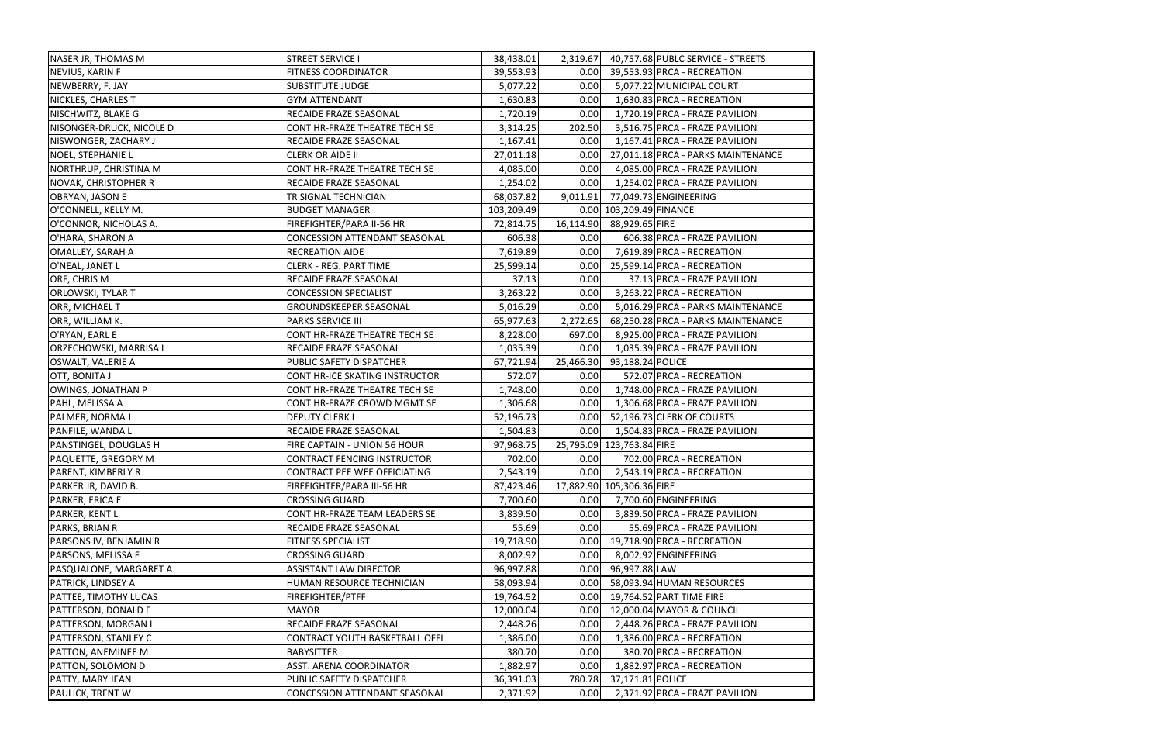| NASER JR, THOMAS M          | <b>STREET SERVICE I</b>               | 38,438.01  | 2,319.67  |                           | 40,757.68 PUBLC SERVICE - STREETS  |
|-----------------------------|---------------------------------------|------------|-----------|---------------------------|------------------------------------|
| NEVIUS, KARIN F             | <b>FITNESS COORDINATOR</b>            | 39,553.93  | 0.00      |                           | 39,553.93 PRCA - RECREATION        |
| NEWBERRY, F. JAY            | <b>SUBSTITUTE JUDGE</b>               | 5,077.22   | 0.00      |                           | 5,077.22 MUNICIPAL COURT           |
| NICKLES, CHARLES T          | <b>GYM ATTENDANT</b>                  | 1,630.83   | 0.00      |                           | 1,630.83 PRCA - RECREATION         |
| NISCHWITZ, BLAKE G          | RECAIDE FRAZE SEASONAL                | 1,720.19   | 0.00      |                           | 1,720.19 PRCA - FRAZE PAVILION     |
| NISONGER-DRUCK, NICOLE D    | CONT HR-FRAZE THEATRE TECH SE         | 3,314.25   | 202.50    |                           | 3,516.75 PRCA - FRAZE PAVILION     |
| NISWONGER, ZACHARY J        | RECAIDE FRAZE SEASONAL                | 1,167.41   | 0.00      |                           | 1,167.41 PRCA - FRAZE PAVILION     |
| <b>NOEL, STEPHANIE L</b>    | <b>CLERK OR AIDE II</b>               | 27,011.18  | 0.00      |                           | 27,011.18 PRCA - PARKS MAINTENANCE |
| NORTHRUP, CHRISTINA M       | CONT HR-FRAZE THEATRE TECH SE         | 4,085.00   | 0.00      |                           | 4,085.00 PRCA - FRAZE PAVILION     |
| NOVAK, CHRISTOPHER R        | RECAIDE FRAZE SEASONAL                | 1,254.02   | 0.00      |                           | 1,254.02 PRCA - FRAZE PAVILION     |
| OBRYAN, JASON E             | TR SIGNAL TECHNICIAN                  | 68,037.82  | 9,011.91  |                           | 77,049.73 ENGINEERING              |
| O'CONNELL, KELLY M.         | <b>BUDGET MANAGER</b>                 | 103,209.49 |           | 0.00 103,209.49 FINANCE   |                                    |
| O'CONNOR, NICHOLAS A.       | FIREFIGHTER/PARA II-56 HR             | 72,814.75  | 16,114.90 | 88,929.65 FIRE            |                                    |
| O'HARA, SHARON A            | <b>CONCESSION ATTENDANT SEASONAL</b>  | 606.38     | 0.00      |                           | 606.38 PRCA - FRAZE PAVILION       |
| <b>OMALLEY, SARAH A</b>     | <b>RECREATION AIDE</b>                | 7,619.89   | 0.00      |                           | 7,619.89 PRCA - RECREATION         |
| O'NEAL, JANET L             | <b>CLERK - REG. PART TIME</b>         | 25,599.14  | 0.00      |                           | 25,599.14 PRCA - RECREATION        |
| ORF, CHRIS M                | RECAIDE FRAZE SEASONAL                | 37.13      | 0.00      |                           | 37.13 PRCA - FRAZE PAVILION        |
| ORLOWSKI, TYLAR T           | <b>CONCESSION SPECIALIST</b>          | 3,263.22   | 0.00      |                           | 3,263.22 PRCA - RECREATION         |
| ORR, MICHAEL T              | <b>GROUNDSKEEPER SEASONAL</b>         | 5,016.29   | 0.00      |                           | 5,016.29 PRCA - PARKS MAINTENANCE  |
| ORR, WILLIAM K.             | <b>PARKS SERVICE III</b>              | 65,977.63  | 2,272.65  |                           | 68,250.28 PRCA - PARKS MAINTENANCE |
| O'RYAN, EARL E              | CONT HR-FRAZE THEATRE TECH SE         | 8,228.00   | 697.00    |                           | 8,925.00 PRCA - FRAZE PAVILION     |
| ORZECHOWSKI, MARRISA L      | RECAIDE FRAZE SEASONAL                | 1,035.39   | 0.00      |                           | 1,035.39 PRCA - FRAZE PAVILION     |
| <b>OSWALT, VALERIE A</b>    | PUBLIC SAFETY DISPATCHER              | 67,721.94  | 25,466.30 | 93,188.24 POLICE          |                                    |
| OTT, BONITA J               | <b>CONT HR-ICE SKATING INSTRUCTOR</b> | 572.07     | 0.00      |                           | 572.07 PRCA - RECREATION           |
| OWINGS, JONATHAN P          | CONT HR-FRAZE THEATRE TECH SE         | 1,748.00   | 0.00      |                           | 1,748.00 PRCA - FRAZE PAVILION     |
| PAHL, MELISSA A             | CONT HR-FRAZE CROWD MGMT SE           | 1,306.68   | 0.00      |                           | 1,306.68 PRCA - FRAZE PAVILION     |
| PALMER, NORMA J             | <b>DEPUTY CLERK I</b>                 | 52,196.73  | 0.00      |                           | 52,196.73 CLERK OF COURTS          |
| PANFILE, WANDA L            | RECAIDE FRAZE SEASONAL                | 1,504.83   | 0.00      |                           | 1,504.83 PRCA - FRAZE PAVILION     |
| PANSTINGEL, DOUGLAS H       | FIRE CAPTAIN - UNION 56 HOUR          | 97,968.75  |           | 25,795.09 123,763.84 FIRE |                                    |
| PAQUETTE, GREGORY M         | <b>CONTRACT FENCING INSTRUCTOR</b>    | 702.00     | 0.00      |                           | 702.00 PRCA - RECREATION           |
| <b>PARENT, KIMBERLY R</b>   | CONTRACT PEE WEE OFFICIATING          | 2,543.19   | 0.00      |                           | 2,543.19 PRCA - RECREATION         |
| PARKER JR, DAVID B.         | FIREFIGHTER/PARA III-56 HR            | 87,423.46  |           | 17,882.90 105,306.36 FIRE |                                    |
| PARKER, ERICA E             | <b>CROSSING GUARD</b>                 | 7,700.60   | 0.00      |                           | 7,700.60 ENGINEERING               |
| PARKER, KENT L              | CONT HR-FRAZE TEAM LEADERS SE         | 3,839.50   | 0.00      |                           | 3,839.50 PRCA - FRAZE PAVILION     |
| PARKS, BRIAN R              | RECAIDE FRAZE SEASONAL                | 55.69      | 0.00      |                           | 55.69 PRCA - FRAZE PAVILION        |
| PARSONS IV, BENJAMIN R      | FITNESS SPECIALIST                    | 19,718.90  | 0.00      |                           | 19,718.90 PRCA - RECREATION        |
| PARSONS, MELISSA F          | <b>CROSSING GUARD</b>                 | 8,002.92   | 0.00      |                           | 8,002.92 ENGINEERING               |
| PASQUALONE, MARGARET A      | <b>ASSISTANT LAW DIRECTOR</b>         | 96,997.88  | 0.00      | 96,997.88 LAW             |                                    |
| <b>PATRICK, LINDSEY A</b>   | HUMAN RESOURCE TECHNICIAN             | 58,093.94  | 0.00      |                           | 58,093.94 HUMAN RESOURCES          |
| PATTEE, TIMOTHY LUCAS       | FIREFIGHTER/PTFF                      | 19,764.52  | 0.00      |                           | 19,764.52 PART TIME FIRE           |
| PATTERSON, DONALD E         | <b>MAYOR</b>                          | 12,000.04  | 0.00      |                           | 12,000.04 MAYOR & COUNCIL          |
| PATTERSON, MORGAN L         | RECAIDE FRAZE SEASONAL                | 2,448.26   | 0.00      |                           | 2,448.26 PRCA - FRAZE PAVILION     |
| <b>PATTERSON, STANLEY C</b> | CONTRACT YOUTH BASKETBALL OFFI        | 1,386.00   | 0.00      |                           | 1,386.00 PRCA - RECREATION         |
| PATTON, ANEMINEE M          | <b>BABYSITTER</b>                     | 380.70     | 0.00      |                           | 380.70 PRCA - RECREATION           |
| PATTON, SOLOMON D           | ASST. ARENA COORDINATOR               | 1,882.97   | 0.00      |                           | 1,882.97 PRCA - RECREATION         |
| PATTY, MARY JEAN            | PUBLIC SAFETY DISPATCHER              | 36,391.03  | 780.78    | 37,171.81 POLICE          |                                    |
| <b>PAULICK, TRENT W</b>     | CONCESSION ATTENDANT SEASONAL         | 2,371.92   | 0.00      |                           | 2,371.92 PRCA - FRAZE PAVILION     |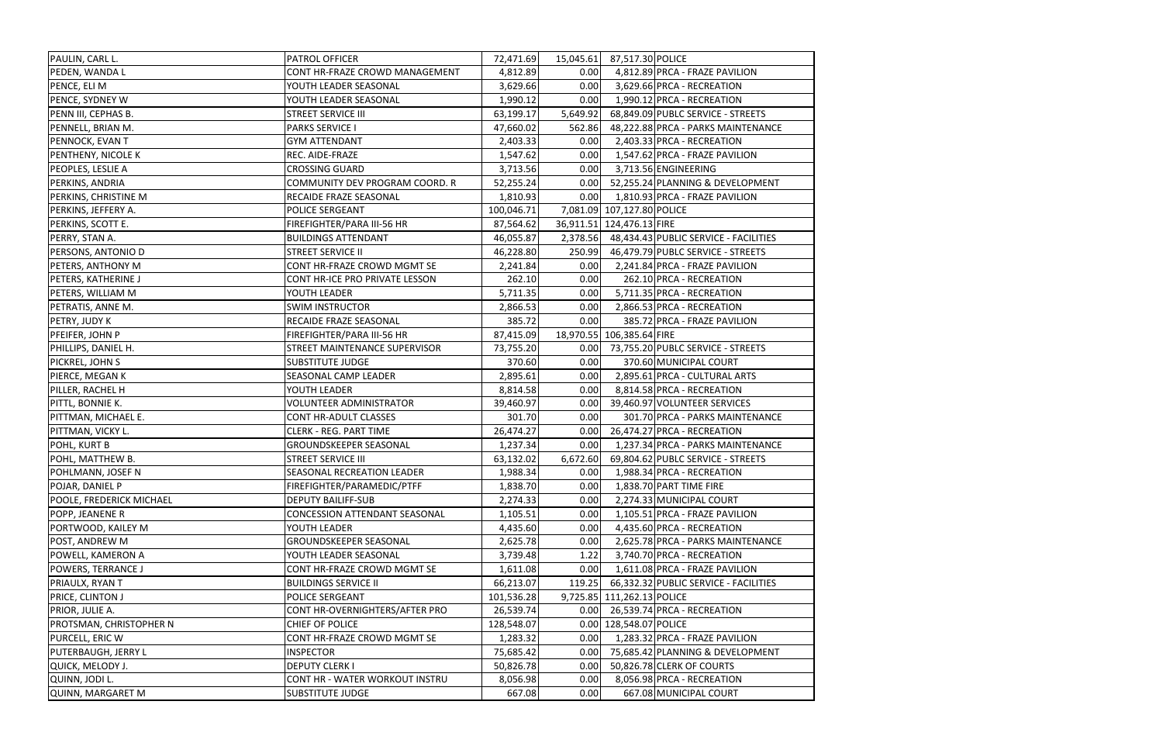| PAULIN, CARL L.                 | PATROL OFFICER                 | 72,471.69  | 15,045.61 | 87,517.30 POLICE                               |
|---------------------------------|--------------------------------|------------|-----------|------------------------------------------------|
| PEDEN, WANDA L                  | CONT HR-FRAZE CROWD MANAGEMENT | 4,812.89   | 0.00      | 4,812.89 PRCA - FRAZE PAVILION                 |
| PENCE, ELI M                    | YOUTH LEADER SEASONAL          | 3,629.66   | 0.00      | 3,629.66 PRCA - RECREATION                     |
| PENCE, SYDNEY W                 | YOUTH LEADER SEASONAL          | 1,990.12   | 0.00      | 1,990.12 PRCA - RECREATION                     |
| PENN III, CEPHAS B.             | <b>STREET SERVICE III</b>      | 63,199.17  | 5,649.92  | 68,849.09 PUBLC SERVICE - STREETS              |
| PENNELL, BRIAN M.               | <b>PARKS SERVICE I</b>         | 47,660.02  | 562.86    | 48,222.88 PRCA - PARKS MAINTENANCE             |
| PENNOCK, EVAN T                 | <b>GYM ATTENDANT</b>           | 2,403.33   | 0.00      | 2,403.33 PRCA - RECREATION                     |
| PENTHENY, NICOLE K              | REC. AIDE-FRAZE                | 1,547.62   | 0.00      | 1,547.62 PRCA - FRAZE PAVILION                 |
| PEOPLES, LESLIE A               | <b>CROSSING GUARD</b>          | 3,713.56   | 0.00      | 3,713.56 ENGINEERING                           |
| PERKINS, ANDRIA                 | COMMUNITY DEV PROGRAM COORD. R | 52,255.24  | 0.00      | 52,255.24 PLANNING & DEVELOPMENT               |
| PERKINS, CHRISTINE M            | RECAIDE FRAZE SEASONAL         | 1,810.93   | 0.00      | 1,810.93 PRCA - FRAZE PAVILION                 |
| PERKINS, JEFFERY A.             | POLICE SERGEANT                | 100,046.71 |           | 7,081.09 107,127.80 POLICE                     |
| PERKINS, SCOTT E.               | FIREFIGHTER/PARA III-56 HR     | 87,564.62  |           | 36,911.51 124,476.13 FIRE                      |
| PERRY, STAN A.                  | <b>BUILDINGS ATTENDANT</b>     | 46,055.87  |           | 2,378.56 48,434.43 PUBLIC SERVICE - FACILITIES |
| PERSONS, ANTONIO D              | <b>STREET SERVICE II</b>       | 46,228.80  | 250.99    | 46,479.79 PUBLC SERVICE - STREETS              |
| PETERS, ANTHONY M               | CONT HR-FRAZE CROWD MGMT SE    | 2,241.84   | 0.00      | 2,241.84 PRCA - FRAZE PAVILION                 |
| <b>PETERS, KATHERINE J</b>      | CONT HR-ICE PRO PRIVATE LESSON | 262.10     | 0.00      | 262.10 PRCA - RECREATION                       |
| PETERS, WILLIAM M               | YOUTH LEADER                   | 5,711.35   | 0.00      | 5,711.35 PRCA - RECREATION                     |
| PETRATIS, ANNE M.               | <b>SWIM INSTRUCTOR</b>         | 2,866.53   | 0.00      | 2,866.53 PRCA - RECREATION                     |
| PETRY, JUDY K                   | RECAIDE FRAZE SEASONAL         | 385.72     | 0.00      | 385.72 PRCA - FRAZE PAVILION                   |
| PFEIFER, JOHN P                 | FIREFIGHTER/PARA III-56 HR     | 87,415.09  |           | 18,970.55 106,385.64 FIRE                      |
| PHILLIPS, DANIEL H.             | STREET MAINTENANCE SUPERVISOR  | 73,755.20  | 0.00      | 73,755.20 PUBLC SERVICE - STREETS              |
| PICKREL, JOHN S                 | <b>SUBSTITUTE JUDGE</b>        | 370.60     | 0.00      | 370.60 MUNICIPAL COURT                         |
| PIERCE, MEGAN K                 | SEASONAL CAMP LEADER           | 2,895.61   | 0.00      | 2,895.61 PRCA - CULTURAL ARTS                  |
| PILLER, RACHEL H                | YOUTH LEADER                   | 8,814.58   | 0.00      | 8,814.58 PRCA - RECREATION                     |
| PITTL, BONNIE K.                | <b>VOLUNTEER ADMINISTRATOR</b> | 39,460.97  | 0.00      | 39,460.97 VOLUNTEER SERVICES                   |
| PITTMAN, MICHAEL E.             | CONT HR-ADULT CLASSES          | 301.70     | 0.00      | 301.70 PRCA - PARKS MAINTENANCE                |
| PITTMAN, VICKY L.               | <b>CLERK - REG. PART TIME</b>  | 26,474.27  | 0.00      | 26,474.27 PRCA - RECREATION                    |
| <b>POHL, KURT B</b>             | GROUNDSKEEPER SEASONAL         | 1,237.34   | 0.00      | 1,237.34 PRCA - PARKS MAINTENANCE              |
| POHL, MATTHEW B.                | <b>STREET SERVICE III</b>      | 63,132.02  | 6,672.60  | 69,804.62 PUBLC SERVICE - STREETS              |
| POHLMANN, JOSEF N               | SEASONAL RECREATION LEADER     | 1,988.34   | 0.00      | 1,988.34 PRCA - RECREATION                     |
| POJAR, DANIEL P                 | FIREFIGHTER/PARAMEDIC/PTFF     | 1,838.70   | 0.00      | 1,838.70 PART TIME FIRE                        |
| <b>POOLE, FREDERICK MICHAEL</b> | <b>DEPUTY BAILIFF-SUB</b>      | 2,274.33   | 0.00      | 2,274.33 MUNICIPAL COURT                       |
| POPP, JEANENE R                 | CONCESSION ATTENDANT SEASONAL  | 1,105.51   | 0.00      | 1,105.51 PRCA - FRAZE PAVILION                 |
| PORTWOOD, KAILEY M              | YOUTH LEADER                   | 4,435.60   | 0.00      | 4,435.60 PRCA - RECREATION                     |
| POST, ANDREW M                  | GROUNDSKEEPER SEASONAL         | 2,625.78   | 0.00      | 2,625.78 PRCA - PARKS MAINTENANCE              |
| POWELL, KAMERON A               | YOUTH LEADER SEASONAL          | 3,739.48   | 1.22      | 3,740.70 PRCA - RECREATION                     |
| POWERS, TERRANCE J              | CONT HR-FRAZE CROWD MGMT SE    | 1,611.08   | 0.00      | 1,611.08 PRCA - FRAZE PAVILION                 |
| PRIAULX, RYAN T                 | <b>BUILDINGS SERVICE II</b>    | 66,213.07  | 119.25    | 66,332.32 PUBLIC SERVICE - FACILITIES          |
| PRICE, CLINTON J                | POLICE SERGEANT                | 101,536.28 |           | 9,725.85 111,262.13 POLICE                     |
| PRIOR, JULIE A.                 | CONT HR-OVERNIGHTERS/AFTER PRO | 26,539.74  | 0.00      | 26,539.74 PRCA - RECREATION                    |
| PROTSMAN, CHRISTOPHER N         | CHIEF OF POLICE                | 128,548.07 |           | 0.00 128,548.07 POLICE                         |
| PURCELL, ERIC W                 | CONT HR-FRAZE CROWD MGMT SE    | 1,283.32   | 0.00      | 1,283.32 PRCA - FRAZE PAVILION                 |
| <b>PUTERBAUGH, JERRY L</b>      | <b>INSPECTOR</b>               | 75,685.42  | 0.00      | 75,685.42 PLANNING & DEVELOPMENT               |
| QUICK, MELODY J.                | <b>DEPUTY CLERK I</b>          | 50,826.78  | 0.00      | 50,826.78 CLERK OF COURTS                      |
| QUINN, JODI L.                  | CONT HR - WATER WORKOUT INSTRU | 8,056.98   | 0.00      | 8,056.98 PRCA - RECREATION                     |
| QUINN, MARGARET M               | <b>SUBSTITUTE JUDGE</b>        | 667.08     | 0.00      | 667.08 MUNICIPAL COURT                         |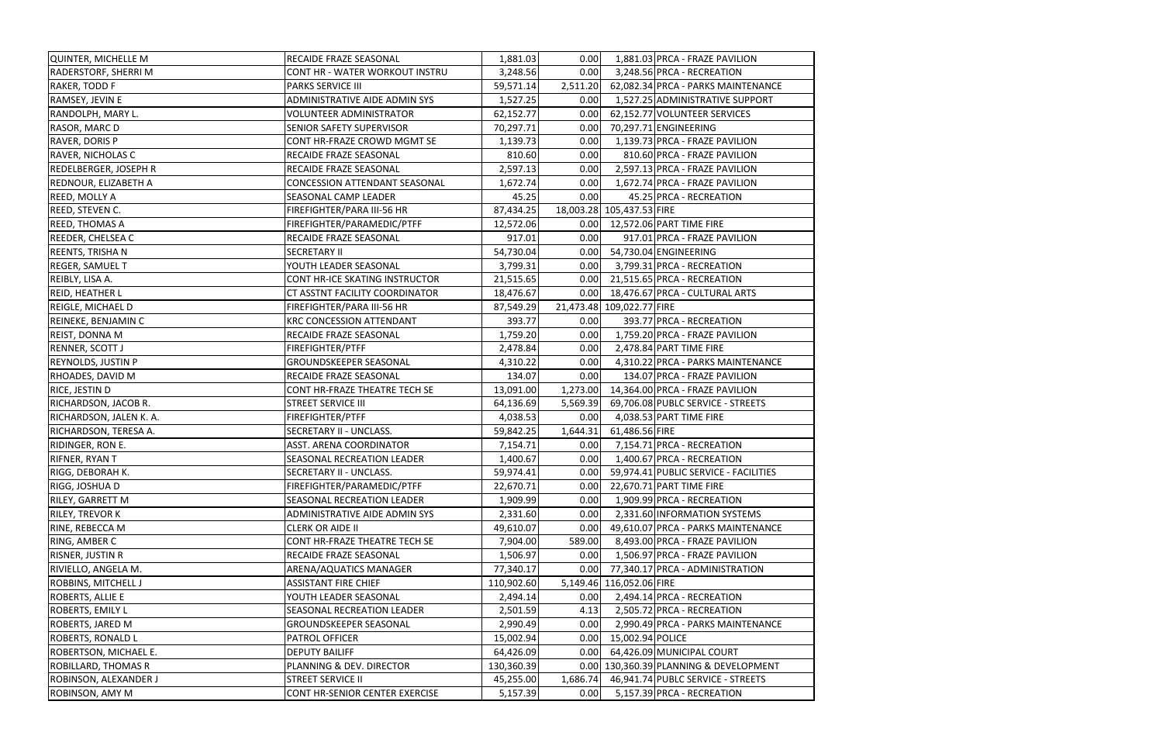| QUINTER, MICHELLE M          | RECAIDE FRAZE SEASONAL                | 1,881.03   | 0.00     | 1,881.03 PRCA - FRAZE PAVILION         |
|------------------------------|---------------------------------------|------------|----------|----------------------------------------|
| <b>RADERSTORF, SHERRI M</b>  | <b>CONT HR - WATER WORKOUT INSTRU</b> | 3,248.56   | 0.00     | 3,248.56 PRCA - RECREATION             |
| RAKER, TODD F                | <b>PARKS SERVICE III</b>              | 59,571.14  | 2,511.20 | 62,082.34 PRCA - PARKS MAINTENANCE     |
| RAMSEY, JEVIN E              | ADMINISTRATIVE AIDE ADMIN SYS         | 1,527.25   | 0.00     | 1,527.25 ADMINISTRATIVE SUPPORT        |
| RANDOLPH, MARY L.            | <b>VOLUNTEER ADMINISTRATOR</b>        | 62,152.77  | 0.00     | 62,152.77 VOLUNTEER SERVICES           |
| RASOR, MARC D                | SENIOR SAFETY SUPERVISOR              | 70,297.71  | 0.00     | 70,297.71 ENGINEERING                  |
| RAVER, DORIS P               | CONT HR-FRAZE CROWD MGMT SE           | 1,139.73   | 0.00     | 1,139.73 PRCA - FRAZE PAVILION         |
| <b>RAVER, NICHOLAS C</b>     | RECAIDE FRAZE SEASONAL                | 810.60     | 0.00     | 810.60 PRCA - FRAZE PAVILION           |
| <b>REDELBERGER, JOSEPH R</b> | RECAIDE FRAZE SEASONAL                | 2,597.13   | 0.00     | 2,597.13 PRCA - FRAZE PAVILION         |
| <b>REDNOUR, ELIZABETH A</b>  | <b>CONCESSION ATTENDANT SEASONAL</b>  | 1,672.74   | 0.00     | 1,672.74 PRCA - FRAZE PAVILION         |
| REED, MOLLY A                | SEASONAL CAMP LEADER                  | 45.25      | 0.00     | 45.25 PRCA - RECREATION                |
| <b>REED, STEVEN C.</b>       | FIREFIGHTER/PARA III-56 HR            | 87,434.25  |          | 18,003.28 105,437.53 FIRE              |
| <b>REED, THOMAS A</b>        | FIREFIGHTER/PARAMEDIC/PTFF            | 12,572.06  |          | 0.00 12,572.06 PART TIME FIRE          |
| <b>REEDER, CHELSEA C</b>     | RECAIDE FRAZE SEASONAL                | 917.01     | 0.00     | 917.01 PRCA - FRAZE PAVILION           |
| REENTS, TRISHA N             | <b>SECRETARY II</b>                   | 54,730.04  | 0.00     | 54,730.04 ENGINEERING                  |
| <b>REGER, SAMUEL T</b>       | YOUTH LEADER SEASONAL                 | 3,799.31   | 0.00     | 3,799.31 PRCA - RECREATION             |
| REIBLY, LISA A.              | CONT HR-ICE SKATING INSTRUCTOR        | 21,515.65  | 0.00     | 21,515.65 PRCA - RECREATION            |
| <b>REID, HEATHER L</b>       | CT ASSTNT FACILITY COORDINATOR        | 18,476.67  | 0.00     | 18,476.67 PRCA - CULTURAL ARTS         |
| <b>REIGLE, MICHAEL D</b>     | FIREFIGHTER/PARA III-56 HR            | 87,549.29  |          | 21,473.48 109,022.77 FIRE              |
| REINEKE, BENJAMIN C          | <b>KRC CONCESSION ATTENDANT</b>       | 393.77     | 0.00     | 393.77 PRCA - RECREATION               |
| REIST, DONNA M               | RECAIDE FRAZE SEASONAL                | 1,759.20   | 0.00     | 1,759.20 PRCA - FRAZE PAVILION         |
| RENNER, SCOTT J              | <b>FIREFIGHTER/PTFF</b>               | 2,478.84   | 0.00     | 2,478.84 PART TIME FIRE                |
| <b>REYNOLDS, JUSTIN P</b>    | GROUNDSKEEPER SEASONAL                | 4,310.22   | 0.00     | 4,310.22 PRCA - PARKS MAINTENANCE      |
| <b>RHOADES, DAVID M</b>      | RECAIDE FRAZE SEASONAL                | 134.07     | 0.00     | 134.07 PRCA - FRAZE PAVILION           |
| <b>RICE, JESTIN D</b>        | CONT HR-FRAZE THEATRE TECH SE         | 13,091.00  | 1,273.00 | 14,364.00 PRCA - FRAZE PAVILION        |
| RICHARDSON, JACOB R.         | <b>STREET SERVICE III</b>             | 64,136.69  | 5,569.39 | 69,706.08 PUBLC SERVICE - STREETS      |
| RICHARDSON, JALEN K. A.      | <b>FIREFIGHTER/PTFF</b>               | 4,038.53   | 0.00     | 4,038.53 PART TIME FIRE                |
| RICHARDSON, TERESA A.        | SECRETARY II - UNCLASS.               | 59,842.25  | 1,644.31 | 61,486.56 FIRE                         |
| RIDINGER, RON E.             | ASST. ARENA COORDINATOR               | 7,154.71   | 0.00     | 7,154.71 PRCA - RECREATION             |
| RIFNER, RYAN T               | SEASONAL RECREATION LEADER            | 1,400.67   | 0.00     | 1,400.67 PRCA - RECREATION             |
| RIGG, DEBORAH K.             | SECRETARY II - UNCLASS.               | 59,974.41  | 0.00     | 59,974.41 PUBLIC SERVICE - FACILITIES  |
| RIGG, JOSHUA D               | FIREFIGHTER/PARAMEDIC/PTFF            | 22,670.71  | 0.00     | 22,670.71 PART TIME FIRE               |
| <b>RILEY, GARRETT M</b>      | SEASONAL RECREATION LEADER            | 1,909.99   | 0.00     | 1,909.99 PRCA - RECREATION             |
| <b>RILEY, TREVOR K</b>       | ADMINISTRATIVE AIDE ADMIN SYS         | 2,331.60   | 0.00     | 2,331.60 INFORMATION SYSTEMS           |
| RINE, REBECCA M              | <b>CLERK OR AIDE II</b>               | 49,610.07  | 0.00     | 49,610.07 PRCA - PARKS MAINTENANCE     |
| RING, AMBER C                | CONT HR-FRAZE THEATRE TECH SE         | 7,904.00   | 589.00   | 8,493.00 PRCA - FRAZE PAVILION         |
| <b>RISNER, JUSTIN R</b>      | RECAIDE FRAZE SEASONAL                | 1,506.97   | 0.00     | 1,506.97 PRCA - FRAZE PAVILION         |
| RIVIELLO, ANGELA M.          | ARENA/AQUATICS MANAGER                | 77,340.17  | 0.00     | 77,340.17 PRCA - ADMINISTRATION        |
| <b>ROBBINS, MITCHELL J</b>   | <b>ASSISTANT FIRE CHIEF</b>           | 110,902.60 |          | 5,149.46 116,052.06 FIRE               |
| <b>ROBERTS, ALLIE E</b>      | YOUTH LEADER SEASONAL                 | 2,494.14   | 0.00     | 2,494.14 PRCA - RECREATION             |
| <b>ROBERTS, EMILY L</b>      | SEASONAL RECREATION LEADER            | 2,501.59   | 4.13     | 2,505.72 PRCA - RECREATION             |
| <b>ROBERTS, JARED M</b>      | GROUNDSKEEPER SEASONAL                | 2,990.49   | 0.00     | 2,990.49 PRCA - PARKS MAINTENANCE      |
| <b>ROBERTS, RONALD L</b>     | PATROL OFFICER                        | 15,002.94  | 0.00     | 15,002.94 POLICE                       |
| <b>ROBERTSON, MICHAEL E.</b> | <b>DEPUTY BAILIFF</b>                 | 64,426.09  | 0.00     | 64,426.09 MUNICIPAL COURT              |
| <b>ROBILLARD, THOMAS R</b>   | PLANNING & DEV. DIRECTOR              | 130,360.39 |          | 0.00 130,360.39 PLANNING & DEVELOPMENT |
| ROBINSON, ALEXANDER J        | <b>STREET SERVICE II</b>              | 45,255.00  | 1,686.74 | 46,941.74 PUBLC SERVICE - STREETS      |
| <b>ROBINSON, AMY M</b>       | CONT HR-SENIOR CENTER EXERCISE        | 5,157.39   | 0.00     | 5,157.39 PRCA - RECREATION             |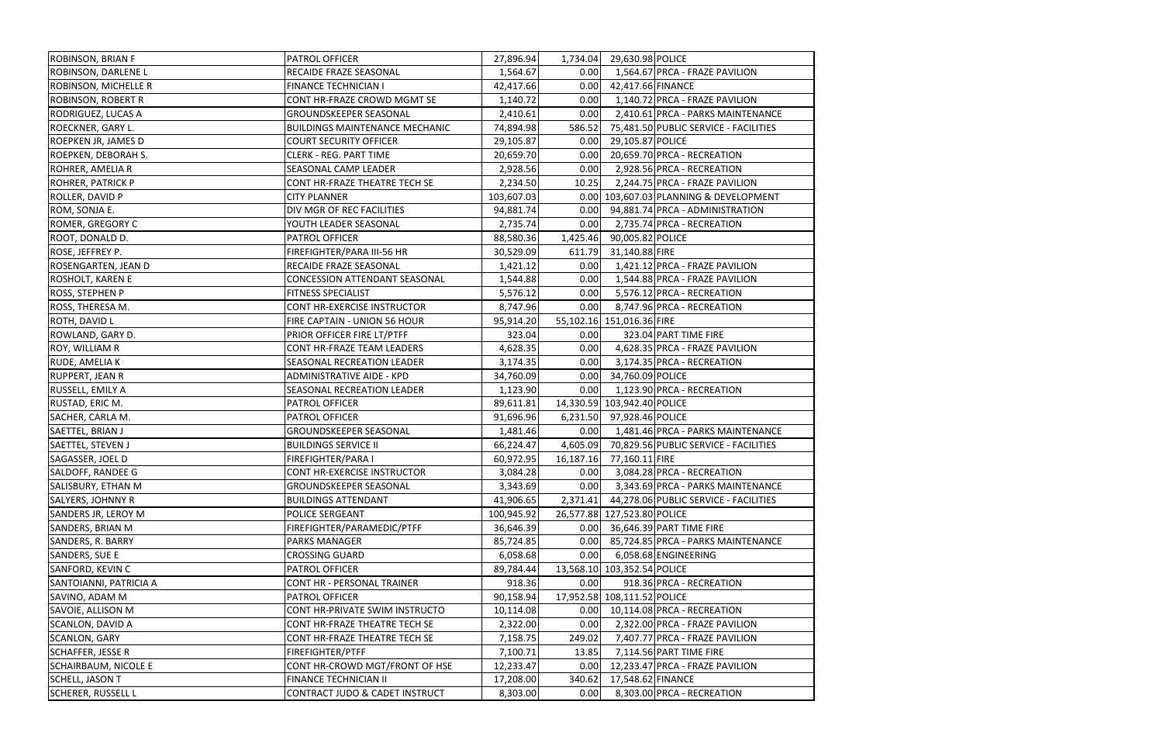| ROBINSON, BRIAN F           | PATROL OFFICER                    | 27,896.94  | 1,734.04  | 29,630.98 POLICE            |                                        |
|-----------------------------|-----------------------------------|------------|-----------|-----------------------------|----------------------------------------|
| ROBINSON, DARLENE L         | RECAIDE FRAZE SEASONAL            | 1,564.67   | 0.00      |                             | 1,564.67 PRCA - FRAZE PAVILION         |
| <b>ROBINSON, MICHELLE R</b> | <b>FINANCE TECHNICIAN I</b>       | 42,417.66  | 0.00      | 42,417.66 FINANCE           |                                        |
| <b>ROBINSON, ROBERT R</b>   | CONT HR-FRAZE CROWD MGMT SE       | 1,140.72   | 0.00      |                             | 1,140.72 PRCA - FRAZE PAVILION         |
| <b>RODRIGUEZ, LUCAS A</b>   | <b>GROUNDSKEEPER SEASONAL</b>     | 2,410.61   | 0.00      |                             | 2,410.61 PRCA - PARKS MAINTENANCE      |
| <b>ROECKNER, GARY L.</b>    | BUILDINGS MAINTENANCE MECHANIC    | 74,894.98  | 586.52    |                             | 75,481.50 PUBLIC SERVICE - FACILITIES  |
| <b>ROEPKEN JR, JAMES D</b>  | <b>COURT SECURITY OFFICER</b>     | 29,105.87  | 0.00      | 29,105.87 POLICE            |                                        |
| <b>ROEPKEN, DEBORAH S.</b>  | <b>CLERK - REG. PART TIME</b>     | 20,659.70  | 0.00      |                             | 20,659.70 PRCA - RECREATION            |
| ROHRER, AMELIA R            | SEASONAL CAMP LEADER              | 2,928.56   | 0.00      |                             | 2,928.56 PRCA - RECREATION             |
| <b>ROHRER, PATRICK P</b>    | CONT HR-FRAZE THEATRE TECH SE     | 2,234.50   | 10.25     |                             | 2,244.75 PRCA - FRAZE PAVILION         |
| ROLLER, DAVID P             | <b>CITY PLANNER</b>               | 103,607.03 |           |                             | 0.00 103,607.03 PLANNING & DEVELOPMENT |
| ROM, SONJA E.               | DIV MGR OF REC FACILITIES         | 94,881.74  | 0.00      |                             | 94,881.74 PRCA - ADMINISTRATION        |
| <b>ROMER, GREGORY C</b>     | YOUTH LEADER SEASONAL             | 2,735.74   | 0.00      |                             | 2,735.74 PRCA - RECREATION             |
| ROOT, DONALD D.             | PATROL OFFICER                    | 88,580.36  | 1,425.46  | 90,005.82 POLICE            |                                        |
| ROSE, JEFFREY P.            | FIREFIGHTER/PARA III-56 HR        | 30,529.09  | 611.79    | 31,140.88 FIRE              |                                        |
| <b>ROSENGARTEN, JEAN D</b>  | RECAIDE FRAZE SEASONAL            | 1,421.12   | 0.00      |                             | 1,421.12 PRCA - FRAZE PAVILION         |
| <b>ROSHOLT, KAREN E</b>     | CONCESSION ATTENDANT SEASONAL     | 1,544.88   | 0.00      |                             | 1,544.88 PRCA - FRAZE PAVILION         |
| ROSS, STEPHEN P             | <b>FITNESS SPECIALIST</b>         | 5,576.12   | 0.00      |                             | 5,576.12 PRCA - RECREATION             |
| ROSS, THERESA M.            | CONT HR-EXERCISE INSTRUCTOR       | 8,747.96   | 0.00      |                             | 8,747.96 PRCA - RECREATION             |
| <b>ROTH, DAVID L</b>        | FIRE CAPTAIN - UNION 56 HOUR      | 95,914.20  |           | 55,102.16 151,016.36 FIRE   |                                        |
| ROWLAND, GARY D.            | PRIOR OFFICER FIRE LT/PTFF        | 323.04     | 0.00      |                             | 323.04 PART TIME FIRE                  |
| <b>ROY, WILLIAM R</b>       | CONT HR-FRAZE TEAM LEADERS        | 4,628.35   | 0.00      |                             | 4,628.35 PRCA - FRAZE PAVILION         |
| RUDE, AMELIA K              | SEASONAL RECREATION LEADER        | 3,174.35   | 0.00      |                             | 3,174.35 PRCA - RECREATION             |
| <b>RUPPERT, JEAN R</b>      | <b>ADMINISTRATIVE AIDE - KPD</b>  | 34,760.09  | 0.00      | 34,760.09 POLICE            |                                        |
| RUSSELL, EMILY A            | SEASONAL RECREATION LEADER        | 1,123.90   | 0.00      |                             | 1,123.90 PRCA - RECREATION             |
| RUSTAD, ERIC M.             | PATROL OFFICER                    | 89,611.81  |           | 14,330.59 103,942.40 POLICE |                                        |
| SACHER, CARLA M.            | PATROL OFFICER                    | 91,696.96  | 6,231.50  | 97,928.46 POLICE            |                                        |
| SAETTEL, BRIAN J            | <b>GROUNDSKEEPER SEASONAL</b>     | 1,481.46   | 0.00      |                             | 1,481.46 PRCA - PARKS MAINTENANCE      |
| <b>SAETTEL, STEVEN J</b>    | <b>BUILDINGS SERVICE II</b>       | 66,224.47  | 4,605.09  |                             | 70,829.56 PUBLIC SERVICE - FACILITIES  |
| SAGASSER, JOEL D            | FIREFIGHTER/PARA I                | 60,972.95  | 16,187.16 | 77,160.11 FIRE              |                                        |
| <b>SALDOFF, RANDEE G</b>    | CONT HR-EXERCISE INSTRUCTOR       | 3,084.28   | 0.00      |                             | 3,084.28 PRCA - RECREATION             |
| SALISBURY, ETHAN M          | <b>GROUNDSKEEPER SEASONAL</b>     | 3,343.69   | 0.00      |                             | 3,343.69 PRCA - PARKS MAINTENANCE      |
| <b>SALYERS, JOHNNY R</b>    | <b>BUILDINGS ATTENDANT</b>        | 41,906.65  | 2,371.41  |                             | 44,278.06 PUBLIC SERVICE - FACILITIES  |
| <b>SANDERS JR, LEROY M</b>  | POLICE SERGEANT                   | 100,945.92 |           | 26,577.88 127,523.80 POLICE |                                        |
| SANDERS, BRIAN M            | FIREFIGHTER/PARAMEDIC/PTFF        | 36,646.39  | 0.00      |                             | 36,646.39 PART TIME FIRE               |
| SANDERS, R. BARRY           | PARKS MANAGER                     | 85,724.85  | 0.00      |                             | 85,724.85 PRCA - PARKS MAINTENANCE     |
| SANDERS, SUE E              | <b>CROSSING GUARD</b>             | 6,058.68   | 0.00      |                             | 6,058.68 ENGINEERING                   |
| <b>SANFORD, KEVIN C</b>     | PATROL OFFICER                    | 89,784.44  |           | 13,568.10 103,352.54 POLICE |                                        |
| SANTOIANNI, PATRICIA A      | <b>CONT HR - PERSONAL TRAINER</b> | 918.36     | 0.00      |                             | 918.36 PRCA - RECREATION               |
| SAVINO, ADAM M              | PATROL OFFICER                    | 90,158.94  |           | 17,952.58 108,111.52 POLICE |                                        |
| SAVOIE, ALLISON M           | CONT HR-PRIVATE SWIM INSTRUCTO    | 10,114.08  | 0.00      |                             | 10,114.08 PRCA - RECREATION            |
| <b>SCANLON, DAVID A</b>     | CONT HR-FRAZE THEATRE TECH SE     | 2,322.00   | 0.00      |                             | 2,322.00 PRCA - FRAZE PAVILION         |
| <b>SCANLON, GARY</b>        | CONT HR-FRAZE THEATRE TECH SE     | 7,158.75   | 249.02    |                             | 7,407.77 PRCA - FRAZE PAVILION         |
| <b>SCHAFFER, JESSE R</b>    | <b>FIREFIGHTER/PTFF</b>           | 7,100.71   | 13.85     |                             | 7,114.56 PART TIME FIRE                |
| <b>SCHAIRBAUM, NICOLE E</b> | CONT HR-CROWD MGT/FRONT OF HSE    | 12,233.47  | 0.00      |                             | 12,233.47 PRCA - FRAZE PAVILION        |
| <b>SCHELL, JASON T</b>      | FINANCE TECHNICIAN II             | 17,208.00  | 340.62    | 17,548.62 FINANCE           |                                        |
| <b>SCHERER, RUSSELL L</b>   | CONTRACT JUDO & CADET INSTRUCT    | 8,303.00   | 0.00      |                             | 8,303.00 PRCA - RECREATION             |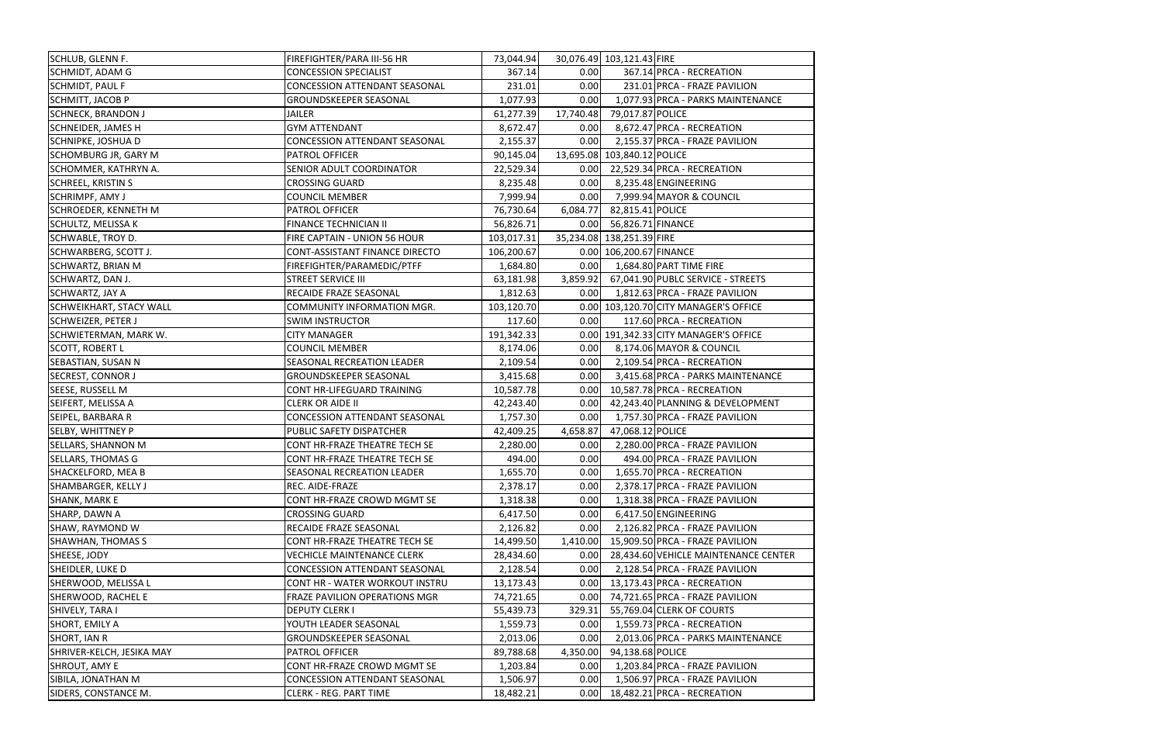| SCHLUB, GLENN F.               | FIREFIGHTER/PARA III-56 HR           | 73,044.94  |           | 30,076.49 103,121.43 FIRE             |
|--------------------------------|--------------------------------------|------------|-----------|---------------------------------------|
| SCHMIDT, ADAM G                | <b>CONCESSION SPECIALIST</b>         | 367.14     | 0.00      | 367.14 PRCA - RECREATION              |
| SCHMIDT, PAUL F                | <b>CONCESSION ATTENDANT SEASONAL</b> | 231.01     | 0.00      | 231.01 PRCA - FRAZE PAVILION          |
| SCHMITT, JACOB P               | GROUNDSKEEPER SEASONAL               | 1,077.93   | 0.00      | 1,077.93 PRCA - PARKS MAINTENANCE     |
| <b>SCHNECK, BRANDON J</b>      | <b>JAILER</b>                        | 61,277.39  | 17,740.48 | 79,017.87 POLICE                      |
| <b>SCHNEIDER, JAMES H</b>      | <b>GYM ATTENDANT</b>                 | 8,672.47   | 0.00      | 8,672.47 PRCA - RECREATION            |
| <b>SCHNIPKE, JOSHUA D</b>      | CONCESSION ATTENDANT SEASONAL        | 2,155.37   | 0.00      | 2,155.37 PRCA - FRAZE PAVILION        |
| <b>SCHOMBURG JR, GARY M</b>    | PATROL OFFICER                       | 90,145.04  |           | 13,695.08 103,840.12 POLICE           |
| SCHOMMER, KATHRYN A.           | SENIOR ADULT COORDINATOR             | 22,529.34  | 0.00      | 22,529.34 PRCA - RECREATION           |
| <b>SCHREEL, KRISTIN S</b>      | <b>CROSSING GUARD</b>                | 8,235.48   | 0.00      | 8,235.48 ENGINEERING                  |
| SCHRIMPF, AMY J                | <b>COUNCIL MEMBER</b>                | 7,999.94   | 0.00      | 7,999.94 MAYOR & COUNCIL              |
| <b>SCHROEDER, KENNETH M</b>    | <b>PATROL OFFICER</b>                | 76,730.64  | 6,084.77  | 82,815.41 POLICE                      |
| <b>SCHULTZ, MELISSA K</b>      | FINANCE TECHNICIAN II                | 56,826.71  | 0.00      | 56,826.71 FINANCE                     |
| SCHWABLE, TROY D.              | FIRE CAPTAIN - UNION 56 HOUR         | 103,017.31 |           | 35,234.08 138,251.39 FIRE             |
| SCHWARBERG, SCOTT J.           | CONT-ASSISTANT FINANCE DIRECTO       | 106,200.67 |           | 0.00 106,200.67 FINANCE               |
| SCHWARTZ, BRIAN M              | FIREFIGHTER/PARAMEDIC/PTFF           | 1,684.80   | 0.00      | $1,684.80$ PART TIME FIRE             |
| SCHWARTZ, DAN J.               | <b>STREET SERVICE III</b>            | 63,181.98  | 3,859.92  | 67,041.90 PUBLC SERVICE - STREETS     |
| SCHWARTZ, JAY A                | RECAIDE FRAZE SEASONAL               | 1,812.63   | 0.00      | 1,812.63 PRCA - FRAZE PAVILION        |
| <b>SCHWEIKHART, STACY WALL</b> | COMMUNITY INFORMATION MGR.           | 103,120.70 |           | 0.00 103,120.70 CITY MANAGER'S OFFICE |
| <b>SCHWEIZER, PETER J</b>      | <b>SWIM INSTRUCTOR</b>               | 117.60     | 0.00      | 117.60 PRCA - RECREATION              |
| SCHWIETERMAN, MARK W.          | <b>CITY MANAGER</b>                  | 191,342.33 |           | 0.00 191,342.33 CITY MANAGER'S OFFICE |
| <b>SCOTT, ROBERT L</b>         | <b>COUNCIL MEMBER</b>                | 8,174.06   | 0.00      | 8,174.06 MAYOR & COUNCIL              |
| SEBASTIAN, SUSAN N             | SEASONAL RECREATION LEADER           | 2,109.54   | 0.00      | 2,109.54 PRCA - RECREATION            |
| <b>SECREST, CONNOR J</b>       | <b>GROUNDSKEEPER SEASONAL</b>        | 3,415.68   | 0.00      | 3,415.68 PRCA - PARKS MAINTENANCE     |
| SEESE, RUSSELL M               | CONT HR-LIFEGUARD TRAINING           | 10,587.78  | 0.00      | 10,587.78 PRCA - RECREATION           |
| SEIFERT, MELISSA A             | <b>CLERK OR AIDE II</b>              | 42,243.40  | 0.00      | 42,243.40 PLANNING & DEVELOPMENT      |
| SEIPEL, BARBARA R              | <b>CONCESSION ATTENDANT SEASONAL</b> | 1,757.30   | 0.00      | 1,757.30 PRCA - FRAZE PAVILION        |
| SELBY, WHITTNEY P              | PUBLIC SAFETY DISPATCHER             | 42,409.25  | 4,658.87  | 47,068.12 POLICE                      |
| SELLARS, SHANNON M             | CONT HR-FRAZE THEATRE TECH SE        | 2,280.00   | 0.00      | 2,280.00 PRCA - FRAZE PAVILION        |
| SELLARS, THOMAS G              | CONT HR-FRAZE THEATRE TECH SE        | 494.00     | 0.00      | 494.00 PRCA - FRAZE PAVILION          |
| SHACKELFORD, MEA B             | <b>SEASONAL RECREATION LEADER</b>    | 1,655.70   | 0.00      | 1,655.70 PRCA - RECREATION            |
| SHAMBARGER, KELLY J            | REC. AIDE-FRAZE                      | 2,378.17   | 0.00      | 2,378.17 PRCA - FRAZE PAVILION        |
| <b>SHANK, MARK E</b>           | CONT HR-FRAZE CROWD MGMT SE          | 1,318.38   | 0.00      | 1,318.38 PRCA - FRAZE PAVILION        |
| SHARP, DAWN A                  | <b>CROSSING GUARD</b>                | 6,417.50   | 0.00      | 6,417.50 ENGINEERING                  |
| SHAW, RAYMOND W                | RECAIDE FRAZE SEASONAL               | 2,126.82   | 0.00      | 2,126.82 PRCA - FRAZE PAVILION        |
| <b>SHAWHAN, THOMAS S</b>       | CONT HR-FRAZE THEATRE TECH SE        | 14,499.50  | 1,410.00  | 15,909.50 PRCA - FRAZE PAVILION       |
| SHEESE, JODY                   | <b>VECHICLE MAINTENANCE CLERK</b>    | 28,434.60  | 0.00      | 28,434.60 VEHICLE MAINTENANCE CENTER  |
| SHEIDLER, LUKE D               | CONCESSION ATTENDANT SEASONAL        | 2,128.54   | 0.00      | 2,128.54 PRCA - FRAZE PAVILION        |
| SHERWOOD, MELISSA L            | CONT HR - WATER WORKOUT INSTRU       | 13,173.43  | 0.00      | 13,173.43 PRCA - RECREATION           |
| SHERWOOD, RACHEL E             | FRAZE PAVILION OPERATIONS MGR        | 74,721.65  | 0.00      | 74,721.65 PRCA - FRAZE PAVILION       |
| SHIVELY, TARA I                | <b>DEPUTY CLERK I</b>                | 55,439.73  | 329.31    | 55,769.04 CLERK OF COURTS             |
| SHORT, EMILY A                 | YOUTH LEADER SEASONAL                | 1,559.73   | 0.00      | 1,559.73 PRCA - RECREATION            |
| <b>SHORT, IAN R</b>            | <b>GROUNDSKEEPER SEASONAL</b>        | 2,013.06   | 0.00      | 2,013.06 PRCA - PARKS MAINTENANCE     |
| SHRIVER-KELCH, JESIKA MAY      | <b>PATROL OFFICER</b>                | 89,788.68  | 4,350.00  | 94,138.68 POLICE                      |
| <b>SHROUT, AMY E</b>           | CONT HR-FRAZE CROWD MGMT SE          | 1,203.84   | 0.00      | 1,203.84 PRCA - FRAZE PAVILION        |
| SIBILA, JONATHAN M             | <b>CONCESSION ATTENDANT SEASONAL</b> | 1,506.97   | 0.00      | 1,506.97 PRCA - FRAZE PAVILION        |
| SIDERS, CONSTANCE M.           | <b>CLERK - REG. PART TIME</b>        | 18,482.21  | 0.00      | 18,482.21 PRCA - RECREATION           |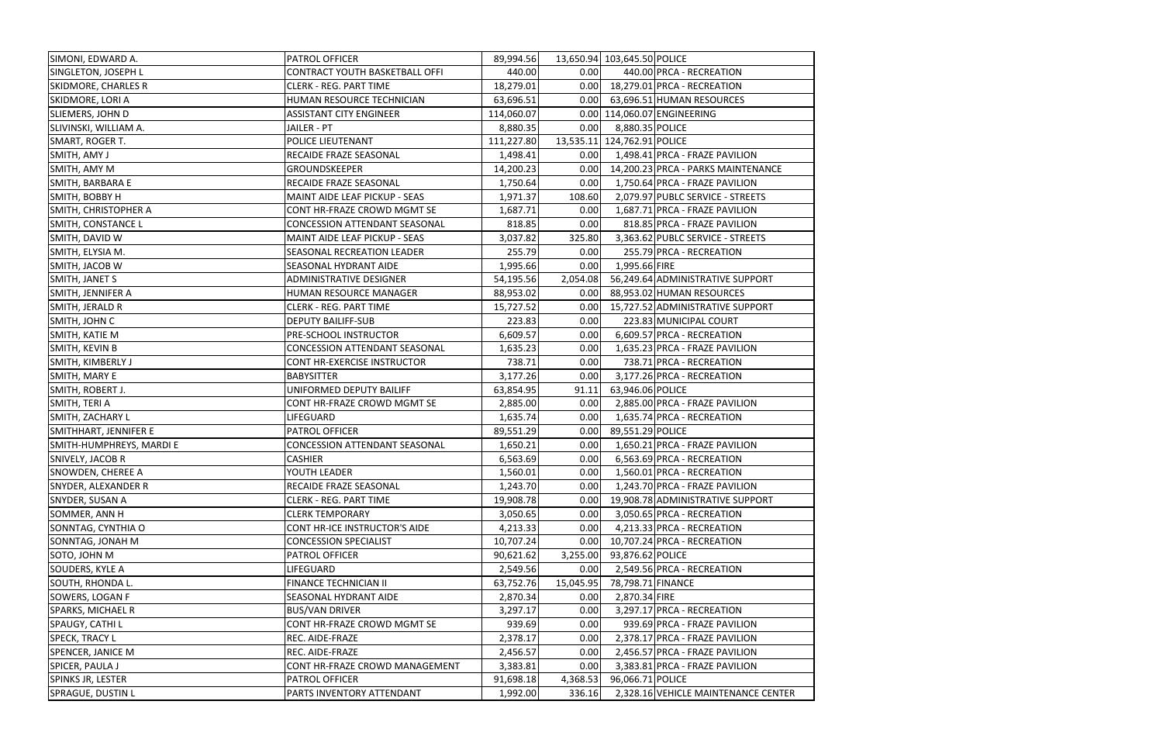| SIMONI, EDWARD A.          | <b>PATROL OFFICER</b>                | 89,994.56  |           | 13,650.94 103,645.50 POLICE |                                     |
|----------------------------|--------------------------------------|------------|-----------|-----------------------------|-------------------------------------|
| SINGLETON, JOSEPH L        | CONTRACT YOUTH BASKETBALL OFFI       | 440.00     | 0.00      |                             | 440.00 PRCA - RECREATION            |
| <b>SKIDMORE, CHARLES R</b> | <b>CLERK - REG. PART TIME</b>        | 18,279.01  | 0.00      |                             | 18,279.01 PRCA - RECREATION         |
| SKIDMORE, LORI A           | HUMAN RESOURCE TECHNICIAN            | 63,696.51  | 0.00      |                             | 63,696.51 HUMAN RESOURCES           |
| SLIEMERS, JOHN D           | <b>ASSISTANT CITY ENGINEER</b>       | 114,060.07 |           |                             | 0.00 114,060.07 ENGINEERING         |
| SLIVINSKI, WILLIAM A.      | JAILER - PT                          | 8,880.35   | 0.00      | 8,880.35 POLICE             |                                     |
| SMART, ROGER T.            | POLICE LIEUTENANT                    | 111,227.80 |           | 13,535.11 124,762.91 POLICE |                                     |
| SMITH, AMY J               | RECAIDE FRAZE SEASONAL               | 1,498.41   | 0.00      |                             | 1,498.41 PRCA - FRAZE PAVILION      |
| SMITH, AMY M               | GROUNDSKEEPER                        | 14,200.23  | 0.00      |                             | 14,200.23 PRCA - PARKS MAINTENANCE  |
| SMITH, BARBARA E           | RECAIDE FRAZE SEASONAL               | 1,750.64   | 0.00      |                             | 1,750.64 PRCA - FRAZE PAVILION      |
| SMITH, BOBBY H             | MAINT AIDE LEAF PICKUP - SEAS        | 1,971.37   | 108.60    |                             | 2,079.97 PUBLC SERVICE - STREETS    |
| SMITH, CHRISTOPHER A       | CONT HR-FRAZE CROWD MGMT SE          | 1,687.71   | 0.00      |                             | 1,687.71 PRCA - FRAZE PAVILION      |
| SMITH, CONSTANCE L         | CONCESSION ATTENDANT SEASONAL        | 818.85     | 0.00      |                             | 818.85 PRCA - FRAZE PAVILION        |
| SMITH, DAVID W             | MAINT AIDE LEAF PICKUP - SEAS        | 3,037.82   | 325.80    |                             | 3,363.62 PUBLC SERVICE - STREETS    |
| SMITH, ELYSIA M.           | SEASONAL RECREATION LEADER           | 255.79     | 0.00      |                             | 255.79 PRCA - RECREATION            |
| SMITH, JACOB W             | SEASONAL HYDRANT AIDE                | 1,995.66   | 0.00      | 1,995.66 FIRE               |                                     |
| SMITH, JANET S             | ADMINISTRATIVE DESIGNER              | 54,195.56  | 2,054.08  |                             | 56,249.64 ADMINISTRATIVE SUPPORT    |
| SMITH, JENNIFER A          | HUMAN RESOURCE MANAGER               | 88,953.02  | 0.00      |                             | 88,953.02 HUMAN RESOURCES           |
| SMITH, JERALD R            | <b>CLERK - REG. PART TIME</b>        | 15,727.52  | 0.00      |                             | 15,727.52 ADMINISTRATIVE SUPPORT    |
| SMITH, JOHN C              | <b>DEPUTY BAILIFF-SUB</b>            | 223.83     | 0.00      |                             | 223.83 MUNICIPAL COURT              |
| SMITH, KATIE M             | PRE-SCHOOL INSTRUCTOR                | 6,609.57   | 0.00      |                             | 6,609.57 PRCA - RECREATION          |
| SMITH, KEVIN B             | <b>CONCESSION ATTENDANT SEASONAL</b> | 1,635.23   | 0.00      |                             | 1,635.23 PRCA - FRAZE PAVILION      |
| SMITH, KIMBERLY J          | CONT HR-EXERCISE INSTRUCTOR          | 738.71     | 0.00      |                             | 738.71 PRCA - RECREATION            |
| SMITH, MARY E              | <b>BABYSITTER</b>                    | 3,177.26   | 0.00      |                             | 3,177.26 PRCA - RECREATION          |
| SMITH, ROBERT J.           | UNIFORMED DEPUTY BAILIFF             | 63,854.95  | 91.11     | 63,946.06 POLICE            |                                     |
| SMITH, TERI A              | CONT HR-FRAZE CROWD MGMT SE          | 2,885.00   | 0.00      |                             | 2,885.00 PRCA - FRAZE PAVILION      |
| SMITH, ZACHARY L           | LIFEGUARD                            | 1,635.74   | 0.00      |                             | 1,635.74 PRCA - RECREATION          |
| SMITHHART, JENNIFER E      | PATROL OFFICER                       | 89,551.29  | 0.00      | 89,551.29 POLICE            |                                     |
| SMITH-HUMPHREYS, MARDI E   | CONCESSION ATTENDANT SEASONAL        | 1,650.21   | 0.00      |                             | 1,650.21 PRCA - FRAZE PAVILION      |
| SNIVELY, JACOB R           | <b>CASHIER</b>                       | 6,563.69   | 0.00      |                             | 6,563.69 PRCA - RECREATION          |
| <b>SNOWDEN, CHEREE A</b>   | YOUTH LEADER                         | 1,560.01   | 0.00      |                             | 1,560.01 PRCA - RECREATION          |
| <b>SNYDER, ALEXANDER R</b> | RECAIDE FRAZE SEASONAL               | 1,243.70   | 0.00      |                             | 1,243.70 PRCA - FRAZE PAVILION      |
| SNYDER, SUSAN A            | <b>CLERK - REG. PART TIME</b>        | 19,908.78  | 0.00      |                             | 19,908.78 ADMINISTRATIVE SUPPORT    |
| SOMMER, ANN H              | <b>CLERK TEMPORARY</b>               | 3,050.65   | 0.00      |                             | 3,050.65 PRCA - RECREATION          |
| SONNTAG, CYNTHIA O         | CONT HR-ICE INSTRUCTOR'S AIDE        | 4,213.33   | 0.00      |                             | 4,213.33 PRCA - RECREATION          |
| SONNTAG, JONAH M           | <b>CONCESSION SPECIALIST</b>         | 10,707.24  | 0.00      |                             | 10,707.24 PRCA - RECREATION         |
| SOTO, JOHN M               | PATROL OFFICER                       | 90,621.62  | 3,255.00  | 93,876.62 POLICE            |                                     |
| SOUDERS, KYLE A            | LIFEGUARD                            | 2,549.56   | 0.00      |                             | 2,549.56 PRCA - RECREATION          |
| SOUTH, RHONDA L.           | FINANCE TECHNICIAN II                | 63,752.76  | 15,045.95 | 78,798.71 FINANCE           |                                     |
| SOWERS, LOGAN F            | SEASONAL HYDRANT AIDE                | 2,870.34   | 0.00      | 2,870.34 FIRE               |                                     |
| <b>SPARKS, MICHAEL R</b>   | <b>BUS/VAN DRIVER</b>                | 3,297.17   | 0.00      |                             | 3,297.17 PRCA - RECREATION          |
| SPAUGY, CATHI L            | CONT HR-FRAZE CROWD MGMT SE          | 939.69     | 0.00      |                             | 939.69 PRCA - FRAZE PAVILION        |
| <b>SPECK, TRACY L</b>      | REC. AIDE-FRAZE                      | 2,378.17   | 0.00      |                             | 2,378.17 PRCA - FRAZE PAVILION      |
| <b>SPENCER, JANICE M</b>   | REC. AIDE-FRAZE                      | 2,456.57   | 0.00      |                             | 2,456.57 PRCA - FRAZE PAVILION      |
| SPICER, PAULA J            | CONT HR-FRAZE CROWD MANAGEMENT       | 3,383.81   | 0.00      |                             | 3,383.81 PRCA - FRAZE PAVILION      |
| SPINKS JR, LESTER          | PATROL OFFICER                       | 91,698.18  | 4,368.53  | 96,066.71 POLICE            |                                     |
| <b>SPRAGUE, DUSTIN L</b>   | PARTS INVENTORY ATTENDANT            | 1,992.00   | 336.16    |                             | 2,328.16 VEHICLE MAINTENANCE CENTER |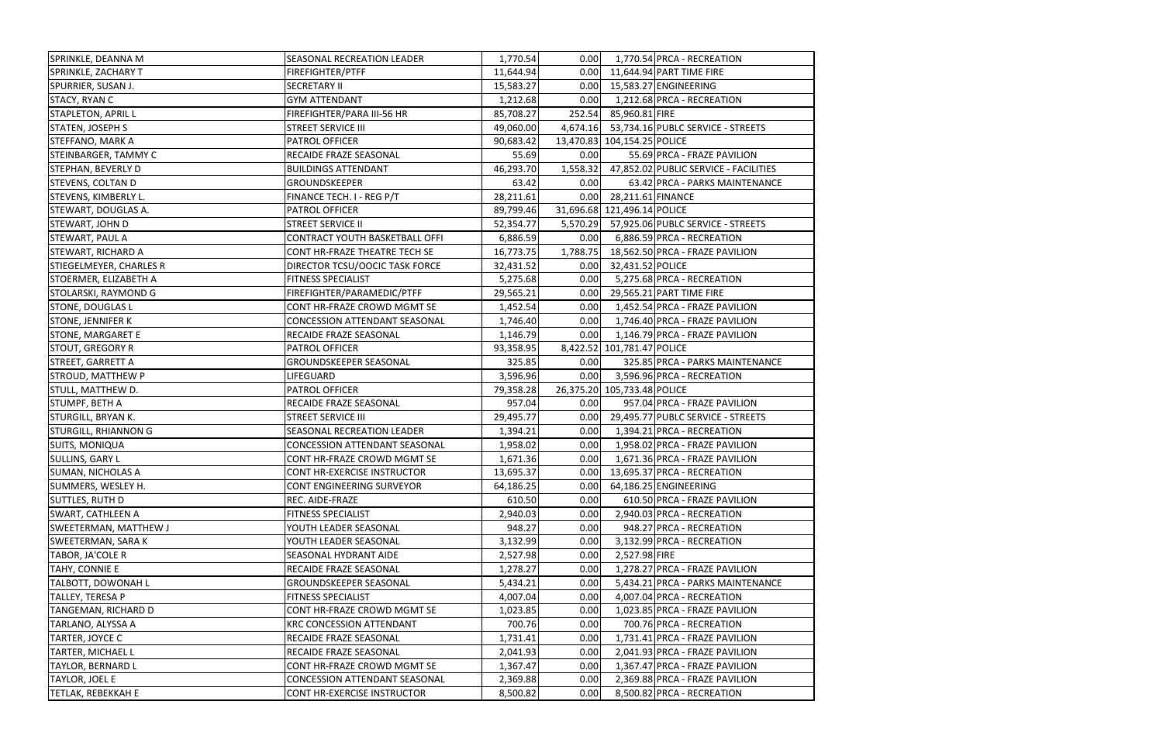| SPRINKLE, DEANNA M           | SEASONAL RECREATION LEADER           | 1,770.54  | 0.00     |                             | 1,770.54 PRCA - RECREATION                 |
|------------------------------|--------------------------------------|-----------|----------|-----------------------------|--------------------------------------------|
| SPRINKLE, ZACHARY T          | FIREFIGHTER/PTFF                     | 11,644.94 |          |                             | 0.00 11,644.94 PART TIME FIRE              |
| SPURRIER, SUSAN J.           | <b>SECRETARY II</b>                  | 15,583.27 | 0.00     |                             | 15,583.27 ENGINEERING                      |
| STACY, RYAN C                | <b>GYM ATTENDANT</b>                 | 1,212.68  | 0.00     |                             | 1,212.68 PRCA - RECREATION                 |
| <b>STAPLETON, APRIL L</b>    | FIREFIGHTER/PARA III-56 HR           | 85,708.27 | 252.54   | 85,960.81 FIRE              |                                            |
| STATEN, JOSEPH S             | <b>STREET SERVICE III</b>            | 49,060.00 |          |                             | 4,674.16 53,734.16 PUBLC SERVICE - STREETS |
| STEFFANO, MARK A             | PATROL OFFICER                       | 90,683.42 |          | 13,470.83 104,154.25 POLICE |                                            |
| STEINBARGER, TAMMY C         | RECAIDE FRAZE SEASONAL               | 55.69     | 0.00     |                             | 55.69 PRCA - FRAZE PAVILION                |
| STEPHAN, BEVERLY D           | <b>BUILDINGS ATTENDANT</b>           | 46,293.70 | 1,558.32 |                             | 47,852.02 PUBLIC SERVICE - FACILITIES      |
| <b>STEVENS, COLTAN D</b>     | GROUNDSKEEPER                        | 63.42     | 0.00     |                             | 63.42 PRCA - PARKS MAINTENANCE             |
| STEVENS, KIMBERLY L.         | FINANCE TECH. I - REG P/T            | 28,211.61 |          | 0.00 28,211.61 FINANCE      |                                            |
| STEWART, DOUGLAS A.          | PATROL OFFICER                       | 89,799.46 |          | 31,696.68 121,496.14 POLICE |                                            |
| STEWART, JOHN D              | <b>STREET SERVICE II</b>             | 52,354.77 |          |                             | 5,570.29 57,925.06 PUBLC SERVICE - STREETS |
| <b>STEWART, PAUL A</b>       | CONTRACT YOUTH BASKETBALL OFFI       | 6,886.59  | 0.00     |                             | 6,886.59 PRCA - RECREATION                 |
| STEWART, RICHARD A           | CONT HR-FRAZE THEATRE TECH SE        | 16,773.75 | 1,788.75 |                             | 18,562.50 PRCA - FRAZE PAVILION            |
| STIEGELMEYER, CHARLES R      | DIRECTOR TCSU/OOCIC TASK FORCE       | 32,431.52 |          | 0.00 32,431.52 POLICE       |                                            |
| STOERMER, ELIZABETH A        | <b>FITNESS SPECIALIST</b>            | 5,275.68  | 0.00     |                             | 5,275.68 PRCA - RECREATION                 |
| STOLARSKI, RAYMOND G         | FIREFIGHTER/PARAMEDIC/PTFF           | 29,565.21 | 0.00     |                             | 29,565.21 PART TIME FIRE                   |
| <b>STONE, DOUGLAS L</b>      | CONT HR-FRAZE CROWD MGMT SE          | 1,452.54  | 0.00     |                             | 1,452.54 PRCA - FRAZE PAVILION             |
| <b>STONE, JENNIFER K</b>     | CONCESSION ATTENDANT SEASONAL        | 1,746.40  | 0.00     |                             | 1,746.40 PRCA - FRAZE PAVILION             |
| <b>STONE, MARGARET E</b>     | RECAIDE FRAZE SEASONAL               | 1,146.79  | 0.00     |                             | 1,146.79 PRCA - FRAZE PAVILION             |
| <b>STOUT, GREGORY R</b>      | PATROL OFFICER                       | 93,358.95 |          | 8,422.52 101,781.47 POLICE  |                                            |
| <b>STREET, GARRETT A</b>     | GROUNDSKEEPER SEASONAL               | 325.85    | 0.00     |                             | 325.85 PRCA - PARKS MAINTENANCE            |
| STROUD, MATTHEW P            | LIFEGUARD                            | 3,596.96  | 0.00     |                             | 3,596.96 PRCA - RECREATION                 |
| STULL, MATTHEW D.            | PATROL OFFICER                       | 79,358.28 |          | 26,375.20 105,733.48 POLICE |                                            |
| STUMPF, BETH A               | RECAIDE FRAZE SEASONAL               | 957.04    | 0.00     |                             | 957.04 PRCA - FRAZE PAVILION               |
| <b>STURGILL, BRYAN K.</b>    | <b>STREET SERVICE III</b>            | 29,495.77 | 0.00     |                             | 29,495.77 PUBLC SERVICE - STREETS          |
| <b>STURGILL, RHIANNON G</b>  | SEASONAL RECREATION LEADER           | 1,394.21  | 0.00     |                             | 1,394.21 PRCA - RECREATION                 |
| <b>SUITS, MONIQUA</b>        | <b>CONCESSION ATTENDANT SEASONAL</b> | 1,958.02  | 0.00     |                             | 1,958.02 PRCA - FRAZE PAVILION             |
| <b>SULLINS, GARY L</b>       | CONT HR-FRAZE CROWD MGMT SE          | 1,671.36  | 0.00     |                             | 1,671.36 PRCA - FRAZE PAVILION             |
| <b>SUMAN, NICHOLAS A</b>     | CONT HR-EXERCISE INSTRUCTOR          | 13,695.37 |          |                             | 0.00 13,695.37 PRCA - RECREATION           |
| SUMMERS, WESLEY H.           | CONT ENGINEERING SURVEYOR            | 64,186.25 | 0.00     |                             | 64,186.25 ENGINEERING                      |
| <b>SUTTLES, RUTH D</b>       | REC. AIDE-FRAZE                      | 610.50    | 0.00     |                             | 610.50 PRCA - FRAZE PAVILION               |
| <b>SWART, CATHLEEN A</b>     | FITNESS SPECIALIST                   | 2,940.03  | 0.00     |                             | 2,940.03 PRCA - RECREATION                 |
| <b>SWEETERMAN, MATTHEW J</b> | YOUTH LEADER SEASONAL                | 948.27    | 0.00     |                             | 948.27 PRCA - RECREATION                   |
| <b>SWEETERMAN, SARA K</b>    | YOUTH LEADER SEASONAL                | 3,132.99  | 0.00     |                             | 3,132.99 PRCA - RECREATION                 |
| TABOR, JA'COLE R             | SEASONAL HYDRANT AIDE                | 2,527.98  | 0.00     | 2,527.98 FIRE               |                                            |
| TAHY, CONNIE E               | RECAIDE FRAZE SEASONAL               | 1,278.27  | 0.00     |                             | 1,278.27 PRCA - FRAZE PAVILION             |
| <b>TALBOTT, DOWONAH L</b>    | <b>GROUNDSKEEPER SEASONAL</b>        | 5,434.21  | 0.00     |                             | 5,434.21 PRCA - PARKS MAINTENANCE          |
| TALLEY, TERESA P             | FITNESS SPECIALIST                   | 4,007.04  | 0.00     |                             | 4,007.04 PRCA - RECREATION                 |
| TANGEMAN, RICHARD D          | CONT HR-FRAZE CROWD MGMT SE          | 1,023.85  | 0.00     |                             | 1,023.85 PRCA - FRAZE PAVILION             |
| TARLANO, ALYSSA A            | <b>KRC CONCESSION ATTENDANT</b>      | 700.76    | 0.00     |                             | 700.76 PRCA - RECREATION                   |
| TARTER, JOYCE C              | RECAIDE FRAZE SEASONAL               | 1,731.41  | 0.00     |                             | 1,731.41 PRCA - FRAZE PAVILION             |
| <b>TARTER, MICHAEL L</b>     | RECAIDE FRAZE SEASONAL               | 2,041.93  | 0.00     |                             | 2,041.93 PRCA - FRAZE PAVILION             |
| <b>TAYLOR, BERNARD L</b>     | CONT HR-FRAZE CROWD MGMT SE          | 1,367.47  | 0.00     |                             | 1,367.47 PRCA - FRAZE PAVILION             |
| TAYLOR, JOEL E               | <b>CONCESSION ATTENDANT SEASONAL</b> | 2,369.88  | 0.00     |                             | 2,369.88 PRCA - FRAZE PAVILION             |
| TETLAK, REBEKKAH E           | CONT HR-EXERCISE INSTRUCTOR          | 8,500.82  | 0.00     |                             | 8,500.82 PRCA - RECREATION                 |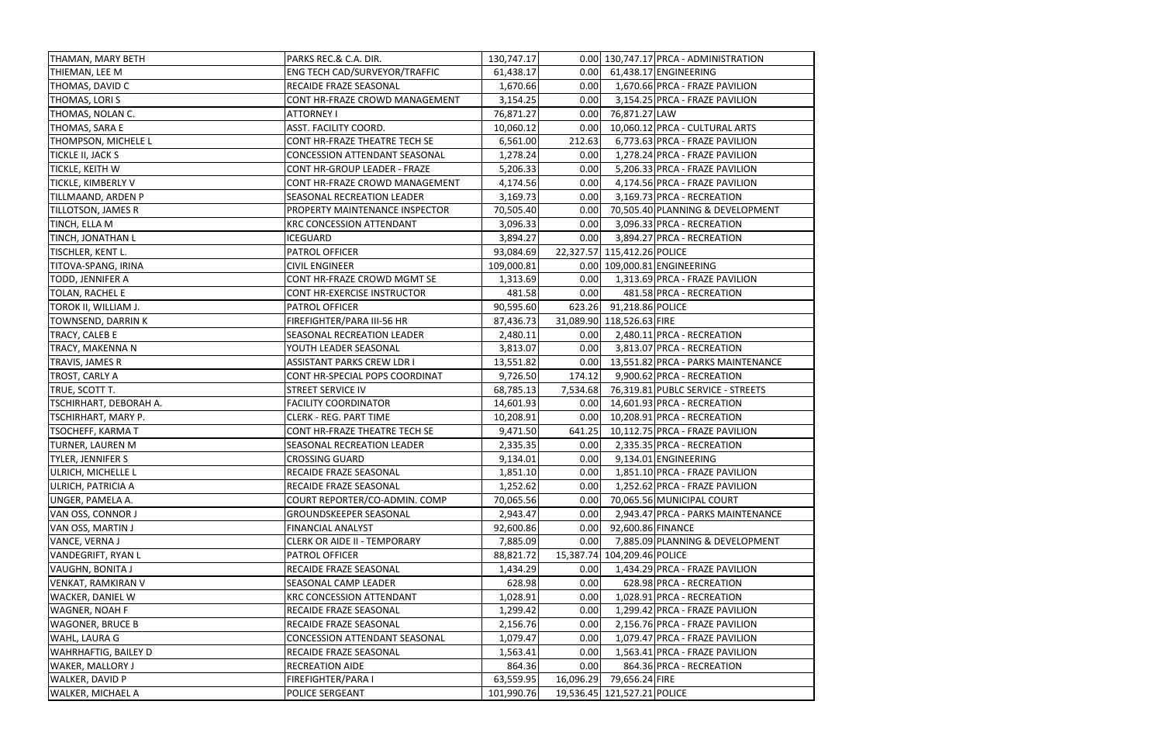| THAMAN, MARY BETH           | PARKS REC.& C.A. DIR.                | 130,747.17 |           |                             | 0.00 130,747.17 PRCA - ADMINISTRATION   |
|-----------------------------|--------------------------------------|------------|-----------|-----------------------------|-----------------------------------------|
| THIEMAN, LEE M              | ENG TECH CAD/SURVEYOR/TRAFFIC        | 61,438.17  |           |                             | 0.00 61,438.17 ENGINEERING              |
| THOMAS, DAVID C             | RECAIDE FRAZE SEASONAL               | 1,670.66   | 0.00      |                             | 1,670.66 PRCA - FRAZE PAVILION          |
| THOMAS, LORI S              | CONT HR-FRAZE CROWD MANAGEMENT       | 3,154.25   | 0.00      |                             | 3,154.25 PRCA - FRAZE PAVILION          |
| THOMAS, NOLAN C.            | <b>ATTORNEY I</b>                    | 76,871.27  | 0.00      | 76,871.27 LAW               |                                         |
| THOMAS, SARA E              | ASST. FACILITY COORD.                | 10,060.12  | 0.00      |                             | 10,060.12 PRCA - CULTURAL ARTS          |
| THOMPSON, MICHELE L         | CONT HR-FRAZE THEATRE TECH SE        | 6,561.00   | 212.63    |                             | 6,773.63 PRCA - FRAZE PAVILION          |
| TICKLE II, JACK S           | <b>CONCESSION ATTENDANT SEASONAL</b> | 1,278.24   | 0.00      |                             | 1,278.24 PRCA - FRAZE PAVILION          |
| TICKLE, KEITH W             | CONT HR-GROUP LEADER - FRAZE         | 5,206.33   | 0.00      |                             | 5,206.33 PRCA - FRAZE PAVILION          |
| <b>TICKLE, KIMBERLY V</b>   | CONT HR-FRAZE CROWD MANAGEMENT       | 4,174.56   | 0.00      |                             | 4,174.56 PRCA - FRAZE PAVILION          |
| TILLMAAND, ARDEN P          | SEASONAL RECREATION LEADER           | 3,169.73   | 0.00      |                             | 3,169.73 PRCA - RECREATION              |
| <b>TILLOTSON, JAMES R</b>   | PROPERTY MAINTENANCE INSPECTOR       | 70,505.40  | 0.00      |                             | 70,505.40 PLANNING & DEVELOPMENT        |
| TINCH, ELLA M               | <b>KRC CONCESSION ATTENDANT</b>      | 3,096.33   | 0.00      |                             | 3,096.33 PRCA - RECREATION              |
| TINCH, JONATHAN L           | <b>ICEGUARD</b>                      | 3,894.27   | 0.00      |                             | 3,894.27 PRCA - RECREATION              |
| TISCHLER, KENT L.           | PATROL OFFICER                       | 93,084.69  |           | 22,327.57 115,412.26 POLICE |                                         |
| TITOVA-SPANG, IRINA         | <b>CIVIL ENGINEER</b>                | 109,000.81 |           |                             | 0.00 109,000.81 ENGINEERING             |
| TODD, JENNIFER A            | CONT HR-FRAZE CROWD MGMT SE          | 1,313.69   | 0.00      |                             | 1,313.69 PRCA - FRAZE PAVILION          |
| TOLAN, RACHEL E             | CONT HR-EXERCISE INSTRUCTOR          | 481.58     | 0.00      |                             | 481.58 PRCA - RECREATION                |
| TOROK II, WILLIAM J.        | <b>PATROL OFFICER</b>                | 90,595.60  |           | 623.26 91,218.86 POLICE     |                                         |
| TOWNSEND, DARRIN K          | FIREFIGHTER/PARA III-56 HR           | 87,436.73  |           | 31,089.90 118,526.63 FIRE   |                                         |
| TRACY, CALEB E              | SEASONAL RECREATION LEADER           | 2,480.11   |           |                             | 0.00 2,480.11 PRCA - RECREATION         |
| TRACY, MAKENNA N            | YOUTH LEADER SEASONAL                | 3,813.07   | 0.00      |                             | 3,813.07 PRCA - RECREATION              |
| TRAVIS, JAMES R             | <b>ASSISTANT PARKS CREW LDR I</b>    | 13,551.82  |           |                             | 0.00 13,551.82 PRCA - PARKS MAINTENANCE |
| TROST, CARLY A              | CONT HR-SPECIAL POPS COORDINAT       | 9,726.50   | 174.12    |                             | 9,900.62 PRCA - RECREATION              |
| TRUE, SCOTT T.              | STREET SERVICE IV                    | 68,785.13  | 7,534.68  |                             | 76,319.81 PUBLC SERVICE - STREETS       |
| TSCHIRHART, DEBORAH A.      | <b>FACILITY COORDINATOR</b>          | 14,601.93  |           |                             | 0.00 14,601.93 PRCA - RECREATION        |
| TSCHIRHART, MARY P.         | <b>CLERK - REG. PART TIME</b>        | 10,208.91  | 0.00      |                             | 10,208.91 PRCA - RECREATION             |
| <b>TSOCHEFF, KARMA T</b>    | CONT HR-FRAZE THEATRE TECH SE        | 9,471.50   | 641.25    |                             | 10,112.75 PRCA - FRAZE PAVILION         |
| <b>TURNER, LAUREN M</b>     | SEASONAL RECREATION LEADER           | 2,335.35   | 0.00      |                             | 2,335.35 PRCA - RECREATION              |
| TYLER, JENNIFER S           | <b>CROSSING GUARD</b>                | 9,134.01   | 0.00      |                             | 9,134.01 ENGINEERING                    |
| <b>ULRICH, MICHELLE L</b>   | <b>RECAIDE FRAZE SEASONAL</b>        | 1,851.10   | 0.00      |                             | 1,851.10 PRCA - FRAZE PAVILION          |
| ULRICH, PATRICIA A          | RECAIDE FRAZE SEASONAL               | 1,252.62   | 0.00      |                             | 1,252.62 PRCA - FRAZE PAVILION          |
| <b>UNGER, PAMELA A.</b>     | COURT REPORTER/CO-ADMIN. COMP        | 70,065.56  | 0.00      |                             | 70,065.56 MUNICIPAL COURT               |
| VAN OSS, CONNOR J           | <b>GROUNDSKEEPER SEASONAL</b>        | 2,943.47   | 0.00      |                             | 2,943.47 PRCA - PARKS MAINTENANCE       |
| VAN OSS, MARTIN J           | <b>FINANCIAL ANALYST</b>             | 92,600.86  | 0.00      | 92,600.86 FINANCE           |                                         |
| VANCE, VERNA J              | <b>CLERK OR AIDE II - TEMPORARY</b>  | 7,885.09   | 0.00      |                             | 7,885.09 PLANNING & DEVELOPMENT         |
| <b>VANDEGRIFT, RYAN L</b>   | PATROL OFFICER                       | 88,821.72  |           | 15,387.74 104,209.46 POLICE |                                         |
| <b>VAUGHN, BONITA J</b>     | RECAIDE FRAZE SEASONAL               | 1,434.29   | 0.00      |                             | 1,434.29 PRCA - FRAZE PAVILION          |
| VENKAT, RAMKIRAN V          | SEASONAL CAMP LEADER                 | 628.98     | 0.00      |                             | 628.98 PRCA - RECREATION                |
| <b>WACKER, DANIEL W</b>     | <b>KRC CONCESSION ATTENDANT</b>      | 1,028.91   | 0.00      |                             | 1,028.91 PRCA - RECREATION              |
| <b>WAGNER, NOAH F</b>       | RECAIDE FRAZE SEASONAL               | 1,299.42   | 0.00      |                             | 1,299.42 PRCA - FRAZE PAVILION          |
| <b>WAGONER, BRUCE B</b>     | RECAIDE FRAZE SEASONAL               | 2,156.76   | 0.00      |                             | 2,156.76 PRCA - FRAZE PAVILION          |
| WAHL, LAURA G               | CONCESSION ATTENDANT SEASONAL        | 1,079.47   | 0.00      |                             | 1,079.47 PRCA - FRAZE PAVILION          |
| <b>WAHRHAFTIG, BAILEY D</b> | RECAIDE FRAZE SEASONAL               | 1,563.41   | 0.00      |                             | 1,563.41 PRCA - FRAZE PAVILION          |
| <b>WAKER, MALLORY J</b>     | RECREATION AIDE                      | 864.36     | 0.00      |                             | 864.36 PRCA - RECREATION                |
| WALKER, DAVID P             | FIREFIGHTER/PARA I                   | 63,559.95  | 16,096.29 | 79,656.24 FIRE              |                                         |
| WALKER, MICHAEL A           | POLICE SERGEANT                      | 101,990.76 |           | 19,536.45 121,527.21 POLICE |                                         |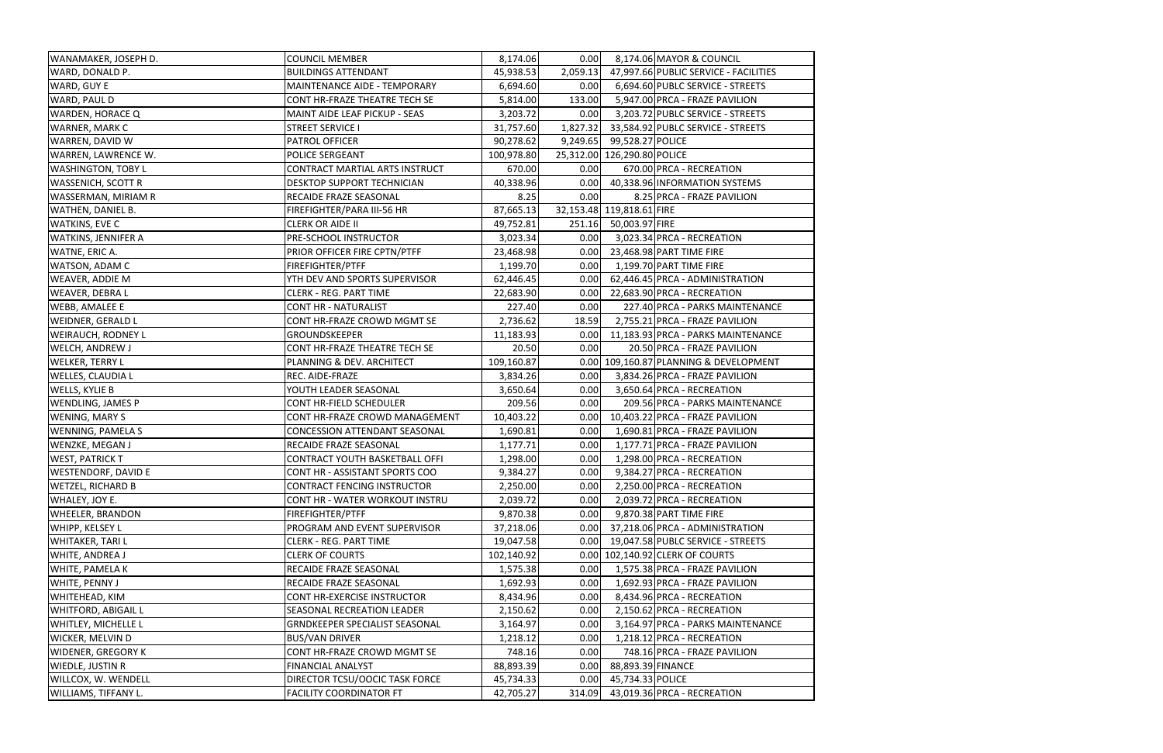| WANAMAKER, JOSEPH D.       | <b>COUNCIL MEMBER</b>                 | 8,174.06   | 0.00     | 8,174.06 MAYOR & COUNCIL               |
|----------------------------|---------------------------------------|------------|----------|----------------------------------------|
| WARD, DONALD P.            | <b>BUILDINGS ATTENDANT</b>            | 45,938.53  | 2,059.13 | 47,997.66 PUBLIC SERVICE - FACILITIES  |
| WARD, GUY E                | MAINTENANCE AIDE - TEMPORARY          | 6,694.60   | 0.00     | 6,694.60 PUBLC SERVICE - STREETS       |
| WARD, PAUL D               | CONT HR-FRAZE THEATRE TECH SE         | 5,814.00   | 133.00   | 5,947.00 PRCA - FRAZE PAVILION         |
| <b>WARDEN, HORACE Q</b>    | MAINT AIDE LEAF PICKUP - SEAS         | 3,203.72   | 0.00     | 3,203.72 PUBLC SERVICE - STREETS       |
| WARNER, MARK C             | <b>STREET SERVICE I</b>               | 31,757.60  | 1,827.32 | 33,584.92 PUBLC SERVICE - STREETS      |
| WARREN, DAVID W            | <b>PATROL OFFICER</b>                 | 90,278.62  | 9,249.65 | 99,528.27 POLICE                       |
| WARREN, LAWRENCE W.        | POLICE SERGEANT                       | 100,978.80 |          | 25,312.00 126,290.80 POLICE            |
| <b>WASHINGTON, TOBY L</b>  | CONTRACT MARTIAL ARTS INSTRUCT        | 670.00     | 0.00     | 670.00 PRCA - RECREATION               |
| <b>WASSENICH, SCOTT R</b>  | DESKTOP SUPPORT TECHNICIAN            | 40,338.96  | 0.00     | 40,338.96 INFORMATION SYSTEMS          |
| WASSERMAN, MIRIAM R        | RECAIDE FRAZE SEASONAL                | 8.25       | 0.00     | 8.25 PRCA - FRAZE PAVILION             |
| WATHEN, DANIEL B.          | FIREFIGHTER/PARA III-56 HR            | 87,665.13  |          | 32,153.48 119,818.61 FIRE              |
| <b>WATKINS, EVE C</b>      | <b>CLERK OR AIDE II</b>               | 49,752.81  | 251.16   | 50,003.97 FIRE                         |
| <b>WATKINS, JENNIFER A</b> | PRE-SCHOOL INSTRUCTOR                 | 3,023.34   | 0.00     | 3,023.34 PRCA - RECREATION             |
| WATNE, ERIC A.             | PRIOR OFFICER FIRE CPTN/PTFF          | 23,468.98  | 0.00     | 23,468.98 PART TIME FIRE               |
| WATSON, ADAM C             | FIREFIGHTER/PTFF                      | 1,199.70   | 0.00     | 1,199.70 PART TIME FIRE                |
| <b>WEAVER, ADDIE M</b>     | YTH DEV AND SPORTS SUPERVISOR         | 62,446.45  | 0.00     | 62,446.45 PRCA - ADMINISTRATION        |
| <b>WEAVER, DEBRAL</b>      | <b>CLERK - REG. PART TIME</b>         | 22,683.90  | 0.00     | 22,683.90 PRCA - RECREATION            |
| <b>WEBB, AMALEE E</b>      | <b>CONT HR - NATURALIST</b>           | 227.40     | 0.00     | 227.40 PRCA - PARKS MAINTENANCE        |
| WEIDNER, GERALD L          | CONT HR-FRAZE CROWD MGMT SE           | 2,736.62   | 18.59    | 2,755.21 PRCA - FRAZE PAVILION         |
| <b>WEIRAUCH, RODNEY L</b>  | GROUNDSKEEPER                         | 11,183.93  | 0.00     | 11,183.93 PRCA - PARKS MAINTENANCE     |
| WELCH, ANDREW J            | CONT HR-FRAZE THEATRE TECH SE         | 20.50      | 0.00     | 20.50 PRCA - FRAZE PAVILION            |
| <b>WELKER, TERRY L</b>     | PLANNING & DEV. ARCHITECT             | 109,160.87 |          | 0.00 109,160.87 PLANNING & DEVELOPMENT |
| <b>WELLES, CLAUDIA L</b>   | REC. AIDE-FRAZE                       | 3,834.26   | 0.00     | 3,834.26 PRCA - FRAZE PAVILION         |
| WELLS, KYLIE B             | YOUTH LEADER SEASONAL                 | 3,650.64   | 0.00     | 3,650.64 PRCA - RECREATION             |
| <b>WENDLING, JAMES P</b>   | CONT HR-FIELD SCHEDULER               | 209.56     | 0.00     | 209.56 PRCA - PARKS MAINTENANCE        |
| WENING, MARY S             | CONT HR-FRAZE CROWD MANAGEMENT        | 10,403.22  | 0.00     | 10,403.22 PRCA - FRAZE PAVILION        |
| <b>WENNING, PAMELA S</b>   | <b>CONCESSION ATTENDANT SEASONAL</b>  | 1,690.81   | 0.00     | 1,690.81 PRCA - FRAZE PAVILION         |
| <b>WENZKE, MEGAN J</b>     | RECAIDE FRAZE SEASONAL                | 1,177.71   | 0.00     | 1,177.71 PRCA - FRAZE PAVILION         |
| <b>WEST, PATRICK T</b>     | CONTRACT YOUTH BASKETBALL OFFI        | 1,298.00   | 0.00     | 1,298.00 PRCA - RECREATION             |
| <b>WESTENDORF, DAVID E</b> | CONT HR - ASSISTANT SPORTS COO        | 9,384.27   | 0.00     | 9,384.27 PRCA - RECREATION             |
| <b>WETZEL, RICHARD B</b>   | <b>CONTRACT FENCING INSTRUCTOR</b>    | 2,250.00   | 0.00     | 2,250.00 PRCA - RECREATION             |
| WHALEY, JOY E.             | CONT HR - WATER WORKOUT INSTRU        | 2,039.72   | 0.00     | 2,039.72 PRCA - RECREATION             |
| <b>WHEELER, BRANDON</b>    | <b>FIREFIGHTER/PTFF</b>               | 9,870.38   | 0.00     | 9,870.38 PART TIME FIRE                |
| WHIPP, KELSEY L            | PROGRAM AND EVENT SUPERVISOR          | 37,218.06  | 0.00     | 37,218.06 PRCA - ADMINISTRATION        |
| <b>WHITAKER, TARI L</b>    | <b>CLERK - REG. PART TIME</b>         | 19,047.58  | 0.00     | 19,047.58 PUBLC SERVICE - STREETS      |
| <b>WHITE, ANDREA J</b>     | <b>CLERK OF COURTS</b>                | 102,140.92 |          | 0.00 102,140.92 CLERK OF COURTS        |
| <b>WHITE, PAMELA K</b>     | RECAIDE FRAZE SEASONAL                | 1,575.38   | 0.00     | 1,575.38 PRCA - FRAZE PAVILION         |
| WHITE, PENNY J             | RECAIDE FRAZE SEASONAL                | 1,692.93   | 0.00     | 1,692.93 PRCA - FRAZE PAVILION         |
| WHITEHEAD, KIM             | CONT HR-EXERCISE INSTRUCTOR           | 8,434.96   | 0.00     | 8,434.96 PRCA - RECREATION             |
| <b>WHITFORD, ABIGAIL L</b> | SEASONAL RECREATION LEADER            | 2,150.62   | 0.00     | 2,150.62 PRCA - RECREATION             |
| <b>WHITLEY, MICHELLE L</b> | <b>GRNDKEEPER SPECIALIST SEASONAL</b> | 3,164.97   | 0.00     | 3,164.97 PRCA - PARKS MAINTENANCE      |
| <b>WICKER, MELVIN D</b>    | <b>BUS/VAN DRIVER</b>                 | 1,218.12   | 0.00     | 1,218.12 PRCA - RECREATION             |
| <b>WIDENER, GREGORY K</b>  | CONT HR-FRAZE CROWD MGMT SE           | 748.16     | 0.00     | 748.16 PRCA - FRAZE PAVILION           |
| <b>WIEDLE, JUSTIN R</b>    | <b>FINANCIAL ANALYST</b>              | 88,893.39  | 0.00     | 88,893.39 FINANCE                      |
| WILLCOX, W. WENDELL        | DIRECTOR TCSU/OOCIC TASK FORCE        | 45,734.33  | 0.00     | 45,734.33 POLICE                       |
| WILLIAMS, TIFFANY L.       | <b>FACILITY COORDINATOR FT</b>        | 42,705.27  | 314.09   | 43,019.36 PRCA - RECREATION            |